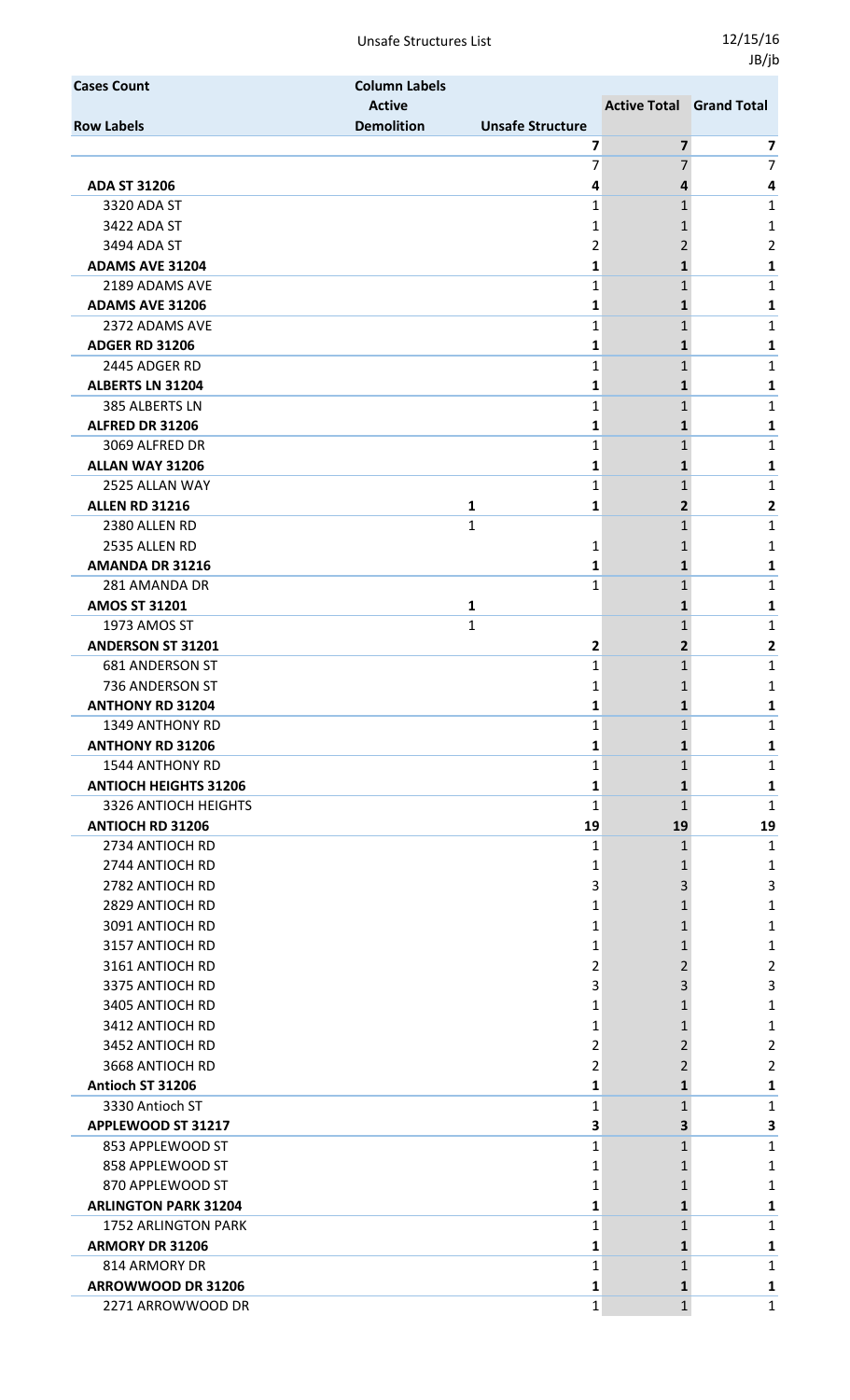Unsafe Structures List 12/15/16

| <b>Cases Count</b>           | <b>Column Labels</b> |                         |                                 |                         |
|------------------------------|----------------------|-------------------------|---------------------------------|-------------------------|
|                              | <b>Active</b>        |                         | <b>Active Total Grand Total</b> |                         |
| <b>Row Labels</b>            | <b>Demolition</b>    | <b>Unsafe Structure</b> |                                 |                         |
|                              |                      | 7                       | 7                               | 7                       |
|                              |                      | 7                       | 7                               | $\overline{7}$          |
| <b>ADA ST 31206</b>          |                      | 4                       | 4                               | 4                       |
| 3320 ADA ST                  |                      | 1                       | 1                               | 1                       |
| 3422 ADA ST                  |                      | 1                       | 1                               | 1                       |
| 3494 ADA ST                  |                      | 2                       | 2                               | $\overline{2}$          |
| <b>ADAMS AVE 31204</b>       |                      | 1                       | 1                               | 1                       |
| 2189 ADAMS AVE               |                      | 1                       | 1                               | $\mathbf{1}$            |
| <b>ADAMS AVE 31206</b>       |                      | 1                       | 1                               | 1                       |
| 2372 ADAMS AVE               |                      | 1                       | $\mathbf{1}$                    | $\mathbf{1}$            |
| <b>ADGER RD 31206</b>        |                      | 1                       | 1                               | 1                       |
| 2445 ADGER RD                |                      | 1                       | 1                               | 1                       |
| <b>ALBERTS LN 31204</b>      |                      | 1                       | $\mathbf{1}$                    | 1                       |
| 385 ALBERTS LN               |                      | 1                       | 1                               | 1                       |
| ALFRED DR 31206              |                      | 1                       | 1                               | 1                       |
| 3069 ALFRED DR               |                      | 1                       | 1                               | 1                       |
| ALLAN WAY 31206              |                      | 1                       | 1                               | 1                       |
| 2525 ALLAN WAY               |                      | 1                       | $\mathbf{1}$                    | $\mathbf{1}$            |
| <b>ALLEN RD 31216</b>        |                      | $\mathbf{1}$<br>1       | $\overline{2}$                  | 2                       |
| 2380 ALLEN RD                |                      | $\mathbf{1}$            | $\mathbf{1}$                    | 1                       |
| 2535 ALLEN RD                |                      | 1                       | 1                               | 1                       |
| AMANDA DR 31216              |                      | 1                       | 1                               | 1                       |
| 281 AMANDA DR                |                      | 1                       | 1                               | $\mathbf{1}$            |
| <b>AMOS ST 31201</b>         |                      | 1                       | 1                               | 1                       |
| 1973 AMOS ST                 |                      | $\mathbf{1}$            | 1                               | $\mathbf{1}$            |
| <b>ANDERSON ST 31201</b>     |                      | 2                       | $\mathbf{2}$                    | 2                       |
| <b>681 ANDERSON ST</b>       |                      | 1                       | 1                               | 1                       |
| 736 ANDERSON ST              |                      | 1                       | 1                               | 1                       |
| <b>ANTHONY RD 31204</b>      |                      | 1                       | 1                               |                         |
| 1349 ANTHONY RD              |                      | 1                       | $\mathbf{1}$                    | 1                       |
| <b>ANTHONY RD 31206</b>      |                      | 1                       | 1                               | 1                       |
| 1544 ANTHONY RD              |                      | 1                       | 1                               | 1                       |
| <b>ANTIOCH HEIGHTS 31206</b> |                      | 1                       | 1                               | 1                       |
| 3326 ANTIOCH HEIGHTS         |                      | 1                       | 1                               | 1                       |
| <b>ANTIOCH RD 31206</b>      |                      | 19                      | 19                              | 19                      |
| 2734 ANTIOCH RD              |                      | 1                       | 1                               | 1                       |
| 2744 ANTIOCH RD              |                      | 1                       | 1                               |                         |
| 2782 ANTIOCH RD              |                      | 3                       | 3                               | 1<br>3                  |
| 2829 ANTIOCH RD              |                      |                         |                                 |                         |
| 3091 ANTIOCH RD              |                      | 1                       | 1                               | 1                       |
|                              |                      | 1                       | 1                               | 1                       |
| 3157 ANTIOCH RD              |                      | 1                       | 1                               | 1                       |
| 3161 ANTIOCH RD              |                      | 2                       | 2                               | 2                       |
| 3375 ANTIOCH RD              |                      | 3                       | 3                               | 3                       |
| 3405 ANTIOCH RD              |                      | 1                       | 1                               | 1                       |
| 3412 ANTIOCH RD              |                      | 1                       | 1                               | 1                       |
| 3452 ANTIOCH RD              |                      | 2                       | 2                               | $\overline{\mathbf{c}}$ |
| 3668 ANTIOCH RD              |                      | 2                       | 2                               | 2                       |
| Antioch ST 31206             |                      | 1                       | 1                               | 1                       |
| 3330 Antioch ST              |                      | 1                       | 1                               | 1                       |
| APPLEWOOD ST 31217           |                      | 3                       | 3                               | з                       |
| 853 APPLEWOOD ST             |                      | 1                       | 1                               | 1                       |
| 858 APPLEWOOD ST             |                      | 1                       | 1                               | 1                       |
| 870 APPLEWOOD ST             |                      | 1                       | 1                               | 1                       |
| <b>ARLINGTON PARK 31204</b>  |                      | 1                       | 1                               | 1                       |
| <b>1752 ARLINGTON PARK</b>   |                      | 1                       | 1                               | 1                       |
| <b>ARMORY DR 31206</b>       |                      | 1                       | $\mathbf{1}$                    | 1                       |
| 814 ARMORY DR                |                      | 1                       | 1                               | 1                       |
| ARROWWOOD DR 31206           |                      | 1                       | $\mathbf{1}$                    | 1                       |
| 2271 ARROWWOOD DR            |                      | 1                       | $\mathbf{1}$                    | 1                       |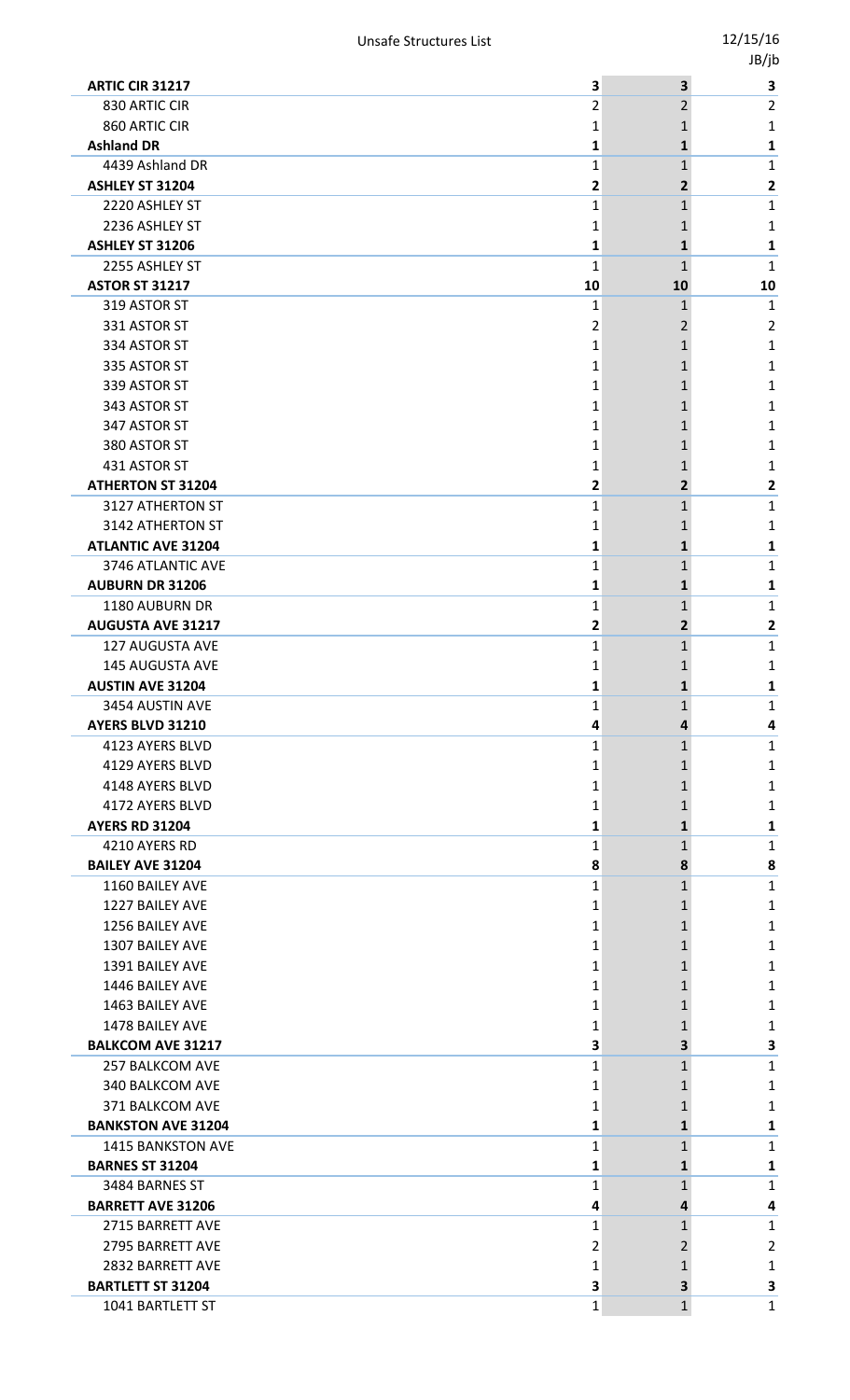|                                            |        |                         | טן נטי       |
|--------------------------------------------|--------|-------------------------|--------------|
| <b>ARTIC CIR 31217</b>                     | 3      | $\overline{\mathbf{3}}$ | $\mathbf{3}$ |
| 830 ARTIC CIR                              | 2      | 2                       | 2            |
| 860 ARTIC CIR                              | 1      | 1                       | 1            |
| <b>Ashland DR</b>                          | 1      | 1                       | 1            |
| 4439 Ashland DR                            | 1      | 1                       | 1            |
| ASHLEY ST 31204                            | 2      | $\overline{2}$          | $\mathbf{2}$ |
| 2220 ASHLEY ST                             | 1      | $\mathbf{1}$            | 1            |
| 2236 ASHLEY ST                             | 1      | 1                       | 1            |
| <b>ASHLEY ST 31206</b>                     | 1      | 1                       | 1            |
| 2255 ASHLEY ST                             | 1      | $\mathbf{1}$            | 1            |
| <b>ASTOR ST 31217</b>                      | 10     | 10                      | 10           |
| 319 ASTOR ST                               | 1      | 1                       | 1            |
| 331 ASTOR ST                               | 2      | 2                       | 2            |
| 334 ASTOR ST                               | 1      | 1                       | 1            |
| 335 ASTOR ST                               | 1      | 1                       | 1            |
| 339 ASTOR ST                               | 1      | 1                       | 1            |
| 343 ASTOR ST                               | 1      | 1                       | 1            |
| 347 ASTOR ST                               | 1      | 1                       | 1            |
| 380 ASTOR ST                               | 1      | 1                       | 1            |
| 431 ASTOR ST                               | 1      | 1                       | 1            |
| <b>ATHERTON ST 31204</b>                   | 2      | $\overline{2}$          | 2            |
| 3127 ATHERTON ST                           | 1      | $\mathbf{1}$            | 1            |
| 3142 ATHERTON ST                           | 1      | 1                       | 1            |
| <b>ATLANTIC AVE 31204</b>                  | 1      | 1                       | 1            |
| 3746 ATLANTIC AVE                          | 1      | 1                       | 1            |
| <b>AUBURN DR 31206</b>                     | 1      | 1                       | 1            |
| 1180 AUBURN DR<br><b>AUGUSTA AVE 31217</b> | 1      | 1                       | 1            |
|                                            | 2      | 2                       | 2            |
| 127 AUGUSTA AVE<br><b>145 AUGUSTA AVE</b>  | 1      | 1                       | 1            |
|                                            | 1      |                         | 1<br>1       |
| <b>AUSTIN AVE 31204</b><br>3454 AUSTIN AVE |        | ┻                       |              |
| AYERS BLVD 31210                           | 1<br>4 | 1<br>4                  | 1<br>4       |
| 4123 AYERS BLVD                            | 1      | $\mathbf{1}$            | 1            |
| 4129 AYERS BLVD                            | 1      |                         | 1            |
| 4148 AYERS BLVD                            | 1      | 1                       | 1            |
| 4172 AYERS BLVD                            | 1      | 1                       | 1            |
| <b>AYERS RD 31204</b>                      | 1      | 1                       | 1            |
| 4210 AYERS RD                              | 1      | $\mathbf{1}$            | 1            |
| <b>BAILEY AVE 31204</b>                    | 8      | 8                       | 8            |
| 1160 BAILEY AVE                            | 1      | $\mathbf{1}$            | 1            |
| 1227 BAILEY AVE                            | 1      | 1                       | 1            |
| 1256 BAILEY AVE                            | 1      | 1                       | 1            |
| 1307 BAILEY AVE                            | 1      | 1                       | 1            |
| 1391 BAILEY AVE                            | 1      |                         | 1            |
| 1446 BAILEY AVE                            | 1      | 1                       | 1            |
| 1463 BAILEY AVE                            | 1      | 1                       | 1            |
| 1478 BAILEY AVE                            | 1      |                         | 1            |
| <b>BALKCOM AVE 31217</b>                   | 3      | 3                       | 3            |
| <b>257 BALKCOM AVE</b>                     | 1      | 1                       | 1            |
| 340 BALKCOM AVE                            | 1      | 1                       | 1            |
| 371 BALKCOM AVE                            | 1      |                         | 1            |
| <b>BANKSTON AVE 31204</b>                  | 1      | 1                       | 1            |
| <b>1415 BANKSTON AVE</b>                   | 1      | $\mathbf{1}$            | 1            |
| <b>BARNES ST 31204</b>                     | 1      | 1                       | 1            |
| 3484 BARNES ST                             | 1      | $\mathbf{1}$            | $\mathbf{1}$ |
| <b>BARRETT AVE 31206</b>                   | 4      | 4                       | 4            |
| 2715 BARRETT AVE                           | 1      | 1                       | 1            |
| 2795 BARRETT AVE                           | 2      | 2                       | 2            |
| 2832 BARRETT AVE                           | 1      |                         | 1            |
| <b>BARTLETT ST 31204</b>                   | 3      | 3                       | 3            |
| 1041 BARTLETT ST                           | 1      | $\mathbf{1}$            | 1            |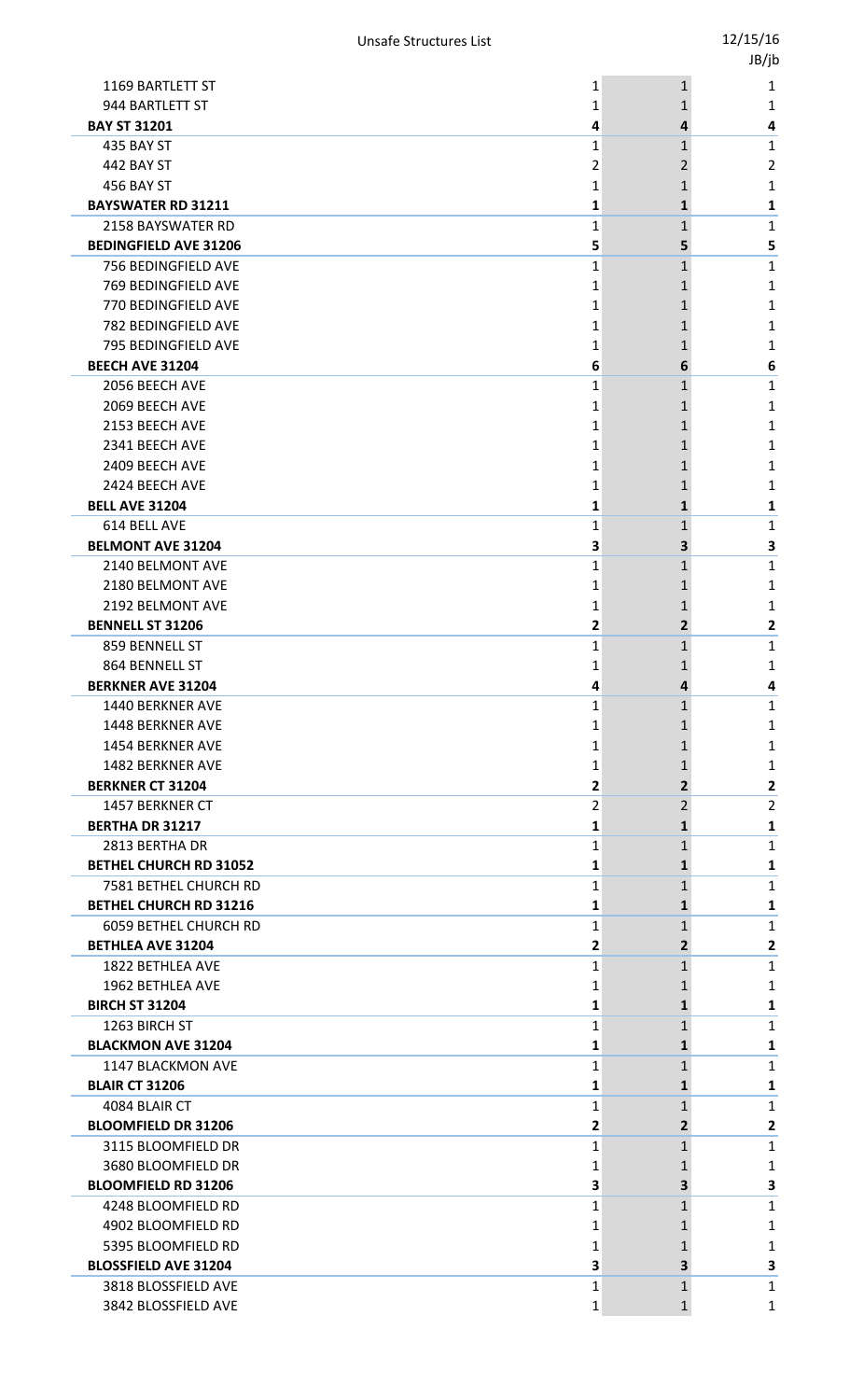|                               |                |                | JB/jb          |
|-------------------------------|----------------|----------------|----------------|
| 1169 BARTLETT ST              | 1              | $\mathbf{1}$   | 1              |
| 944 BARTLETT ST               | 1              | 1              | 1              |
| <b>BAY ST 31201</b>           | 4              | 4              | 4              |
| 435 BAY ST                    | 1              | 1              | 1              |
| 442 BAY ST                    | $\overline{2}$ | 2              | $\overline{2}$ |
| 456 BAY ST                    | 1              | 1              | 1              |
| <b>BAYSWATER RD 31211</b>     | 1              | $\mathbf{1}$   | 1              |
| 2158 BAYSWATER RD             | $\mathbf{1}$   | $\mathbf{1}$   | 1              |
| <b>BEDINGFIELD AVE 31206</b>  | 5              | 5              | 5              |
| 756 BEDINGFIELD AVE           | $\mathbf{1}$   | $\mathbf{1}$   | $\mathbf 1$    |
| 769 BEDINGFIELD AVE           | 1              | 1              | 1              |
| 770 BEDINGFIELD AVE           | 1              | 1              | 1              |
| 782 BEDINGFIELD AVE           | $\mathbf{1}$   | 1              | 1              |
| 795 BEDINGFIELD AVE           | 1              | 1              | 1              |
| <b>BEECH AVE 31204</b>        | 6              | 6              | 6              |
| 2056 BEECH AVE                | 1              | $\mathbf{1}$   | 1              |
| 2069 BEECH AVE                | 1              | 1              | 1              |
| 2153 BEECH AVE                | 1              | 1              | 1              |
| 2341 BEECH AVE                | 1              | 1              | 1              |
| 2409 BEECH AVE                | 1              | 1              | 1              |
| 2424 BEECH AVE                | 1              | 1              | 1              |
| <b>BELL AVE 31204</b>         | 1              | $\mathbf{1}$   | 1              |
| 614 BELL AVE                  | $\mathbf{1}$   | $\mathbf{1}$   | $\mathbf 1$    |
| <b>BELMONT AVE 31204</b>      | 3              | 3              | 3              |
| 2140 BELMONT AVE              | 1              | $\mathbf{1}$   | $\mathbf 1$    |
| 2180 BELMONT AVE              | 1              | 1              | 1              |
| 2192 BELMONT AVE              | 1              | 1              | 1              |
| <b>BENNELL ST 31206</b>       | 2              | $\overline{2}$ | 2              |
| 859 BENNELL ST                | 1              | 1              | 1              |
| 864 BENNELL ST                | 1              | 1              | 1              |
| <b>BERKNER AVE 31204</b>      | 4              | 4              | 4              |
| 1440 BERKNER AVE              | 1              | 1              | 1              |
| 1448 BERKNER AVE              | 1              | 1              | 1              |
| <b>1454 BERKNER AVE</b>       | 1              | 1              | 1              |
| 1482 BERKNER AVE              | 1              | 1              | 1              |
| <b>BERKNER CT 31204</b>       | 2              | $\mathbf{2}$   | 2              |
| 1457 BERKNER CT               | 2              | $\overline{2}$ | $\overline{2}$ |
| <b>BERTHA DR 31217</b>        | 1              | 1              | 1              |
| 2813 BERTHA DR                | 1              | 1              | 1              |
| <b>BETHEL CHURCH RD 31052</b> | 1              | $\mathbf{1}$   | 1              |
| 7581 BETHEL CHURCH RD         | 1              | 1              | 1              |
| <b>BETHEL CHURCH RD 31216</b> | 1              | 1              | 1              |
| 6059 BETHEL CHURCH RD         | $\mathbf{1}$   | $\mathbf{1}$   | $\mathbf{1}$   |
| <b>BETHLEA AVE 31204</b>      | 2              | $\overline{2}$ | $\mathbf{2}$   |
| 1822 BETHLEA AVE              | 1              | $\mathbf{1}$   | $\mathbf 1$    |
| 1962 BETHLEA AVE              | 1              | 1              | 1              |
| <b>BIRCH ST 31204</b>         | 1              | 1              | 1              |
| 1263 BIRCH ST                 | $\mathbf{1}$   | $\mathbf{1}$   | 1              |
| <b>BLACKMON AVE 31204</b>     | 1              | $\mathbf{1}$   | 1              |
| 1147 BLACKMON AVE             | 1              | $\mathbf{1}$   | $\mathbf{1}$   |
| <b>BLAIR CT 31206</b>         | 1              | 1              | 1              |
| 4084 BLAIR CT                 | 1              | $\mathbf{1}$   | $\mathbf{1}$   |
| <b>BLOOMFIELD DR 31206</b>    | 2              | $\overline{2}$ | $\mathbf{2}$   |
| 3115 BLOOMFIELD DR            | 1              | 1              | $\mathbf{1}$   |
| 3680 BLOOMFIELD DR            | 1              | 1              | 1              |
| <b>BLOOMFIELD RD 31206</b>    | 3              | 3              | 3              |
| 4248 BLOOMFIELD RD            | 1              | 1              | 1              |
| 4902 BLOOMFIELD RD            | 1              | 1              | 1              |
| 5395 BLOOMFIELD RD            | 1              | 1              | 1              |
| <b>BLOSSFIELD AVE 31204</b>   | 3              | 3              | 3              |
| 3818 BLOSSFIELD AVE           | 1              | $\mathbf{1}$   | 1              |
| 3842 BLOSSFIELD AVE           | $\mathbf{1}$   | $\mathbf{1}$   | $\mathbf{1}$   |
|                               |                |                |                |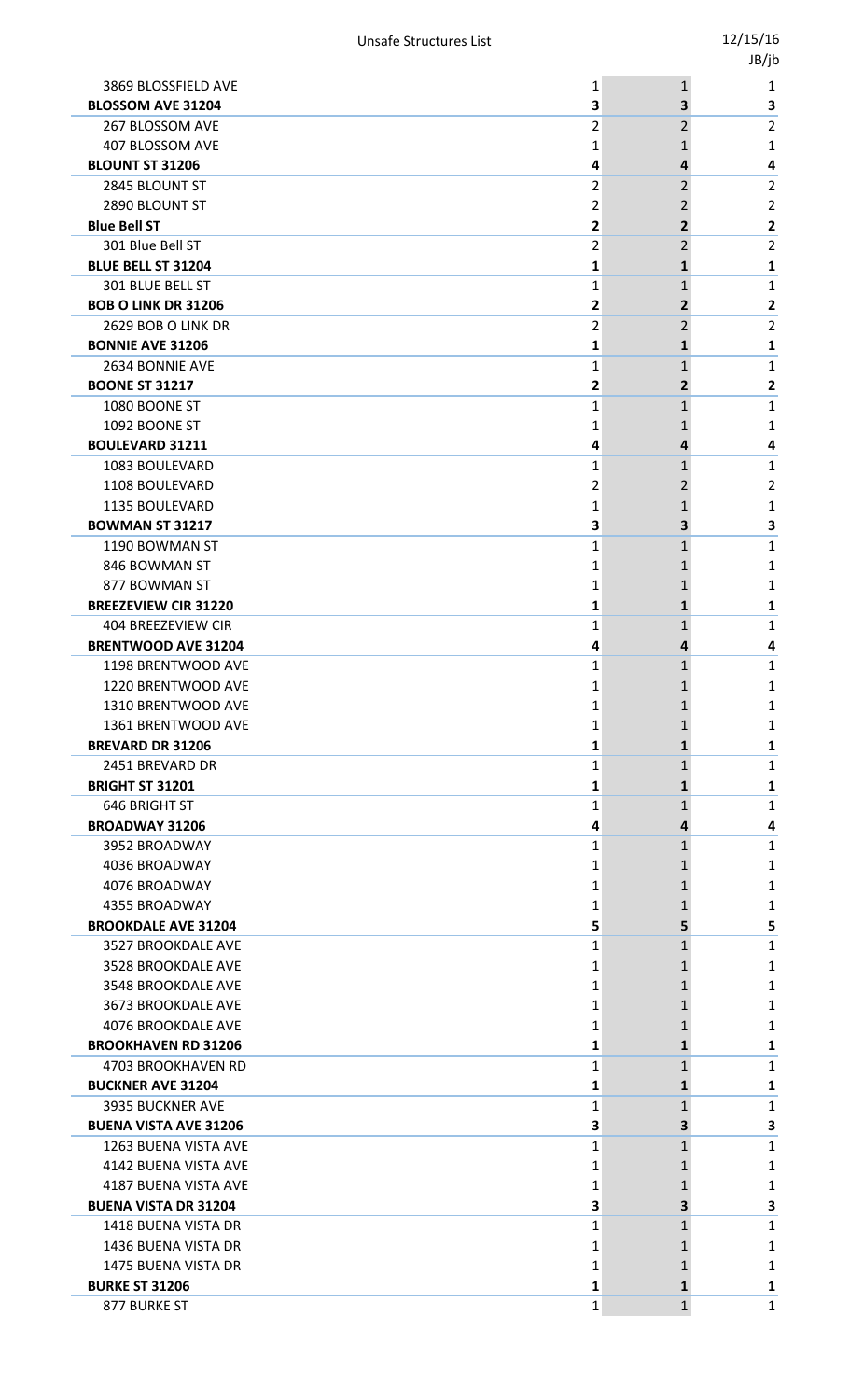|                             |                                                                                                                                                                                                                                                                                                                                                                                                                                                                                                                                                                                                                                                                                                                                                                                                                                                                                                                  |                                                                                                                                                    | . .                                                                                                                                                         |
|-----------------------------|------------------------------------------------------------------------------------------------------------------------------------------------------------------------------------------------------------------------------------------------------------------------------------------------------------------------------------------------------------------------------------------------------------------------------------------------------------------------------------------------------------------------------------------------------------------------------------------------------------------------------------------------------------------------------------------------------------------------------------------------------------------------------------------------------------------------------------------------------------------------------------------------------------------|----------------------------------------------------------------------------------------------------------------------------------------------------|-------------------------------------------------------------------------------------------------------------------------------------------------------------|
| 3869 BLOSSFIELD AVE         | 1                                                                                                                                                                                                                                                                                                                                                                                                                                                                                                                                                                                                                                                                                                                                                                                                                                                                                                                | $\mathbf{1}$                                                                                                                                       | 1                                                                                                                                                           |
|                             | 3                                                                                                                                                                                                                                                                                                                                                                                                                                                                                                                                                                                                                                                                                                                                                                                                                                                                                                                | 3                                                                                                                                                  | 3                                                                                                                                                           |
|                             |                                                                                                                                                                                                                                                                                                                                                                                                                                                                                                                                                                                                                                                                                                                                                                                                                                                                                                                  |                                                                                                                                                    | 2                                                                                                                                                           |
|                             | 1                                                                                                                                                                                                                                                                                                                                                                                                                                                                                                                                                                                                                                                                                                                                                                                                                                                                                                                | 1                                                                                                                                                  | 1                                                                                                                                                           |
|                             |                                                                                                                                                                                                                                                                                                                                                                                                                                                                                                                                                                                                                                                                                                                                                                                                                                                                                                                  | 4                                                                                                                                                  | 4                                                                                                                                                           |
|                             |                                                                                                                                                                                                                                                                                                                                                                                                                                                                                                                                                                                                                                                                                                                                                                                                                                                                                                                  |                                                                                                                                                    | 2                                                                                                                                                           |
|                             |                                                                                                                                                                                                                                                                                                                                                                                                                                                                                                                                                                                                                                                                                                                                                                                                                                                                                                                  |                                                                                                                                                    | 2                                                                                                                                                           |
|                             |                                                                                                                                                                                                                                                                                                                                                                                                                                                                                                                                                                                                                                                                                                                                                                                                                                                                                                                  |                                                                                                                                                    | $\mathbf{2}$                                                                                                                                                |
|                             |                                                                                                                                                                                                                                                                                                                                                                                                                                                                                                                                                                                                                                                                                                                                                                                                                                                                                                                  |                                                                                                                                                    | 2                                                                                                                                                           |
|                             |                                                                                                                                                                                                                                                                                                                                                                                                                                                                                                                                                                                                                                                                                                                                                                                                                                                                                                                  |                                                                                                                                                    | 1                                                                                                                                                           |
|                             |                                                                                                                                                                                                                                                                                                                                                                                                                                                                                                                                                                                                                                                                                                                                                                                                                                                                                                                  |                                                                                                                                                    | 1                                                                                                                                                           |
|                             |                                                                                                                                                                                                                                                                                                                                                                                                                                                                                                                                                                                                                                                                                                                                                                                                                                                                                                                  |                                                                                                                                                    | 2<br>2                                                                                                                                                      |
|                             |                                                                                                                                                                                                                                                                                                                                                                                                                                                                                                                                                                                                                                                                                                                                                                                                                                                                                                                  |                                                                                                                                                    | 1                                                                                                                                                           |
|                             |                                                                                                                                                                                                                                                                                                                                                                                                                                                                                                                                                                                                                                                                                                                                                                                                                                                                                                                  |                                                                                                                                                    | 1                                                                                                                                                           |
|                             |                                                                                                                                                                                                                                                                                                                                                                                                                                                                                                                                                                                                                                                                                                                                                                                                                                                                                                                  |                                                                                                                                                    | 2                                                                                                                                                           |
|                             |                                                                                                                                                                                                                                                                                                                                                                                                                                                                                                                                                                                                                                                                                                                                                                                                                                                                                                                  |                                                                                                                                                    | 1                                                                                                                                                           |
|                             |                                                                                                                                                                                                                                                                                                                                                                                                                                                                                                                                                                                                                                                                                                                                                                                                                                                                                                                  |                                                                                                                                                    | 1                                                                                                                                                           |
|                             | 4                                                                                                                                                                                                                                                                                                                                                                                                                                                                                                                                                                                                                                                                                                                                                                                                                                                                                                                | 4                                                                                                                                                  | 4                                                                                                                                                           |
|                             | 1                                                                                                                                                                                                                                                                                                                                                                                                                                                                                                                                                                                                                                                                                                                                                                                                                                                                                                                | 1                                                                                                                                                  | 1                                                                                                                                                           |
| 1108 BOULEVARD              | 2                                                                                                                                                                                                                                                                                                                                                                                                                                                                                                                                                                                                                                                                                                                                                                                                                                                                                                                | 2                                                                                                                                                  | 2                                                                                                                                                           |
| 1135 BOULEVARD              | 1                                                                                                                                                                                                                                                                                                                                                                                                                                                                                                                                                                                                                                                                                                                                                                                                                                                                                                                | 1                                                                                                                                                  | 1                                                                                                                                                           |
| <b>BOWMAN ST 31217</b>      | 3                                                                                                                                                                                                                                                                                                                                                                                                                                                                                                                                                                                                                                                                                                                                                                                                                                                                                                                | з                                                                                                                                                  | 3                                                                                                                                                           |
| 1190 BOWMAN ST              | 1                                                                                                                                                                                                                                                                                                                                                                                                                                                                                                                                                                                                                                                                                                                                                                                                                                                                                                                | 1                                                                                                                                                  | 1                                                                                                                                                           |
| 846 BOWMAN ST               | 1                                                                                                                                                                                                                                                                                                                                                                                                                                                                                                                                                                                                                                                                                                                                                                                                                                                                                                                | 1                                                                                                                                                  | 1                                                                                                                                                           |
| 877 BOWMAN ST               | 1                                                                                                                                                                                                                                                                                                                                                                                                                                                                                                                                                                                                                                                                                                                                                                                                                                                                                                                |                                                                                                                                                    | 1                                                                                                                                                           |
| <b>BREEZEVIEW CIR 31220</b> | 1                                                                                                                                                                                                                                                                                                                                                                                                                                                                                                                                                                                                                                                                                                                                                                                                                                                                                                                | 1                                                                                                                                                  | 1                                                                                                                                                           |
|                             | 1                                                                                                                                                                                                                                                                                                                                                                                                                                                                                                                                                                                                                                                                                                                                                                                                                                                                                                                | 1                                                                                                                                                  | 1                                                                                                                                                           |
|                             |                                                                                                                                                                                                                                                                                                                                                                                                                                                                                                                                                                                                                                                                                                                                                                                                                                                                                                                  |                                                                                                                                                    | 4                                                                                                                                                           |
|                             |                                                                                                                                                                                                                                                                                                                                                                                                                                                                                                                                                                                                                                                                                                                                                                                                                                                                                                                  |                                                                                                                                                    | 1                                                                                                                                                           |
|                             |                                                                                                                                                                                                                                                                                                                                                                                                                                                                                                                                                                                                                                                                                                                                                                                                                                                                                                                  |                                                                                                                                                    | 1                                                                                                                                                           |
|                             |                                                                                                                                                                                                                                                                                                                                                                                                                                                                                                                                                                                                                                                                                                                                                                                                                                                                                                                  |                                                                                                                                                    | 1<br>1                                                                                                                                                      |
|                             |                                                                                                                                                                                                                                                                                                                                                                                                                                                                                                                                                                                                                                                                                                                                                                                                                                                                                                                  |                                                                                                                                                    | 1                                                                                                                                                           |
|                             |                                                                                                                                                                                                                                                                                                                                                                                                                                                                                                                                                                                                                                                                                                                                                                                                                                                                                                                  |                                                                                                                                                    | 1                                                                                                                                                           |
|                             |                                                                                                                                                                                                                                                                                                                                                                                                                                                                                                                                                                                                                                                                                                                                                                                                                                                                                                                  | 1                                                                                                                                                  | 1                                                                                                                                                           |
| 646 BRIGHT ST               | 1                                                                                                                                                                                                                                                                                                                                                                                                                                                                                                                                                                                                                                                                                                                                                                                                                                                                                                                | $\mathbf{1}$                                                                                                                                       | 1                                                                                                                                                           |
| <b>BROADWAY 31206</b>       | 4                                                                                                                                                                                                                                                                                                                                                                                                                                                                                                                                                                                                                                                                                                                                                                                                                                                                                                                | 4                                                                                                                                                  | 4                                                                                                                                                           |
| 3952 BROADWAY               | 1                                                                                                                                                                                                                                                                                                                                                                                                                                                                                                                                                                                                                                                                                                                                                                                                                                                                                                                | 1                                                                                                                                                  | 1                                                                                                                                                           |
| 4036 BROADWAY               | 1                                                                                                                                                                                                                                                                                                                                                                                                                                                                                                                                                                                                                                                                                                                                                                                                                                                                                                                |                                                                                                                                                    | 1                                                                                                                                                           |
| 4076 BROADWAY               | 1                                                                                                                                                                                                                                                                                                                                                                                                                                                                                                                                                                                                                                                                                                                                                                                                                                                                                                                |                                                                                                                                                    | 1                                                                                                                                                           |
| 4355 BROADWAY               | 1                                                                                                                                                                                                                                                                                                                                                                                                                                                                                                                                                                                                                                                                                                                                                                                                                                                                                                                |                                                                                                                                                    | 1                                                                                                                                                           |
| <b>BROOKDALE AVE 31204</b>  | 5                                                                                                                                                                                                                                                                                                                                                                                                                                                                                                                                                                                                                                                                                                                                                                                                                                                                                                                | 5.                                                                                                                                                 | 5                                                                                                                                                           |
| 3527 BROOKDALE AVE          | 1                                                                                                                                                                                                                                                                                                                                                                                                                                                                                                                                                                                                                                                                                                                                                                                                                                                                                                                | 1                                                                                                                                                  | 1                                                                                                                                                           |
|                             | 1                                                                                                                                                                                                                                                                                                                                                                                                                                                                                                                                                                                                                                                                                                                                                                                                                                                                                                                |                                                                                                                                                    | 1                                                                                                                                                           |
|                             | 1                                                                                                                                                                                                                                                                                                                                                                                                                                                                                                                                                                                                                                                                                                                                                                                                                                                                                                                |                                                                                                                                                    | 1                                                                                                                                                           |
|                             |                                                                                                                                                                                                                                                                                                                                                                                                                                                                                                                                                                                                                                                                                                                                                                                                                                                                                                                  |                                                                                                                                                    | 1                                                                                                                                                           |
|                             |                                                                                                                                                                                                                                                                                                                                                                                                                                                                                                                                                                                                                                                                                                                                                                                                                                                                                                                  |                                                                                                                                                    | 1                                                                                                                                                           |
|                             |                                                                                                                                                                                                                                                                                                                                                                                                                                                                                                                                                                                                                                                                                                                                                                                                                                                                                                                  |                                                                                                                                                    | 1                                                                                                                                                           |
|                             |                                                                                                                                                                                                                                                                                                                                                                                                                                                                                                                                                                                                                                                                                                                                                                                                                                                                                                                  |                                                                                                                                                    | 1                                                                                                                                                           |
|                             |                                                                                                                                                                                                                                                                                                                                                                                                                                                                                                                                                                                                                                                                                                                                                                                                                                                                                                                  |                                                                                                                                                    | 1<br>1                                                                                                                                                      |
|                             |                                                                                                                                                                                                                                                                                                                                                                                                                                                                                                                                                                                                                                                                                                                                                                                                                                                                                                                  |                                                                                                                                                    | 3                                                                                                                                                           |
|                             | 1                                                                                                                                                                                                                                                                                                                                                                                                                                                                                                                                                                                                                                                                                                                                                                                                                                                                                                                | $\mathbf{1}$                                                                                                                                       | 1                                                                                                                                                           |
| 4142 BUENA VISTA AVE        | 1                                                                                                                                                                                                                                                                                                                                                                                                                                                                                                                                                                                                                                                                                                                                                                                                                                                                                                                |                                                                                                                                                    | 1                                                                                                                                                           |
| 4187 BUENA VISTA AVE        | 1                                                                                                                                                                                                                                                                                                                                                                                                                                                                                                                                                                                                                                                                                                                                                                                                                                                                                                                |                                                                                                                                                    | 1                                                                                                                                                           |
| <b>BUENA VISTA DR 31204</b> | 3                                                                                                                                                                                                                                                                                                                                                                                                                                                                                                                                                                                                                                                                                                                                                                                                                                                                                                                | 3                                                                                                                                                  | 3                                                                                                                                                           |
| 1418 BUENA VISTA DR         | 1                                                                                                                                                                                                                                                                                                                                                                                                                                                                                                                                                                                                                                                                                                                                                                                                                                                                                                                | 1                                                                                                                                                  | 1                                                                                                                                                           |
| 1436 BUENA VISTA DR         | 1                                                                                                                                                                                                                                                                                                                                                                                                                                                                                                                                                                                                                                                                                                                                                                                                                                                                                                                |                                                                                                                                                    | 1                                                                                                                                                           |
| 1475 BUENA VISTA DR         | 1                                                                                                                                                                                                                                                                                                                                                                                                                                                                                                                                                                                                                                                                                                                                                                                                                                                                                                                |                                                                                                                                                    | 1                                                                                                                                                           |
| <b>BURKE ST 31206</b>       | 1                                                                                                                                                                                                                                                                                                                                                                                                                                                                                                                                                                                                                                                                                                                                                                                                                                                                                                                | 1                                                                                                                                                  | 1                                                                                                                                                           |
| 877 BURKE ST                | 1                                                                                                                                                                                                                                                                                                                                                                                                                                                                                                                                                                                                                                                                                                                                                                                                                                                                                                                | $\mathbf{1}$                                                                                                                                       | 1                                                                                                                                                           |
|                             | <b>BLOSSOM AVE 31204</b><br>267 BLOSSOM AVE<br>407 BLOSSOM AVE<br><b>BLOUNT ST 31206</b><br>2845 BLOUNT ST<br>2890 BLOUNT ST<br><b>Blue Bell ST</b><br>301 Blue Bell ST<br><b>BLUE BELL ST 31204</b><br>301 BLUE BELL ST<br><b>BOB O LINK DR 31206</b><br>2629 BOB O LINK DR<br><b>BONNIE AVE 31206</b><br>2634 BONNIE AVE<br><b>BOONE ST 31217</b><br>1080 BOONE ST<br>1092 BOONE ST<br><b>BOULEVARD 31211</b><br>1083 BOULEVARD<br>404 BREEZEVIEW CIR<br><b>BRENTWOOD AVE 31204</b><br>1198 BRENTWOOD AVE<br>1220 BRENTWOOD AVE<br>1310 BRENTWOOD AVE<br>1361 BRENTWOOD AVE<br><b>BREVARD DR 31206</b><br>2451 BREVARD DR<br><b>BRIGHT ST 31201</b><br>3528 BROOKDALE AVE<br>3548 BROOKDALE AVE<br>3673 BROOKDALE AVE<br>4076 BROOKDALE AVE<br><b>BROOKHAVEN RD 31206</b><br>4703 BROOKHAVEN RD<br><b>BUCKNER AVE 31204</b><br><b>3935 BUCKNER AVE</b><br><b>BUENA VISTA AVE 31206</b><br>1263 BUENA VISTA AVE | 2<br>4<br>2<br>2<br>2<br>2<br>1<br>1<br>2<br>2<br>1<br>1<br>2<br>1<br>1<br>4<br>1<br>1<br>1<br>1<br>1<br>1<br>1<br>1<br>1<br>1<br>1<br>1<br>1<br>3 | 2<br>2<br>2<br>2<br>2<br>1<br>1<br>2<br>2<br>1<br>1<br>2<br>$\mathbf{1}$<br>4<br>1<br>1<br>1<br>$\mathbf{1}$<br>1<br>$\mathbf{1}$<br>1<br>$\mathbf{1}$<br>3 |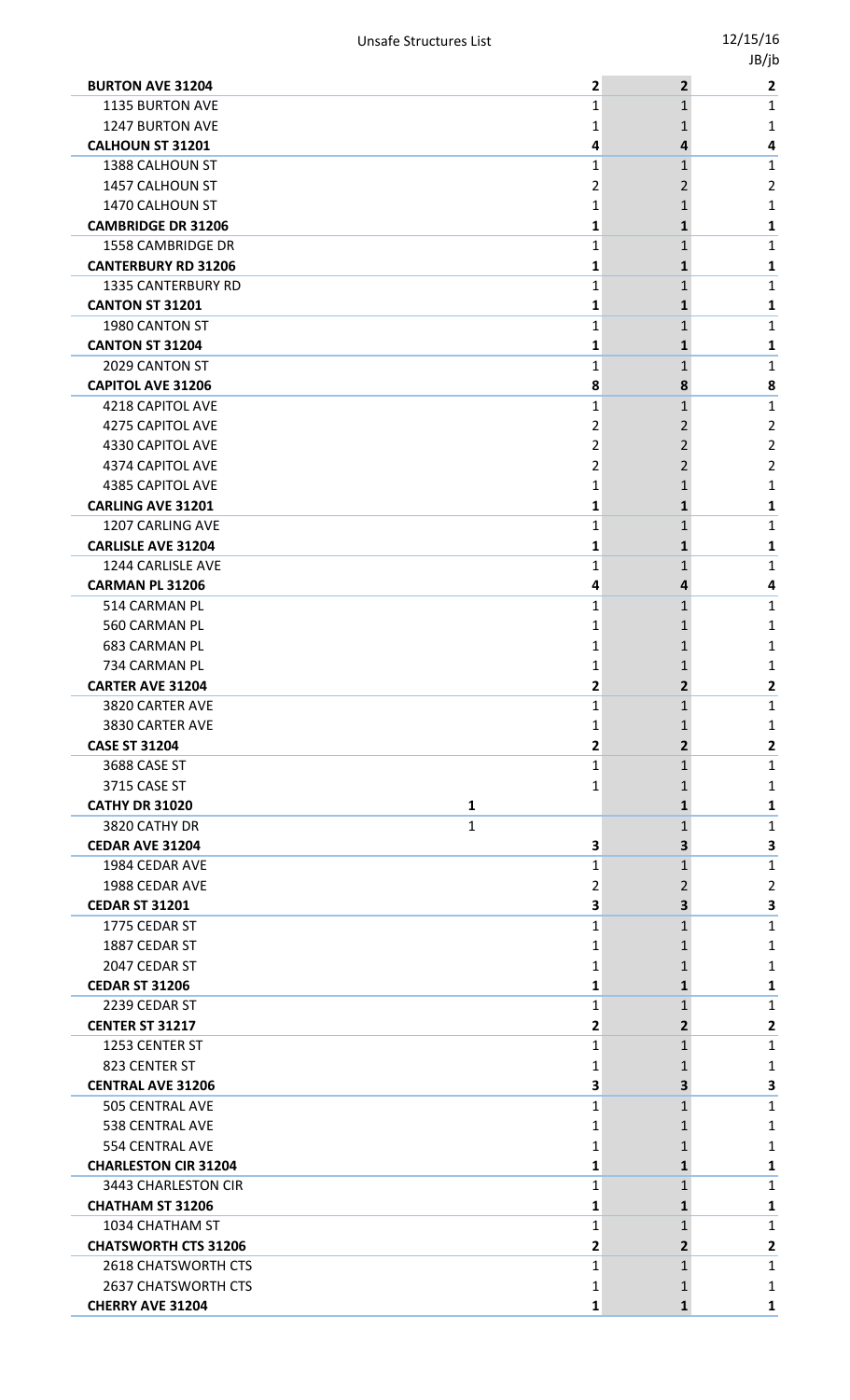|                             |                         |                         | JB/jb                   |
|-----------------------------|-------------------------|-------------------------|-------------------------|
| <b>BURTON AVE 31204</b>     | $\mathbf{2}$            | $\overline{2}$          | $\overline{\mathbf{2}}$ |
| <b>1135 BURTON AVE</b>      | $\mathbf{1}$            | $\mathbf{1}$            | $\mathbf{1}$            |
| <b>1247 BURTON AVE</b>      | 1                       | 1                       | 1                       |
| <b>CALHOUN ST 31201</b>     | 4                       | 4                       | 4                       |
| 1388 CALHOUN ST             | 1                       | $\mathbf{1}$            | $\mathbf{1}$            |
| 1457 CALHOUN ST             | 2                       | $\overline{2}$          | $\overline{2}$          |
| 1470 CALHOUN ST             | 1                       | 1                       | 1                       |
| <b>CAMBRIDGE DR 31206</b>   | 1                       | 1                       | 1                       |
| <b>1558 CAMBRIDGE DR</b>    | $\mathbf{1}$            | $\mathbf{1}$            | $\mathbf{1}$            |
| <b>CANTERBURY RD 31206</b>  | 1                       | 1                       | 1                       |
| <b>1335 CANTERBURY RD</b>   | 1                       | $\mathbf{1}$            | 1                       |
| <b>CANTON ST 31201</b>      | 1                       | 1                       | 1                       |
| 1980 CANTON ST              | 1                       | $\mathbf{1}$            | 1                       |
| <b>CANTON ST 31204</b>      | 1                       | 1                       | 1                       |
| 2029 CANTON ST              | 1                       | 1                       | $\mathbf{1}$            |
| <b>CAPITOL AVE 31206</b>    | 8                       | 8                       | 8                       |
| <b>4218 CAPITOL AVE</b>     | 1                       | $\mathbf{1}$            | $\mathbf{1}$            |
| 4275 CAPITOL AVE            | 2                       | 2                       | $\overline{2}$          |
| 4330 CAPITOL AVE            | 2                       | 2                       | $\overline{2}$          |
| 4374 CAPITOL AVE            | $\overline{2}$          | 2                       | 2                       |
| 4385 CAPITOL AVE            | 1                       | 1                       | 1                       |
| <b>CARLING AVE 31201</b>    | 1                       | $\mathbf{1}$            | 1                       |
| 1207 CARLING AVE            | 1                       | $\mathbf{1}$            | 1                       |
| <b>CARLISLE AVE 31204</b>   | 1                       | 1                       | 1                       |
| 1244 CARLISLE AVE           | 1                       | 1                       | $\mathbf{1}$            |
| <b>CARMAN PL 31206</b>      | 4                       | 4                       | 4                       |
| 514 CARMAN PL               | 1                       | $\mathbf{1}$            | $\mathbf{1}$            |
| 560 CARMAN PL               | 1                       | 1                       | 1                       |
| <b>683 CARMAN PL</b>        | 1                       | 1                       | 1                       |
| 734 CARMAN PL               | 1                       | $\mathbf{1}$            | 1                       |
| <b>CARTER AVE 31204</b>     | $\mathbf{2}$            | $\overline{2}$          | $\mathbf{2}$            |
| 3820 CARTER AVE             | 1                       | 1                       | $\mathbf{1}$            |
| 3830 CARTER AVE             | 1                       | 1                       | 1                       |
| <b>CASE ST 31204</b>        | $\overline{\mathbf{c}}$ | $\overline{2}$          | $\overline{2}$          |
| 3688 CASE ST                | 1                       | 1                       | $\mathbf{1}$            |
| 3715 CASE ST                | 1                       | 1                       | 1                       |
| <b>CATHY DR 31020</b><br>1  |                         | 1                       | 1                       |
| 3820 CATHY DR<br>1          |                         | 1                       | $\mathbf{1}$            |
| <b>CEDAR AVE 31204</b>      | 3                       | 3                       | 3                       |
| 1984 CEDAR AVE              | 1                       | 1                       | $\mathbf{1}$            |
| 1988 CEDAR AVE              | 2                       | 2                       | $\overline{2}$          |
| <b>CEDAR ST 31201</b>       | 3                       | 3                       | 3                       |
| 1775 CEDAR ST               | 1                       | 1                       | 1                       |
| 1887 CEDAR ST               | 1                       | 1                       | 1                       |
| 2047 CEDAR ST               | 1                       | 1                       | 1                       |
| <b>CEDAR ST 31206</b>       | 1                       | 1                       | 1                       |
| 2239 CEDAR ST               | 1                       | 1                       | $\mathbf{1}$            |
| <b>CENTER ST 31217</b>      | 2                       | $\overline{2}$          | $\overline{\mathbf{2}}$ |
| 1253 CENTER ST              | 1                       | 1                       | $\mathbf{1}$            |
| 823 CENTER ST               | 1                       | 1                       | 1                       |
| <b>CENTRAL AVE 31206</b>    | 3                       | 3                       | 3                       |
| <b>505 CENTRAL AVE</b>      | 1                       | 1                       | $\mathbf{1}$            |
| <b>538 CENTRAL AVE</b>      | 1                       | 1                       | 1                       |
| <b>554 CENTRAL AVE</b>      | 1                       | 1                       | 1                       |
| <b>CHARLESTON CIR 31204</b> | 1                       | $\mathbf{1}$            | 1                       |
| 3443 CHARLESTON CIR         | 1                       | 1                       | 1                       |
| <b>CHATHAM ST 31206</b>     | 1                       | 1                       | 1                       |
| 1034 CHATHAM ST             | 1                       | 1                       | $\mathbf{1}$            |
| <b>CHATSWORTH CTS 31206</b> | $\overline{\mathbf{c}}$ | $\overline{\mathbf{2}}$ | $\mathbf{2}$            |
| 2618 CHATSWORTH CTS         | 1                       | 1                       | $\mathbf{1}$            |
| <b>2637 CHATSWORTH CTS</b>  | 1                       | 1                       | 1                       |
| <b>CHERRY AVE 31204</b>     | $\mathbf 1$             | $\mathbf{1}$            | $\mathbf{1}$            |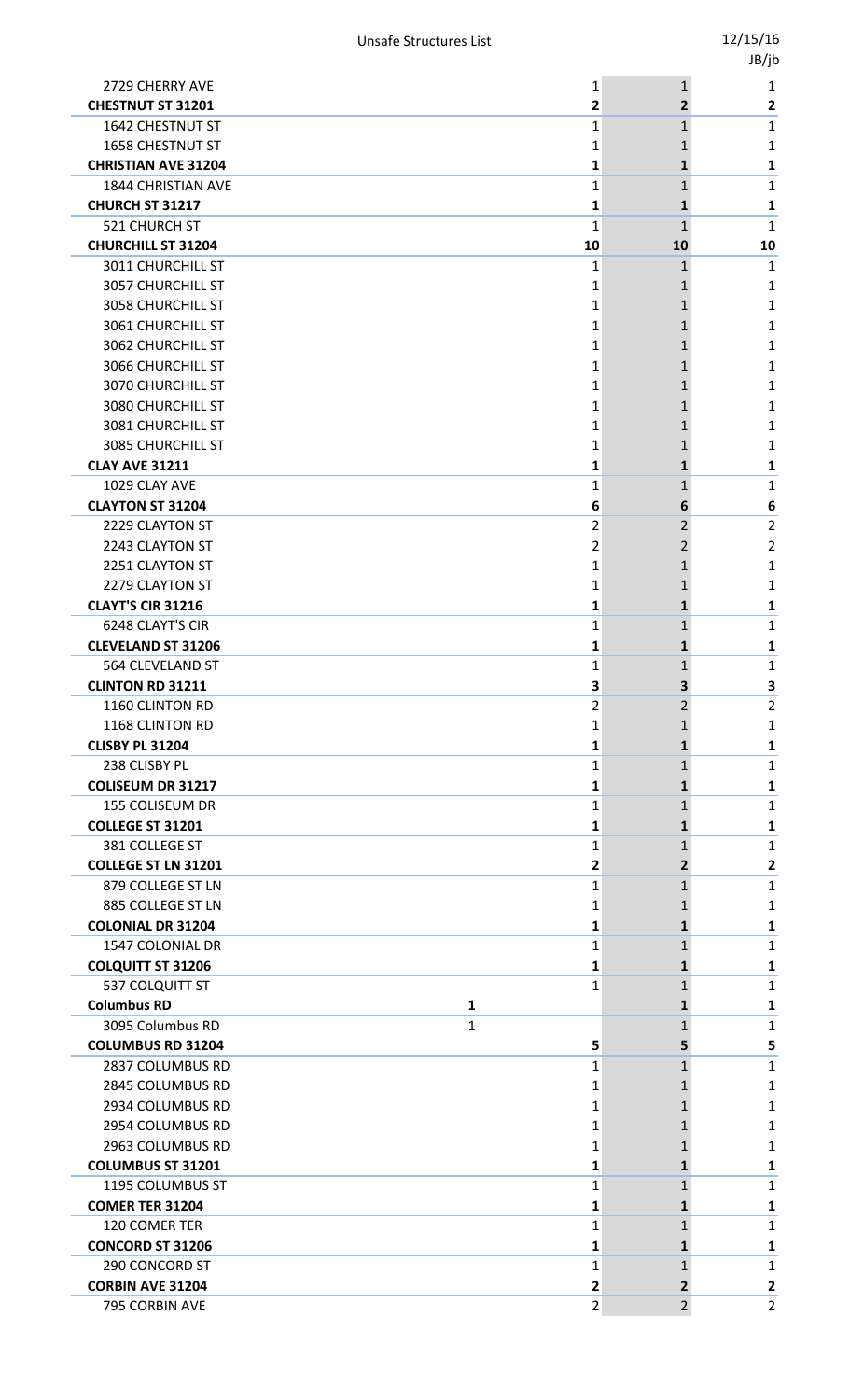|                            |                         |                | JB/jb          |
|----------------------------|-------------------------|----------------|----------------|
| 2729 CHERRY AVE            | 1                       | $\mathbf{1}$   | 1              |
| <b>CHESTNUT ST 31201</b>   | 2                       | $\overline{2}$ | $\mathbf{2}$   |
| 1642 CHESTNUT ST           | 1                       | $\mathbf{1}$   | 1              |
| 1658 CHESTNUT ST           | 1                       | 1              | 1              |
| <b>CHRISTIAN AVE 31204</b> | 1                       | 1              | 1              |
| <b>1844 CHRISTIAN AVE</b>  | $\mathbf{1}$            | 1              | 1              |
| <b>CHURCH ST 31217</b>     | 1                       | 1              | 1              |
| 521 CHURCH ST              | $\mathbf{1}$            | $\mathbf{1}$   | 1              |
| <b>CHURCHILL ST 31204</b>  | 10                      | 10             | 10             |
| 3011 CHURCHILL ST          | 1                       | $\mathbf{1}$   | $\mathbf{1}$   |
| 3057 CHURCHILL ST          | 1                       | 1              | 1              |
| 3058 CHURCHILL ST          | 1                       | 1              | 1              |
| 3061 CHURCHILL ST          | 1                       | 1              | 1              |
| <b>3062 CHURCHILL ST</b>   | 1                       | 1              | 1              |
| 3066 CHURCHILL ST          | 1                       | 1              | 1              |
| 3070 CHURCHILL ST          | 1                       | 1              | 1              |
| 3080 CHURCHILL ST          | 1                       | 1              | 1              |
| 3081 CHURCHILL ST          | 1                       | 1              | 1              |
| <b>3085 CHURCHILL ST</b>   | 1                       | 1              | 1              |
| <b>CLAY AVE 31211</b>      | 1                       | 1              | 1              |
| 1029 CLAY AVE              | $\mathbf{1}$            | 1              | $\mathbf 1$    |
| <b>CLAYTON ST 31204</b>    | 6                       | 6              | 6              |
| 2229 CLAYTON ST            | $\overline{2}$          | 2              | $\overline{2}$ |
| 2243 CLAYTON ST            | 2                       | 2              | $\overline{2}$ |
| 2251 CLAYTON ST            |                         |                |                |
|                            | 1                       | 1              | 1              |
| 2279 CLAYTON ST            | 1                       | 1              | 1              |
| <b>CLAYT'S CIR 31216</b>   | 1                       | 1              | 1              |
| 6248 CLAYT'S CIR           | $\mathbf{1}$            | $\mathbf{1}$   | 1              |
| <b>CLEVELAND ST 31206</b>  | 1                       | 1              | 1              |
| 564 CLEVELAND ST           | 1                       | 1              | 1              |
| <b>CLINTON RD 31211</b>    | 3                       | 3              | 3              |
| 1160 CLINTON RD            | 2                       | 2              | $\overline{2}$ |
| 1168 CLINTON RD            | 1                       | 1              | 1              |
| <b>CLISBY PL 31204</b>     | 1                       | 1              | 1              |
| 238 CLISBY PL              | 1                       | $\mathbf{1}$   | $\mathbf{1}$   |
| <b>COLISEUM DR 31217</b>   | 1                       | 1              | 1              |
| 155 COLISEUM DR            | $\mathbf{1}$            | 1              | 1              |
| <b>COLLEGE ST 31201</b>    | 1                       | 1              | 1              |
| 381 COLLEGE ST             | $\mathbf{1}$            | 1              | $\mathbf{1}$   |
| <b>COLLEGE ST LN 31201</b> | $\overline{\mathbf{c}}$ | $\overline{2}$ | $\mathbf{2}$   |
| 879 COLLEGE ST LN          | 1                       | 1              | 1              |
| 885 COLLEGE ST LN          | 1                       | 1              | 1              |
| <b>COLONIAL DR 31204</b>   | 1                       | 1              | 1              |
| 1547 COLONIAL DR           | $\mathbf{1}$            | 1              | 1              |
| <b>COLQUITT ST 31206</b>   | 1                       | $\mathbf{1}$   | 1              |
| 537 COLQUITT ST            | $\mathbf{1}$            | 1              | 1              |
| <b>Columbus RD</b>         | 1                       | 1              | 1              |
| 3095 Columbus RD           | 1                       | $\mathbf{1}$   | $\mathbf{1}$   |
| <b>COLUMBUS RD 31204</b>   | 5                       | 5              | 5              |
| 2837 COLUMBUS RD           | 1                       | $\mathbf{1}$   | $\mathbf{1}$   |
| 2845 COLUMBUS RD           | 1                       | 1              | 1              |
| 2934 COLUMBUS RD           | 1                       | 1              | 1              |
| 2954 COLUMBUS RD           | 1                       | 1              | 1              |
| 2963 COLUMBUS RD           | 1                       | 1              | 1              |
| <b>COLUMBUS ST 31201</b>   | 1                       | $\mathbf{1}$   | 1              |
| 1195 COLUMBUS ST           | 1                       | 1              | 1              |
| <b>COMER TER 31204</b>     | 1                       | 1              | 1              |
| 120 COMER TER              | 1                       | $\mathbf{1}$   | $\mathbf{1}$   |
| <b>CONCORD ST 31206</b>    | 1                       | 1              | 1              |
| 290 CONCORD ST             | 1                       | $\mathbf{1}$   | $\mathbf{1}$   |
| <b>CORBIN AVE 31204</b>    | 2                       | 2              | 2              |
| 795 CORBIN AVE             | $\overline{2}$          | $\overline{2}$ | $2^{\circ}$    |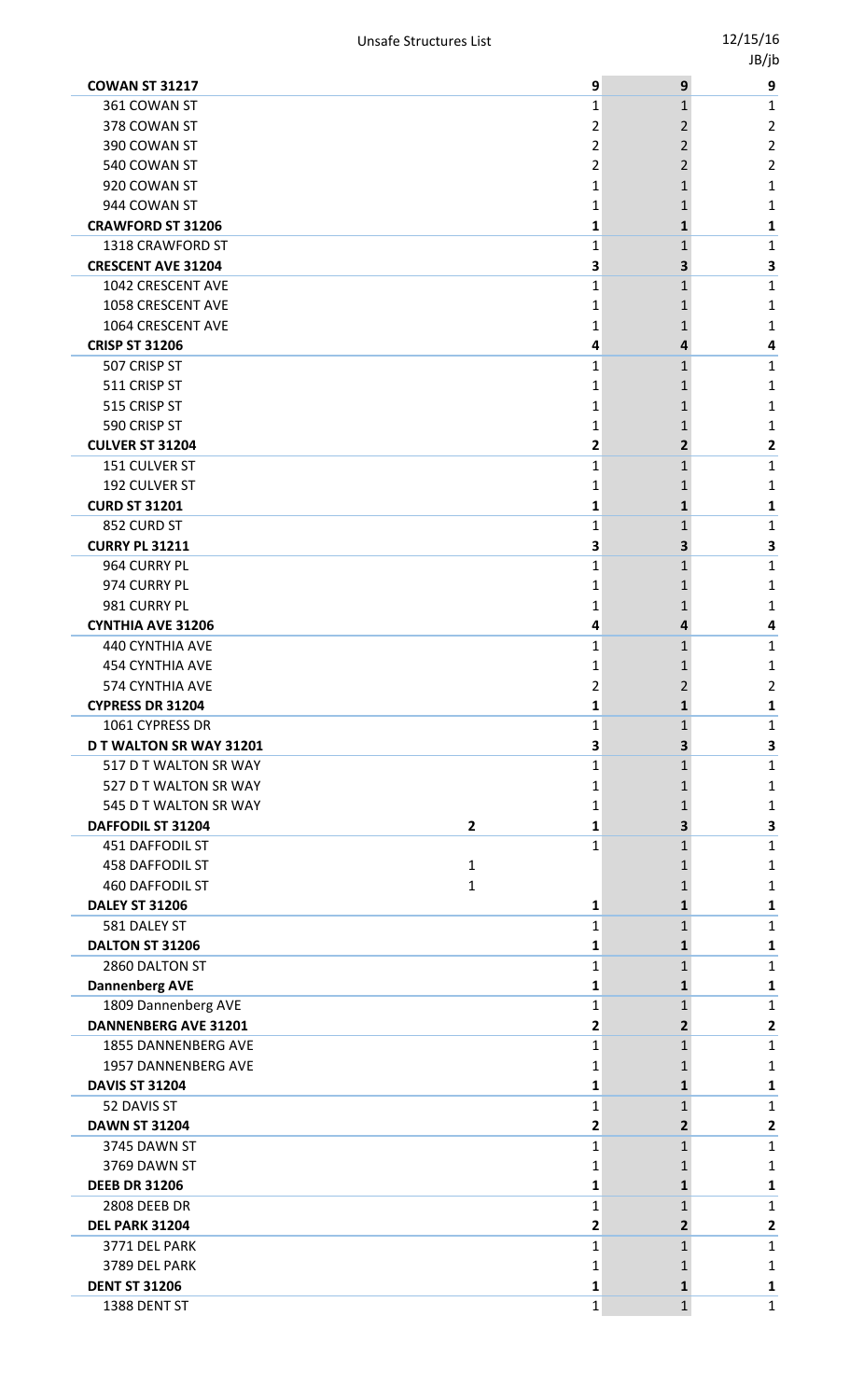| <b>COWAN ST 31217</b>                        | 9           | 9              | 9              |
|----------------------------------------------|-------------|----------------|----------------|
| 361 COWAN ST                                 | 1           | $\mathbf{1}$   | 1              |
| 378 COWAN ST                                 | 2           | 2              | 2              |
| 390 COWAN ST                                 | 2           | 2              | $\overline{2}$ |
| 540 COWAN ST                                 | 2           | 2              | 2              |
| 920 COWAN ST                                 | 1           | 1              | 1              |
| 944 COWAN ST                                 | 1           | 1              | 1              |
| <b>CRAWFORD ST 31206</b>                     | 1           | 1              | 1              |
| 1318 CRAWFORD ST                             | 1           | 1              | 1              |
| <b>CRESCENT AVE 31204</b>                    | 3           | 3              | 3              |
| 1042 CRESCENT AVE                            | $\mathbf 1$ | $\mathbf{1}$   | 1              |
| 1058 CRESCENT AVE                            | 1           | 1              | 1              |
| 1064 CRESCENT AVE                            | 1           | 1              | 1              |
| <b>CRISP ST 31206</b>                        | 4           | 4              | 4              |
| 507 CRISP ST                                 | 1           | 1              | 1              |
| 511 CRISP ST                                 | 1           | 1              | 1              |
| 515 CRISP ST                                 | 1           | 1              | 1              |
| 590 CRISP ST                                 | 1           | 1              | 1              |
| <b>CULVER ST 31204</b>                       | 2           | $\overline{2}$ | 2              |
| 151 CULVER ST                                | 1           | 1              | 1              |
| 192 CULVER ST                                | 1           | 1              | 1              |
| <b>CURD ST 31201</b>                         | 1           | $\mathbf{1}$   | 1              |
| 852 CURD ST                                  | 1           | 1              | 1              |
| <b>CURRY PL 31211</b>                        | З           | 3              | 3              |
| 964 CURRY PL                                 | 1           | $\mathbf{1}$   | 1              |
| 974 CURRY PL                                 | 1           | 1              | 1              |
| 981 CURRY PL                                 | 1           | 1              | 1              |
| <b>CYNTHIA AVE 31206</b>                     | 4           | 4              | 4              |
| 440 CYNTHIA AVE                              | 1           | 1              | 1              |
| <b>454 CYNTHIA AVE</b>                       | 1           | 1              | 1              |
| 574 CYNTHIA AVE                              | 2           | 2              | 2              |
| <b>CYPRESS DR 31204</b>                      | 1           | $\mathbf{1}$   | 1              |
| 1061 CYPRESS DR                              | 1           | 1              | 1              |
| <b>DT WALTON SR WAY 31201</b>                | 3           | 3              | 3              |
| 517 D T WALTON SR WAY                        | 1           | $\mathbf{1}$   | 1              |
| 527 D T WALTON SR WAY                        | 1           | 1              | 1              |
| 545 D T WALTON SR WAY                        | 1           | 1              | 1              |
| $\overline{\mathbf{2}}$<br>DAFFODIL ST 31204 | 1           | 3              | 3              |
| 451 DAFFODIL ST                              | 1           | 1              | 1              |
| <b>458 DAFFODIL ST</b><br>$\mathbf{1}$       |             | 1              | 1              |
| <b>460 DAFFODIL ST</b><br>1                  |             | 1              | 1              |
| <b>DALEY ST 31206</b>                        | 1           | 1              | 1              |
| 581 DALEY ST                                 | 1           | 1              | 1              |
| DALTON ST 31206                              | 1           | 1              | 1              |
| 2860 DALTON ST                               | 1           | 1              | 1              |
| <b>Dannenberg AVE</b>                        | 1           | 1              | 1              |
| 1809 Dannenberg AVE                          | 1           | 1              | 1              |
| <b>DANNENBERG AVE 31201</b>                  | 2           | $\mathbf{2}$   | 2              |
| 1855 DANNENBERG AVE                          | 1           | 1              | 1              |
| 1957 DANNENBERG AVE                          | 1           | 1              | 1              |
| <b>DAVIS ST 31204</b>                        | 1           | 1              | 1              |
| 52 DAVIS ST                                  | 1           | 1              | 1              |
| <b>DAWN ST 31204</b>                         | 2           | $\mathbf{2}$   | $\mathbf{2}$   |
| 3745 DAWN ST                                 | 1           | 1              | 1              |
| 3769 DAWN ST                                 | 1           | 1              | 1              |
| <b>DEEB DR 31206</b>                         | 1           | 1              | 1              |
| <b>2808 DEEB DR</b>                          | 1           | 1              | 1              |
| DEL PARK 31204                               | 2           | $\mathbf{2}$   | $\mathbf{2}$   |
| 3771 DEL PARK                                | 1           | 1              | 1              |
| 3789 DEL PARK                                | 1           | 1              | 1              |
| <b>DENT ST 31206</b>                         | 1           | 1              | 1              |
| 1388 DENT ST                                 | 1           | $\mathbf{1}$   | 1              |
|                                              |             |                |                |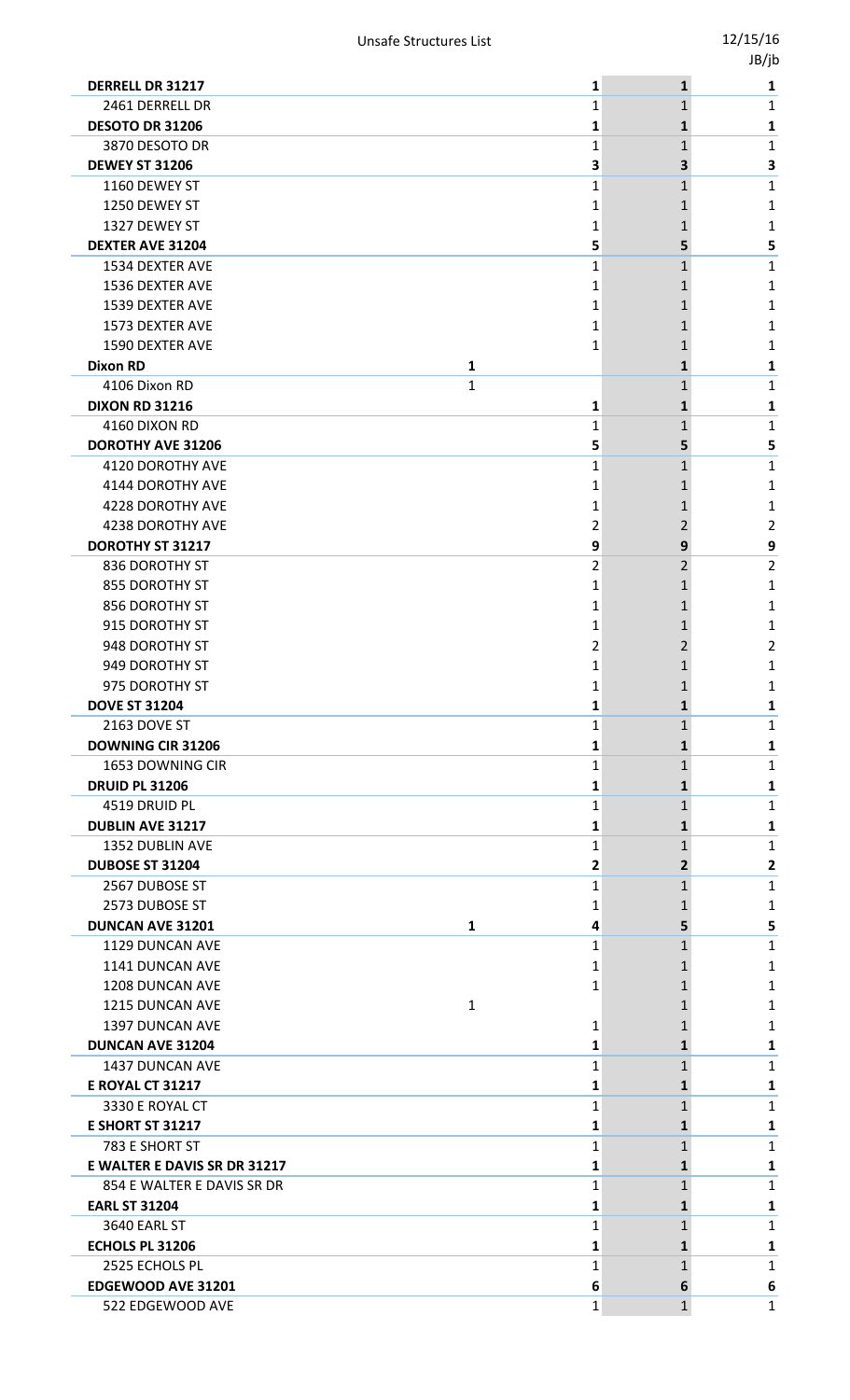|                              |              |    |              | טן נטי       |
|------------------------------|--------------|----|--------------|--------------|
| <b>DERRELL DR 31217</b>      |              | 1  | $\mathbf{1}$ | 1            |
| 2461 DERRELL DR              |              | 1  | 1            | 1            |
| <b>DESOTO DR 31206</b>       |              | 1  | 1            | 1            |
| 3870 DESOTO DR               |              | 1  | 1            | 1            |
| <b>DEWEY ST 31206</b>        |              | З  | З            | 3            |
| 1160 DEWEY ST                |              | 1  | $\mathbf{1}$ | 1            |
| 1250 DEWEY ST                |              | 1  | 1            | 1            |
| 1327 DEWEY ST                |              | 1  | 1            | 1            |
| <b>DEXTER AVE 31204</b>      |              | 5  | 5            | 5            |
| 1534 DEXTER AVE              |              | 1  | 1            | 1            |
| 1536 DEXTER AVE              |              | 1  | 1            | 1            |
| 1539 DEXTER AVE              |              | 1  | 1            | 1            |
| 1573 DEXTER AVE              |              | 1  | 1            | 1            |
| <b>1590 DEXTER AVE</b>       |              | 1  | 1            | 1            |
| <b>Dixon RD</b>              | 1            |    | 1            | 1            |
| 4106 Dixon RD                | $\mathbf{1}$ |    | 1            | 1            |
| <b>DIXON RD 31216</b>        |              | 1  | 1            | 1            |
| 4160 DIXON RD                |              | 1  | 1            | 1            |
| <b>DOROTHY AVE 31206</b>     |              | 5  | 5            | 5            |
| 4120 DOROTHY AVE             |              | 1  | 1            | 1            |
| 4144 DOROTHY AVE             |              | 1  | 1            | 1            |
| 4228 DOROTHY AVE             |              | 1  | 1            | 1            |
| 4238 DOROTHY AVE             |              | 2  | 2            | 2            |
| DOROTHY ST 31217             |              | 9  | 9            | 9            |
| 836 DOROTHY ST               |              | 2  | 2            | 2            |
| 855 DOROTHY ST               |              |    | 1            |              |
|                              |              | 1  |              | 1            |
| 856 DOROTHY ST               |              | 1  | 1            | 1            |
| 915 DOROTHY ST               |              | 1  | 1            | 1            |
| 948 DOROTHY ST               |              | 2  | 2            | 2            |
| 949 DOROTHY ST               |              | 1  |              | 1            |
| 975 DOROTHY ST               |              | Ŧ, |              | 1            |
| <b>DOVE ST 31204</b>         |              | 1  | 1            | 1            |
| 2163 DOVE ST                 |              | 1  | 1            | 1            |
| <b>DOWNING CIR 31206</b>     |              | 1  | 1            | 1            |
| 1653 DOWNING CIR             |              | 1  | 1            | 1            |
| <b>DRUID PL 31206</b>        |              | 1  | 1            | 1            |
| 4519 DRUID PL                |              | 1  | 1            | 1            |
| <b>DUBLIN AVE 31217</b>      |              | 1  | 1            | 1            |
| <b>1352 DUBLIN AVE</b>       |              | 1  | $\mathbf{1}$ | 1            |
| <b>DUBOSE ST 31204</b>       |              | 2  | 2            | 2            |
| 2567 DUBOSE ST               |              | 1  | $\mathbf{1}$ | 1            |
| 2573 DUBOSE ST               |              | 1  |              | 1            |
| DUNCAN AVE 31201             | $\mathbf{1}$ | 4  | 5            | 5            |
| 1129 DUNCAN AVE              |              | 1  | 1            | 1            |
| 1141 DUNCAN AVE              |              | 1  |              | 1            |
| 1208 DUNCAN AVE              |              | 1  |              | 1            |
| 1215 DUNCAN AVE              | 1            |    |              | 1            |
| 1397 DUNCAN AVE              |              | 1  |              | 1            |
| <b>DUNCAN AVE 31204</b>      |              | 1  | 1            | 1            |
| 1437 DUNCAN AVE              |              | 1  | 1            | 1            |
| <b>E ROYAL CT 31217</b>      |              | 1  | 1            | 1            |
| 3330 E ROYAL CT              |              | 1  | 1            | 1            |
| <b>E SHORT ST 31217</b>      |              | 1  | 1            | 1            |
| 783 E SHORT ST               |              | 1  | 1            | 1            |
| E WALTER E DAVIS SR DR 31217 |              | 1  | 1            | 1            |
| 854 E WALTER E DAVIS SR DR   |              | 1  | 1            | $\mathbf{1}$ |
| <b>EARL ST 31204</b>         |              | 1  | 1            | 1            |
| 3640 EARL ST                 |              | 1  | 1            | 1            |
| ECHOLS PL 31206              |              | 1  | 1            | 1            |
| 2525 ECHOLS PL               |              | 1  | 1            | 1            |
| EDGEWOOD AVE 31201           |              | 6  | 6            | 6            |
|                              |              |    |              |              |
| 522 EDGEWOOD AVE             |              | 1  | $\mathbf{1}$ | 1            |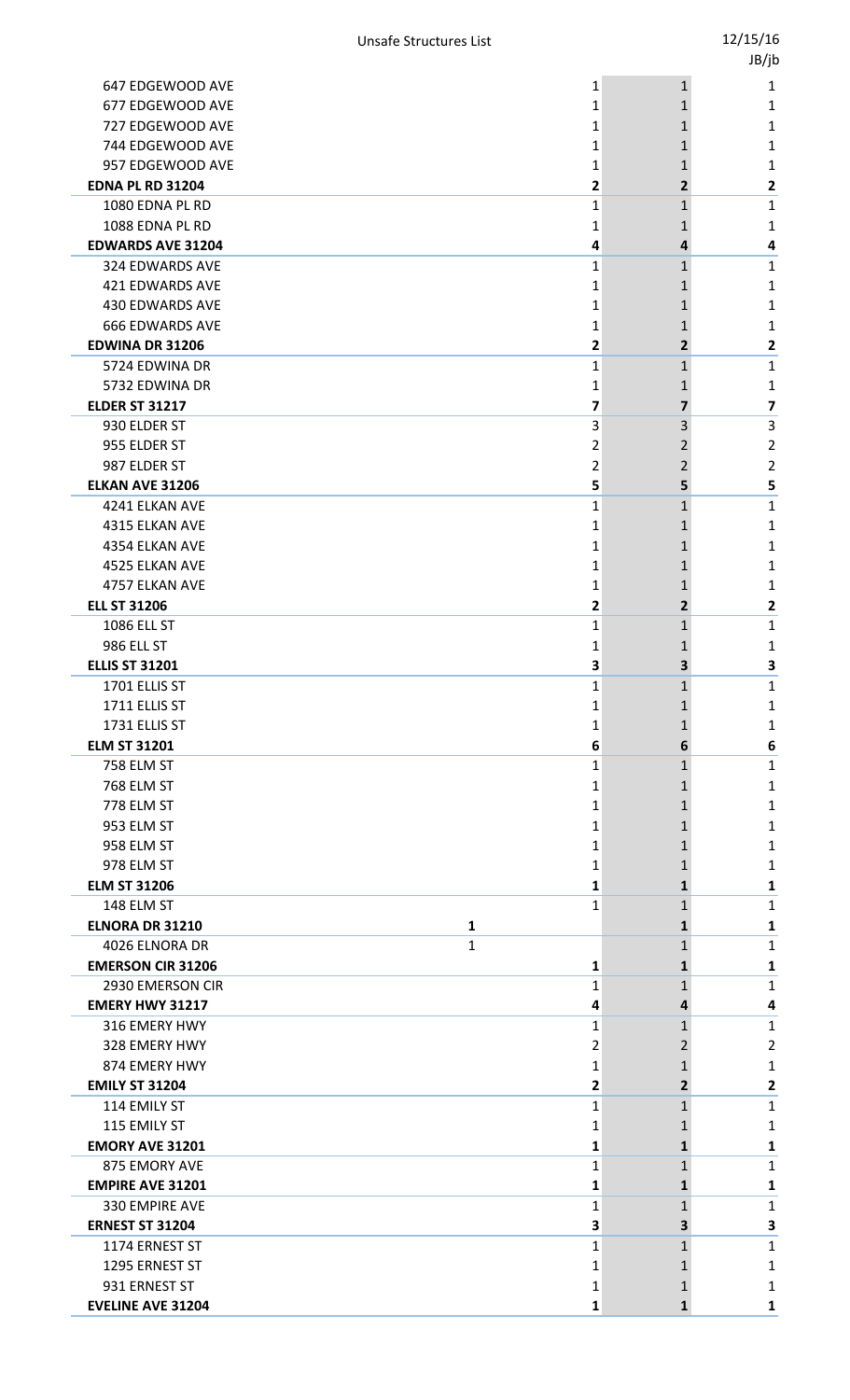|                                          |   |                         |                   | JB/jb                   |
|------------------------------------------|---|-------------------------|-------------------|-------------------------|
| 647 EDGEWOOD AVE                         |   | 1                       | $1\,$             | 1                       |
| 677 EDGEWOOD AVE                         |   | 1                       | 1                 | 1                       |
| 727 EDGEWOOD AVE                         |   | 1                       | 1                 | 1                       |
| 744 EDGEWOOD AVE                         |   | 1                       | 1                 | 1                       |
| 957 EDGEWOOD AVE                         |   | 1                       | 1                 | 1                       |
| <b>EDNA PL RD 31204</b>                  |   | $\overline{\mathbf{c}}$ | 2                 | 2                       |
| 1080 EDNA PL RD                          |   | 1                       | $\mathbf{1}$      | 1                       |
| 1088 EDNA PL RD                          |   | 1                       | 1                 | 1                       |
| <b>EDWARDS AVE 31204</b>                 |   | 4                       | 4                 | 4                       |
| 324 EDWARDS AVE                          |   | 1                       | $\mathbf{1}$      | $\mathbf{1}$            |
| <b>421 EDWARDS AVE</b>                   |   | 1                       | 1                 | 1                       |
| <b>430 EDWARDS AVE</b>                   |   | 1                       | 1                 | 1                       |
| <b>666 EDWARDS AVE</b>                   |   | 1                       | 1                 | 1                       |
| <b>EDWINA DR 31206</b><br>5724 EDWINA DR |   | 2                       | $\overline{2}$    | 2                       |
| 5732 EDWINA DR                           |   | 1<br>1                  | $\mathbf{1}$<br>1 | $\mathbf{1}$<br>1       |
| <b>ELDER ST 31217</b>                    |   | 7                       | 7                 | $\overline{\mathbf{z}}$ |
| 930 ELDER ST                             |   | 3                       | 3                 | $\overline{3}$          |
| 955 ELDER ST                             |   | 2                       | 2                 | 2                       |
| 987 ELDER ST                             |   | $\overline{2}$          | $\overline{2}$    | $\overline{2}$          |
| <b>ELKAN AVE 31206</b>                   |   | 5                       | 5                 | 5                       |
| 4241 ELKAN AVE                           |   | 1                       | $\mathbf{1}$      | 1                       |
| 4315 ELKAN AVE                           |   | 1                       | 1                 | 1                       |
| 4354 ELKAN AVE                           |   | 1                       | 1                 | 1                       |
| 4525 ELKAN AVE                           |   | 1                       | 1                 | 1                       |
| 4757 ELKAN AVE                           |   | 1                       | 1                 | 1                       |
| <b>ELL ST 31206</b>                      |   | 2                       | $\overline{2}$    | $\overline{2}$          |
| 1086 ELL ST                              |   | 1                       | $\mathbf{1}$      | $\mathbf{1}$            |
| 986 ELL ST                               |   | 1                       | 1                 | 1                       |
| <b>ELLIS ST 31201</b>                    |   | 3                       | 3                 | 3                       |
| 1701 ELLIS ST                            |   | 1                       | 1                 | $\mathbf{1}$            |
| 1711 ELLIS ST                            |   | 1                       | 1                 | 1                       |
| 1731 ELLIS ST                            |   | 1                       | 1                 | 1                       |
| <b>ELM ST 31201</b><br>758 ELM ST        |   | 6<br>1                  | 6<br>$\mathbf{1}$ | 6<br>1                  |
| <b>768 ELM ST</b>                        |   | 1                       | 1                 | 1                       |
| 778 ELM ST                               |   | 1                       | 1                 | 1                       |
| 953 ELM ST                               |   | 1                       | 1                 | 1                       |
| 958 ELM ST                               |   | 1                       | 1                 | 1                       |
| 978 ELM ST                               |   | 1                       | 1                 | 1                       |
| <b>ELM ST 31206</b>                      |   | 1                       | 1                 | 1                       |
| 148 ELM ST                               |   | 1                       | 1                 | $1\,$                   |
| <b>ELNORA DR 31210</b>                   | 1 |                         | 1                 | 1                       |
| 4026 ELNORA DR                           | 1 |                         | 1                 | 1                       |
| <b>EMERSON CIR 31206</b>                 |   | 1                       | 1                 | 1                       |
| 2930 EMERSON CIR                         |   | 1                       | 1                 | $\mathbf{1}$            |
| <b>EMERY HWY 31217</b>                   |   | 4                       | 4                 | 4                       |
| 316 EMERY HWY                            |   | 1                       | 1                 | $\mathbf{1}$            |
| 328 EMERY HWY                            |   | 2                       | 2                 | 2                       |
| 874 EMERY HWY                            |   | 1                       | 1                 | 1                       |
| <b>EMILY ST 31204</b><br>114 EMILY ST    |   | 2<br>1                  | 2                 | 2<br>$1\,$              |
| 115 EMILY ST                             |   | 1                       | 1<br>1            | 1                       |
| <b>EMORY AVE 31201</b>                   |   | 1                       | 1                 | 1                       |
| 875 EMORY AVE                            |   | 1                       | 1                 | 1                       |
| <b>EMPIRE AVE 31201</b>                  |   | 1                       | 1                 | 1                       |
| 330 EMPIRE AVE                           |   | 1                       | 1                 | $1\,$                   |
| <b>ERNEST ST 31204</b>                   |   | 3                       | 3                 | $\overline{\mathbf{3}}$ |
| 1174 ERNEST ST                           |   | 1                       | $\mathbf{1}$      | $\mathbf{1}$            |
| 1295 ERNEST ST                           |   | 1                       | 1                 | 1                       |
| 931 ERNEST ST                            |   | 1                       | $\mathbf{1}$      | 1                       |
| <b>EVELINE AVE 31204</b>                 |   | 1                       | $\mathbf{1}$      | $\mathbf{1}$            |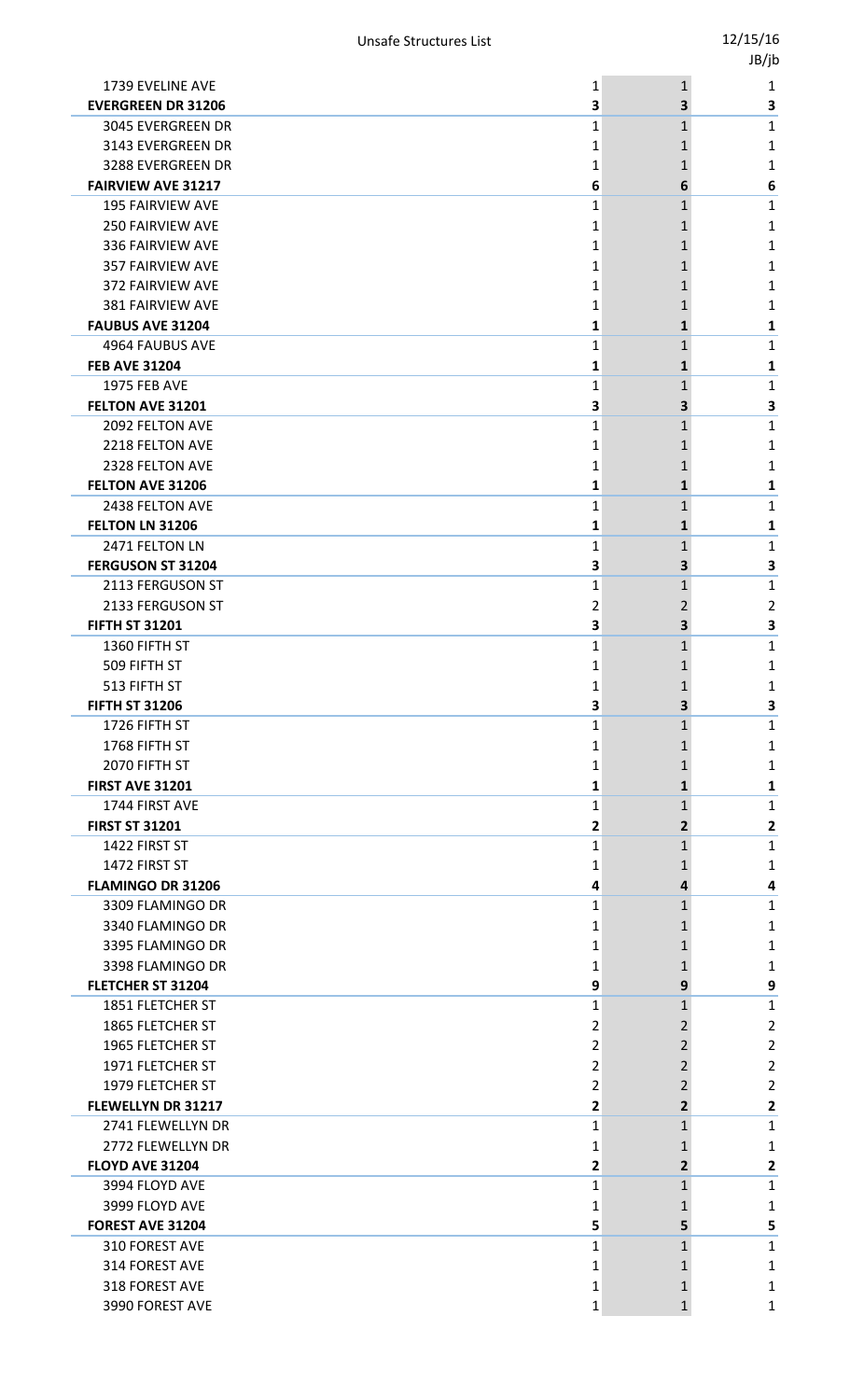|                          |                                                                                                                                                                                                                                                                                                                                                                                                                                                                                                                                                                                                                                                                                                                                                                                                                                                                             |                                                                                                                                                               | ur In                                                                                                                                                                   |
|--------------------------|-----------------------------------------------------------------------------------------------------------------------------------------------------------------------------------------------------------------------------------------------------------------------------------------------------------------------------------------------------------------------------------------------------------------------------------------------------------------------------------------------------------------------------------------------------------------------------------------------------------------------------------------------------------------------------------------------------------------------------------------------------------------------------------------------------------------------------------------------------------------------------|---------------------------------------------------------------------------------------------------------------------------------------------------------------|-------------------------------------------------------------------------------------------------------------------------------------------------------------------------|
| 1739 EVELINE AVE         | 1                                                                                                                                                                                                                                                                                                                                                                                                                                                                                                                                                                                                                                                                                                                                                                                                                                                                           | $\mathbf{1}$                                                                                                                                                  | 1                                                                                                                                                                       |
|                          | 3                                                                                                                                                                                                                                                                                                                                                                                                                                                                                                                                                                                                                                                                                                                                                                                                                                                                           | 3                                                                                                                                                             | 3                                                                                                                                                                       |
|                          |                                                                                                                                                                                                                                                                                                                                                                                                                                                                                                                                                                                                                                                                                                                                                                                                                                                                             |                                                                                                                                                               | 1                                                                                                                                                                       |
|                          |                                                                                                                                                                                                                                                                                                                                                                                                                                                                                                                                                                                                                                                                                                                                                                                                                                                                             |                                                                                                                                                               | 1                                                                                                                                                                       |
|                          |                                                                                                                                                                                                                                                                                                                                                                                                                                                                                                                                                                                                                                                                                                                                                                                                                                                                             |                                                                                                                                                               | 1                                                                                                                                                                       |
|                          |                                                                                                                                                                                                                                                                                                                                                                                                                                                                                                                                                                                                                                                                                                                                                                                                                                                                             |                                                                                                                                                               | 6                                                                                                                                                                       |
|                          |                                                                                                                                                                                                                                                                                                                                                                                                                                                                                                                                                                                                                                                                                                                                                                                                                                                                             |                                                                                                                                                               | 1                                                                                                                                                                       |
|                          |                                                                                                                                                                                                                                                                                                                                                                                                                                                                                                                                                                                                                                                                                                                                                                                                                                                                             |                                                                                                                                                               | 1                                                                                                                                                                       |
|                          |                                                                                                                                                                                                                                                                                                                                                                                                                                                                                                                                                                                                                                                                                                                                                                                                                                                                             |                                                                                                                                                               | 1                                                                                                                                                                       |
|                          |                                                                                                                                                                                                                                                                                                                                                                                                                                                                                                                                                                                                                                                                                                                                                                                                                                                                             |                                                                                                                                                               | 1                                                                                                                                                                       |
|                          |                                                                                                                                                                                                                                                                                                                                                                                                                                                                                                                                                                                                                                                                                                                                                                                                                                                                             |                                                                                                                                                               | 1                                                                                                                                                                       |
|                          |                                                                                                                                                                                                                                                                                                                                                                                                                                                                                                                                                                                                                                                                                                                                                                                                                                                                             |                                                                                                                                                               | 1                                                                                                                                                                       |
|                          |                                                                                                                                                                                                                                                                                                                                                                                                                                                                                                                                                                                                                                                                                                                                                                                                                                                                             |                                                                                                                                                               | 1<br>1                                                                                                                                                                  |
|                          |                                                                                                                                                                                                                                                                                                                                                                                                                                                                                                                                                                                                                                                                                                                                                                                                                                                                             |                                                                                                                                                               | 1                                                                                                                                                                       |
|                          |                                                                                                                                                                                                                                                                                                                                                                                                                                                                                                                                                                                                                                                                                                                                                                                                                                                                             |                                                                                                                                                               | 1                                                                                                                                                                       |
|                          |                                                                                                                                                                                                                                                                                                                                                                                                                                                                                                                                                                                                                                                                                                                                                                                                                                                                             |                                                                                                                                                               | 3                                                                                                                                                                       |
|                          |                                                                                                                                                                                                                                                                                                                                                                                                                                                                                                                                                                                                                                                                                                                                                                                                                                                                             |                                                                                                                                                               | 1                                                                                                                                                                       |
|                          |                                                                                                                                                                                                                                                                                                                                                                                                                                                                                                                                                                                                                                                                                                                                                                                                                                                                             |                                                                                                                                                               | 1                                                                                                                                                                       |
|                          |                                                                                                                                                                                                                                                                                                                                                                                                                                                                                                                                                                                                                                                                                                                                                                                                                                                                             |                                                                                                                                                               | 1                                                                                                                                                                       |
|                          |                                                                                                                                                                                                                                                                                                                                                                                                                                                                                                                                                                                                                                                                                                                                                                                                                                                                             |                                                                                                                                                               | 1                                                                                                                                                                       |
|                          |                                                                                                                                                                                                                                                                                                                                                                                                                                                                                                                                                                                                                                                                                                                                                                                                                                                                             |                                                                                                                                                               | 1                                                                                                                                                                       |
|                          |                                                                                                                                                                                                                                                                                                                                                                                                                                                                                                                                                                                                                                                                                                                                                                                                                                                                             |                                                                                                                                                               | 1                                                                                                                                                                       |
|                          |                                                                                                                                                                                                                                                                                                                                                                                                                                                                                                                                                                                                                                                                                                                                                                                                                                                                             |                                                                                                                                                               | 1                                                                                                                                                                       |
|                          |                                                                                                                                                                                                                                                                                                                                                                                                                                                                                                                                                                                                                                                                                                                                                                                                                                                                             |                                                                                                                                                               | 3                                                                                                                                                                       |
|                          |                                                                                                                                                                                                                                                                                                                                                                                                                                                                                                                                                                                                                                                                                                                                                                                                                                                                             |                                                                                                                                                               | 1                                                                                                                                                                       |
|                          |                                                                                                                                                                                                                                                                                                                                                                                                                                                                                                                                                                                                                                                                                                                                                                                                                                                                             |                                                                                                                                                               | 2                                                                                                                                                                       |
|                          |                                                                                                                                                                                                                                                                                                                                                                                                                                                                                                                                                                                                                                                                                                                                                                                                                                                                             |                                                                                                                                                               | 3                                                                                                                                                                       |
|                          |                                                                                                                                                                                                                                                                                                                                                                                                                                                                                                                                                                                                                                                                                                                                                                                                                                                                             |                                                                                                                                                               | 1                                                                                                                                                                       |
|                          |                                                                                                                                                                                                                                                                                                                                                                                                                                                                                                                                                                                                                                                                                                                                                                                                                                                                             |                                                                                                                                                               | 1                                                                                                                                                                       |
|                          |                                                                                                                                                                                                                                                                                                                                                                                                                                                                                                                                                                                                                                                                                                                                                                                                                                                                             |                                                                                                                                                               | 1                                                                                                                                                                       |
|                          |                                                                                                                                                                                                                                                                                                                                                                                                                                                                                                                                                                                                                                                                                                                                                                                                                                                                             | 3                                                                                                                                                             | 3                                                                                                                                                                       |
| 1726 FIFTH ST            | 1                                                                                                                                                                                                                                                                                                                                                                                                                                                                                                                                                                                                                                                                                                                                                                                                                                                                           | 1                                                                                                                                                             | 1                                                                                                                                                                       |
| 1768 FIFTH ST            | 1                                                                                                                                                                                                                                                                                                                                                                                                                                                                                                                                                                                                                                                                                                                                                                                                                                                                           | 1                                                                                                                                                             | 1                                                                                                                                                                       |
| 2070 FIFTH ST            | 1                                                                                                                                                                                                                                                                                                                                                                                                                                                                                                                                                                                                                                                                                                                                                                                                                                                                           | 1                                                                                                                                                             | 1                                                                                                                                                                       |
| <b>FIRST AVE 31201</b>   | 1                                                                                                                                                                                                                                                                                                                                                                                                                                                                                                                                                                                                                                                                                                                                                                                                                                                                           | 1                                                                                                                                                             | 1                                                                                                                                                                       |
| 1744 FIRST AVE           | 1                                                                                                                                                                                                                                                                                                                                                                                                                                                                                                                                                                                                                                                                                                                                                                                                                                                                           | 1                                                                                                                                                             | 1                                                                                                                                                                       |
| <b>FIRST ST 31201</b>    | 2                                                                                                                                                                                                                                                                                                                                                                                                                                                                                                                                                                                                                                                                                                                                                                                                                                                                           | 2                                                                                                                                                             | 2                                                                                                                                                                       |
| 1422 FIRST ST            | 1                                                                                                                                                                                                                                                                                                                                                                                                                                                                                                                                                                                                                                                                                                                                                                                                                                                                           | $\mathbf 1$                                                                                                                                                   | 1                                                                                                                                                                       |
| 1472 FIRST ST            | 1                                                                                                                                                                                                                                                                                                                                                                                                                                                                                                                                                                                                                                                                                                                                                                                                                                                                           | 1                                                                                                                                                             | 1                                                                                                                                                                       |
| <b>FLAMINGO DR 31206</b> | 4                                                                                                                                                                                                                                                                                                                                                                                                                                                                                                                                                                                                                                                                                                                                                                                                                                                                           | 4                                                                                                                                                             | 4                                                                                                                                                                       |
| 3309 FLAMINGO DR         | 1                                                                                                                                                                                                                                                                                                                                                                                                                                                                                                                                                                                                                                                                                                                                                                                                                                                                           | 1                                                                                                                                                             | 1                                                                                                                                                                       |
| 3340 FLAMINGO DR         | 1                                                                                                                                                                                                                                                                                                                                                                                                                                                                                                                                                                                                                                                                                                                                                                                                                                                                           | 1                                                                                                                                                             | 1                                                                                                                                                                       |
| 3395 FLAMINGO DR         | 1                                                                                                                                                                                                                                                                                                                                                                                                                                                                                                                                                                                                                                                                                                                                                                                                                                                                           | 1                                                                                                                                                             | 1                                                                                                                                                                       |
| 3398 FLAMINGO DR         | 1                                                                                                                                                                                                                                                                                                                                                                                                                                                                                                                                                                                                                                                                                                                                                                                                                                                                           | 1                                                                                                                                                             | 1                                                                                                                                                                       |
| FLETCHER ST 31204        | 9                                                                                                                                                                                                                                                                                                                                                                                                                                                                                                                                                                                                                                                                                                                                                                                                                                                                           | 9                                                                                                                                                             | 9                                                                                                                                                                       |
| 1851 FLETCHER ST         | 1                                                                                                                                                                                                                                                                                                                                                                                                                                                                                                                                                                                                                                                                                                                                                                                                                                                                           | 1                                                                                                                                                             | 1                                                                                                                                                                       |
|                          | 2                                                                                                                                                                                                                                                                                                                                                                                                                                                                                                                                                                                                                                                                                                                                                                                                                                                                           | 2                                                                                                                                                             | 2                                                                                                                                                                       |
| 1965 FLETCHER ST         | 2                                                                                                                                                                                                                                                                                                                                                                                                                                                                                                                                                                                                                                                                                                                                                                                                                                                                           | 2                                                                                                                                                             | $\overline{2}$                                                                                                                                                          |
|                          | 2                                                                                                                                                                                                                                                                                                                                                                                                                                                                                                                                                                                                                                                                                                                                                                                                                                                                           | 2                                                                                                                                                             | 2                                                                                                                                                                       |
| 1979 FLETCHER ST         | 2                                                                                                                                                                                                                                                                                                                                                                                                                                                                                                                                                                                                                                                                                                                                                                                                                                                                           | 2                                                                                                                                                             | 2                                                                                                                                                                       |
|                          | 2                                                                                                                                                                                                                                                                                                                                                                                                                                                                                                                                                                                                                                                                                                                                                                                                                                                                           | 2                                                                                                                                                             | 2                                                                                                                                                                       |
| 2741 FLEWELLYN DR        | 1                                                                                                                                                                                                                                                                                                                                                                                                                                                                                                                                                                                                                                                                                                                                                                                                                                                                           | 1                                                                                                                                                             | 1                                                                                                                                                                       |
| 2772 FLEWELLYN DR        | 1                                                                                                                                                                                                                                                                                                                                                                                                                                                                                                                                                                                                                                                                                                                                                                                                                                                                           | 1                                                                                                                                                             | 1                                                                                                                                                                       |
| <b>FLOYD AVE 31204</b>   | 2                                                                                                                                                                                                                                                                                                                                                                                                                                                                                                                                                                                                                                                                                                                                                                                                                                                                           | $\overline{2}$                                                                                                                                                | 2                                                                                                                                                                       |
|                          | 1                                                                                                                                                                                                                                                                                                                                                                                                                                                                                                                                                                                                                                                                                                                                                                                                                                                                           | 1                                                                                                                                                             | 1                                                                                                                                                                       |
|                          | 1                                                                                                                                                                                                                                                                                                                                                                                                                                                                                                                                                                                                                                                                                                                                                                                                                                                                           | 1                                                                                                                                                             | 1                                                                                                                                                                       |
|                          |                                                                                                                                                                                                                                                                                                                                                                                                                                                                                                                                                                                                                                                                                                                                                                                                                                                                             |                                                                                                                                                               | 5                                                                                                                                                                       |
|                          |                                                                                                                                                                                                                                                                                                                                                                                                                                                                                                                                                                                                                                                                                                                                                                                                                                                                             | 1                                                                                                                                                             | 1                                                                                                                                                                       |
|                          | 1                                                                                                                                                                                                                                                                                                                                                                                                                                                                                                                                                                                                                                                                                                                                                                                                                                                                           | 1                                                                                                                                                             | 1                                                                                                                                                                       |
|                          | 1                                                                                                                                                                                                                                                                                                                                                                                                                                                                                                                                                                                                                                                                                                                                                                                                                                                                           | 1                                                                                                                                                             | 1                                                                                                                                                                       |
| 3990 FOREST AVE          | 1                                                                                                                                                                                                                                                                                                                                                                                                                                                                                                                                                                                                                                                                                                                                                                                                                                                                           | 1                                                                                                                                                             | 1                                                                                                                                                                       |
|                          | <b>EVERGREEN DR 31206</b><br>3045 EVERGREEN DR<br>3143 EVERGREEN DR<br>3288 EVERGREEN DR<br><b>FAIRVIEW AVE 31217</b><br><b>195 FAIRVIEW AVE</b><br>250 FAIRVIEW AVE<br>336 FAIRVIEW AVE<br><b>357 FAIRVIEW AVE</b><br>372 FAIRVIEW AVE<br>381 FAIRVIEW AVE<br><b>FAUBUS AVE 31204</b><br>4964 FAUBUS AVE<br><b>FEB AVE 31204</b><br><b>1975 FEB AVE</b><br>FELTON AVE 31201<br>2092 FELTON AVE<br>2218 FELTON AVE<br>2328 FELTON AVE<br>FELTON AVE 31206<br>2438 FELTON AVE<br>FELTON LN 31206<br>2471 FELTON LN<br><b>FERGUSON ST 31204</b><br>2113 FERGUSON ST<br>2133 FERGUSON ST<br><b>FIFTH ST 31201</b><br>1360 FIFTH ST<br>509 FIFTH ST<br>513 FIFTH ST<br><b>FIFTH ST 31206</b><br>1865 FLETCHER ST<br>1971 FLETCHER ST<br><b>FLEWELLYN DR 31217</b><br>3994 FLOYD AVE<br>3999 FLOYD AVE<br>FOREST AVE 31204<br>310 FOREST AVE<br>314 FOREST AVE<br>318 FOREST AVE | 1<br>1<br>1<br>6<br>1<br>1<br>1<br>1<br>1<br>1<br>1<br>1<br>1<br>1<br>3<br>1<br>1<br>1<br>1<br>1<br>1<br>1<br>3<br>1<br>2<br>3<br>1<br>1<br>Ŧ,<br>3<br>5<br>1 | 1<br>1<br>1<br>6<br>$\mathbf 1$<br>1<br>1<br>1<br>1<br>1<br>1<br>$\mathbf{1}$<br>1<br>1<br>3<br>1<br>1<br>1<br>1<br>1<br>1<br>1<br>3<br>1<br>2<br>3<br>1<br>1<br>1<br>5 |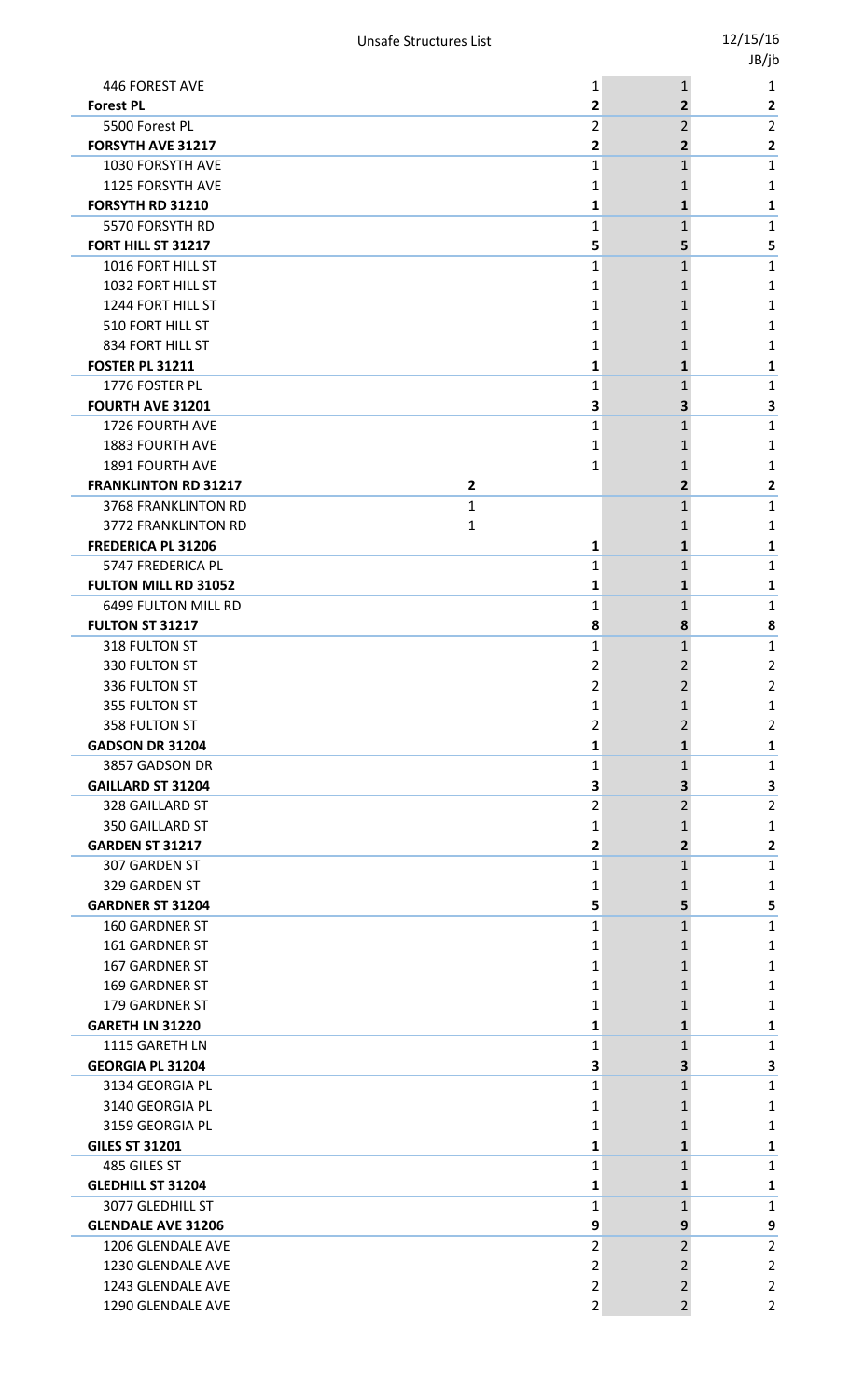|                                                           |                |                                 | -,, |                         |
|-----------------------------------------------------------|----------------|---------------------------------|-----|-------------------------|
| 446 FOREST AVE                                            |                | 1<br>$\mathbf{1}$               |     | 1                       |
| <b>Forest PL</b>                                          |                | 2<br>$\mathbf{2}$               |     | 2                       |
| 5500 Forest PL                                            |                | 2<br>$\overline{2}$             |     | $\overline{2}$          |
| FORSYTH AVE 31217                                         |                | 2<br>$\overline{2}$             |     | 2                       |
| 1030 FORSYTH AVE                                          |                | 1<br>$\mathbf{1}$               |     | 1                       |
| 1125 FORSYTH AVE                                          |                | 1                               |     | 1                       |
| FORSYTH RD 31210                                          |                | 1<br>1                          |     | 1                       |
| 5570 FORSYTH RD                                           |                | 1<br>1                          |     | 1                       |
| FORT HILL ST 31217<br>1016 FORT HILL ST                   |                | 5<br>5<br>1<br>1                |     | 5<br>1                  |
| 1032 FORT HILL ST                                         |                | 1                               |     | 1                       |
| 1244 FORT HILL ST                                         |                | 1<br>1                          |     | 1                       |
| 510 FORT HILL ST                                          |                | 1                               |     | 1                       |
| 834 FORT HILL ST                                          |                | 1<br>1                          |     | 1                       |
| <b>FOSTER PL 31211</b>                                    |                | 1<br>1                          |     | 1                       |
| 1776 FOSTER PL                                            |                | $\mathbf{1}$<br>1               |     | 1                       |
| <b>FOURTH AVE 31201</b>                                   |                | 3<br>3                          |     | 3                       |
| 1726 FOURTH AVE                                           |                | 1<br>1                          |     | 1                       |
| <b>1883 FOURTH AVE</b>                                    |                | 1<br>1                          |     | 1                       |
| 1891 FOURTH AVE                                           |                | 1<br>1                          |     | 1                       |
| <b>FRANKLINTON RD 31217</b>                               | $\overline{2}$ | $\mathbf{2}$                    |     | 2                       |
| <b>3768 FRANKLINTON RD</b>                                | 1              | 1                               |     | 1                       |
| 3772 FRANKLINTON RD                                       | 1              | 1                               |     | 1                       |
| <b>FREDERICA PL 31206</b>                                 |                | 1<br>$\mathbf{1}$               |     | 1                       |
| 5747 FREDERICA PL                                         |                | 1<br>1                          |     | 1                       |
| <b>FULTON MILL RD 31052</b><br><b>6499 FULTON MILL RD</b> |                | 1<br>1                          |     | 1                       |
| <b>FULTON ST 31217</b>                                    |                | 1<br>1<br>8<br>8                |     | 1<br>8                  |
| 318 FULTON ST                                             |                | 1<br>1                          |     | 1                       |
| 330 FULTON ST                                             |                | 2<br>2                          |     | 2                       |
| 336 FULTON ST                                             |                | $\overline{2}$<br>$\mathcal{P}$ |     | $\overline{2}$          |
| 355 FULTON ST                                             |                | 1<br>1                          |     | 1                       |
| 358 FULTON ST                                             |                | 2<br>2                          |     | $\overline{\mathbf{c}}$ |
| <b>GADSON DR 31204</b>                                    |                | 1<br>$\mathbf{1}$               |     | 1                       |
| 3857 GADSON DR                                            |                | 1<br>$\mathbf{1}$               |     | 1                       |
| <b>GAILLARD ST 31204</b>                                  |                | З<br>3.                         |     | 3                       |
| 328 GAILLARD ST                                           |                | 2<br>2                          |     | $\overline{2}$          |
| 350 GAILLARD ST                                           |                | 1<br>1                          |     | 1                       |
| <b>GARDEN ST 31217</b>                                    |                | 2<br>$\overline{2}$             |     | 2                       |
| 307 GARDEN ST                                             |                | 1<br>$\mathbf{1}$               |     | 1                       |
| 329 GARDEN ST                                             |                | 1                               |     | 1                       |
| <b>GARDNER ST 31204</b>                                   |                | 5<br>5                          |     | 5                       |
| <b>160 GARDNER ST</b><br>161 GARDNER ST                   |                | 1<br>1<br>1<br>1                |     | 1<br>1                  |
| 167 GARDNER ST                                            |                | 1<br>1                          |     | 1                       |
| 169 GARDNER ST                                            |                | 1                               |     | 1                       |
| <b>179 GARDNER ST</b>                                     |                | 1<br>1                          |     | 1                       |
| <b>GARETH LN 31220</b>                                    |                | 1<br>1                          |     | 1                       |
| 1115 GARETH LN                                            |                | 1<br>1                          |     | 1                       |
| <b>GEORGIA PL 31204</b>                                   |                | 3<br>3                          |     | 3                       |
| 3134 GEORGIA PL                                           |                | 1<br>1                          |     | 1                       |
| 3140 GEORGIA PL                                           |                | 1                               |     | 1                       |
| 3159 GEORGIA PL                                           |                | 1<br>1                          |     | 1                       |
| <b>GILES ST 31201</b>                                     |                | 1<br>1                          |     | 1                       |
| 485 GILES ST                                              |                | 1<br>1                          |     | 1                       |
| <b>GLEDHILL ST 31204</b>                                  |                | 1<br>1                          |     | 1                       |
| 3077 GLEDHILL ST                                          |                | 1<br>1                          |     | 1                       |
| <b>GLENDALE AVE 31206</b>                                 |                | 9<br>9                          |     | 9                       |
| 1206 GLENDALE AVE<br>1230 GLENDALE AVE                    |                | 2<br>2<br>2                     |     | $\overline{2}$<br>2     |
| 1243 GLENDALE AVE                                         |                | 2<br>2<br>2                     |     | 2                       |
| 1290 GLENDALE AVE                                         |                | 2<br>$\overline{2}$             |     | 2                       |
|                                                           |                |                                 |     |                         |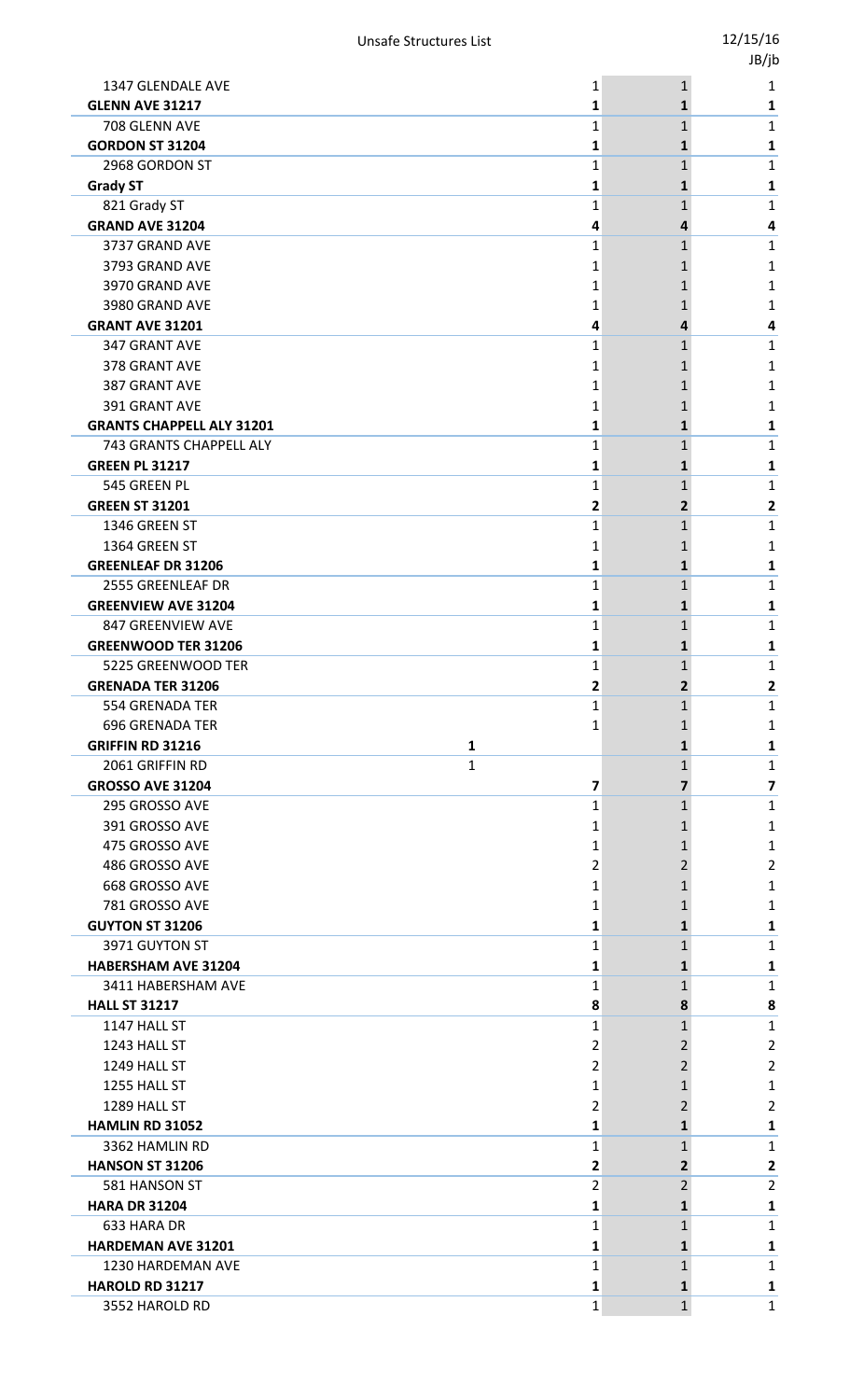|                                                |                |                | JB/jb                   |
|------------------------------------------------|----------------|----------------|-------------------------|
| 1347 GLENDALE AVE                              | 1              | $\mathbf{1}$   | 1                       |
| <b>GLENN AVE 31217</b>                         | 1              | $\mathbf{1}$   | 1                       |
| 708 GLENN AVE                                  | 1              | $\mathbf{1}$   | 1                       |
| <b>GORDON ST 31204</b>                         | 1              | 1              | 1                       |
| 2968 GORDON ST                                 | 1              | $\mathbf{1}$   | 1                       |
| <b>Grady ST</b>                                | 1              | 1              | 1                       |
| 821 Grady ST                                   | $\mathbf{1}$   | 1              | $\mathbf{1}$            |
| <b>GRAND AVE 31204</b>                         | 4              | 4              | 4                       |
| 3737 GRAND AVE                                 | $\mathbf{1}$   | $\mathbf{1}$   | $\mathbf{1}$            |
| 3793 GRAND AVE                                 | 1              | 1              | 1                       |
| 3970 GRAND AVE                                 | 1              | 1              | 1                       |
| 3980 GRAND AVE                                 | 1              | 1              | 1                       |
| <b>GRANT AVE 31201</b>                         | 4              | 4              | 4                       |
| 347 GRANT AVE                                  | $\mathbf{1}$   | $\mathbf{1}$   | $\mathbf{1}$            |
| 378 GRANT AVE                                  | 1              | 1              | 1                       |
| 387 GRANT AVE                                  | 1              | 1              | 1                       |
| 391 GRANT AVE                                  | 1              | 1              | 1                       |
| <b>GRANTS CHAPPELL ALY 31201</b>               | 1              | 1              | 1                       |
| 743 GRANTS CHAPPELL ALY                        | $\mathbf{1}$   | $\mathbf{1}$   | $\mathbf{1}$            |
| <b>GREEN PL 31217</b>                          | 1              | 1              | 1                       |
| 545 GREEN PL                                   | $\mathbf{1}$   | 1              | $\mathbf{1}$            |
| <b>GREEN ST 31201</b>                          | 2              | $\mathbf{2}$   | 2                       |
| 1346 GREEN ST                                  | 1              | $\mathbf{1}$   | $\mathbf{1}$            |
| 1364 GREEN ST                                  | 1              | 1              | 1                       |
| <b>GREENLEAF DR 31206</b><br>2555 GREENLEAF DR | 1              | $\mathbf{1}$   | 1                       |
| <b>GREENVIEW AVE 31204</b>                     | 1              | 1              | $\mathbf{1}$            |
| 847 GREENVIEW AVE                              | 1<br>1         | 1<br>1         | 1<br>1                  |
| <b>GREENWOOD TER 31206</b>                     | 1              | 1              | 1                       |
| 5225 GREENWOOD TER                             | 1              | $\mathbf{1}$   | 1                       |
| <b>GRENADA TER 31206</b>                       | 2              | 2              | $\overline{2}$          |
| <b>554 GRENADA TER</b>                         | 1              | 1              | $\mathbf{1}$            |
| <b>696 GRENADA TER</b>                         | 1              | 1              | 1                       |
| <b>GRIFFIN RD 31216</b>                        | 1              | 1              | 1                       |
| 2061 GRIFFIN RD                                | $\mathbf{1}$   | $\mathbf{1}$   | 1                       |
| <b>GROSSO AVE 31204</b>                        | 7              | 7              | $\overline{\mathbf{z}}$ |
| 295 GROSSO AVE                                 | 1              | $\mathbf{1}$   | $\mathbf{1}$            |
| 391 GROSSO AVE                                 | 1              | 1              | 1                       |
| 475 GROSSO AVE                                 | 1              | 1              | 1                       |
| 486 GROSSO AVE                                 | 2              | 2              | $\overline{2}$          |
| 668 GROSSO AVE                                 | 1              | 1              | 1                       |
| 781 GROSSO AVE                                 | 1              | 1              | 1                       |
| <b>GUYTON ST 31206</b>                         | 1              | 1              | 1                       |
| 3971 GUYTON ST                                 | $\mathbf{1}$   | 1              | $\mathbf{1}$            |
| <b>HABERSHAM AVE 31204</b>                     | 1              | $\mathbf{1}$   | 1                       |
| 3411 HABERSHAM AVE                             | 1              | 1              | $\mathbf{1}$            |
| <b>HALL ST 31217</b>                           | 8              | 8              | 8                       |
| 1147 HALL ST                                   | 1              | $\mathbf{1}$   | 1                       |
| 1243 HALL ST                                   | 2              | 2              | $\overline{2}$          |
| 1249 HALL ST                                   | 2              | 2              | $\overline{2}$          |
| 1255 HALL ST                                   | 1              | 1              | 1                       |
| 1289 HALL ST                                   | 2              | 2              | $\overline{2}$          |
| HAMLIN RD 31052                                | 1              | 1              | 1                       |
| 3362 HAMLIN RD                                 | 1              | 1              | 1                       |
| <b>HANSON ST 31206</b>                         | 2              | $\overline{2}$ | $\mathbf{2}$            |
| 581 HANSON ST                                  | $\overline{2}$ | $\overline{2}$ | $\overline{2}$          |
| <b>HARA DR 31204</b>                           | 1              | 1              | 1                       |
| 633 HARA DR                                    | 1              | 1              | 1                       |
| <b>HARDEMAN AVE 31201</b>                      | 1              | 1              | 1                       |
| 1230 HARDEMAN AVE                              | 1              | $\mathbf{1}$   | 1                       |
| HAROLD RD 31217                                | 1              | $\mathbf{1}$   | 1                       |
| 3552 HAROLD RD                                 | $\mathbf{1}$   | $\mathbf 1$    | $\mathbf{1}$            |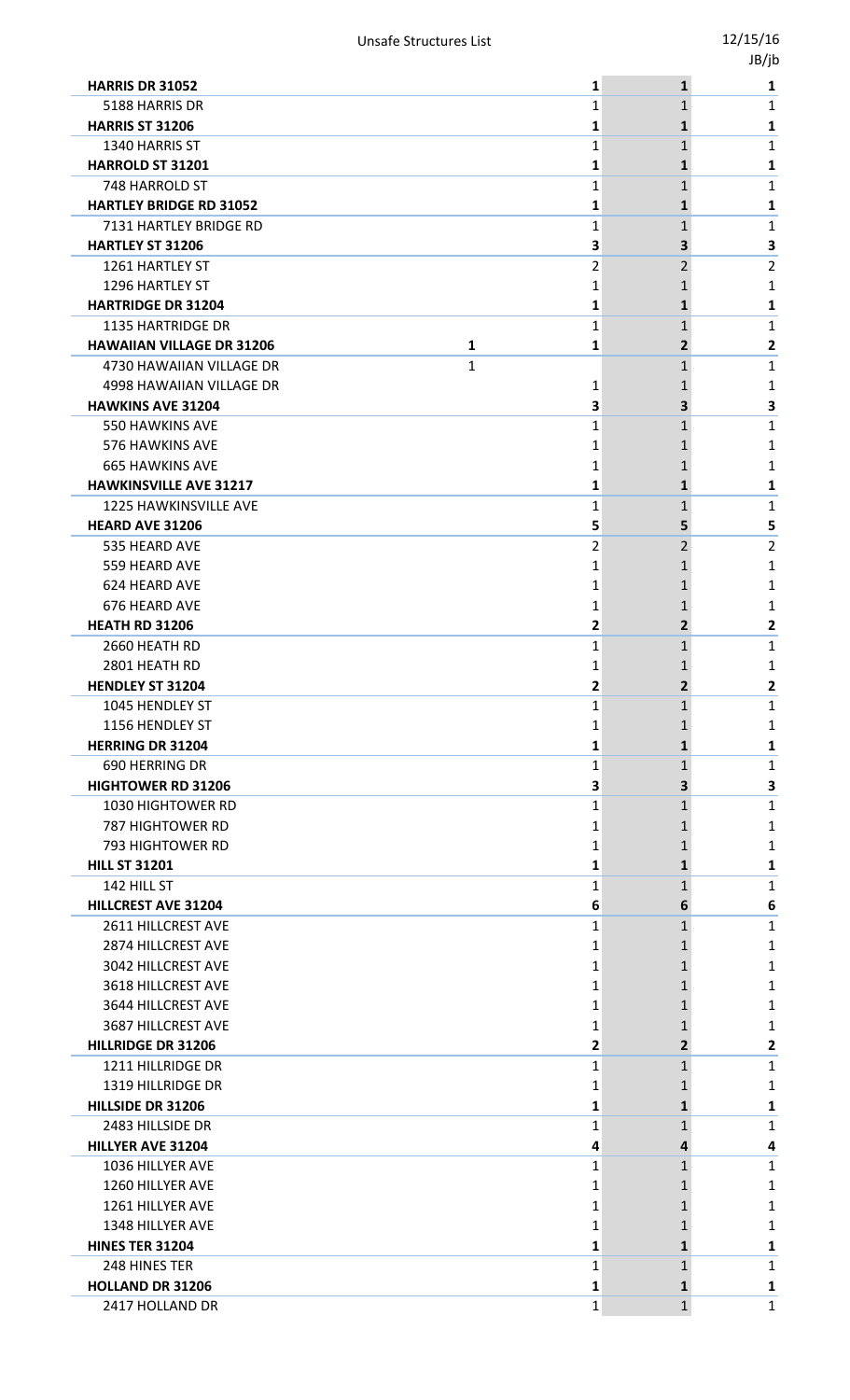|                                       |   |                | -,,. |
|---------------------------------------|---|----------------|------|
| <b>HARRIS DR 31052</b>                | 1 | $\mathbf{1}$   | 1    |
| 5188 HARRIS DR                        | 1 | $\mathbf{1}$   | 1    |
| <b>HARRIS ST 31206</b>                | 1 | 1              | 1    |
| 1340 HARRIS ST                        | 1 | $\mathbf{1}$   | 1    |
| <b>HARROLD ST 31201</b>               | 1 | 1              | 1    |
| <b>748 HARROLD ST</b>                 | 1 | $\mathbf{1}$   | 1    |
| <b>HARTLEY BRIDGE RD 31052</b>        | 1 | 1              | 1    |
| 7131 HARTLEY BRIDGE RD                | 1 | 1              | 1    |
| <b>HARTLEY ST 31206</b>               | 3 | 3              | 3    |
| 1261 HARTLEY ST                       | 2 | 2              | 2    |
| 1296 HARTLEY ST                       | 1 |                | 1    |
| <b>HARTRIDGE DR 31204</b>             | 1 | 1              | 1    |
| 1135 HARTRIDGE DR                     | 1 | 1              | 1    |
| <b>HAWAIIAN VILLAGE DR 31206</b><br>1 | 1 | $\overline{2}$ | 2    |
| 1<br>4730 HAWAIIAN VILLAGE DR         |   | 1              | 1    |
| 4998 HAWAIIAN VILLAGE DR              | 1 |                | 1    |
| <b>HAWKINS AVE 31204</b>              | 3 | 3              | 3    |
| 550 HAWKINS AVE                       | 1 | 1              | 1    |
| 576 HAWKINS AVE                       | 1 | 1              | 1    |
| <b>665 HAWKINS AVE</b>                | 1 | 1              | 1    |
| <b>HAWKINSVILLE AVE 31217</b>         | 1 | 1              | 1    |
| 1225 HAWKINSVILLE AVE                 | 1 | $\mathbf{1}$   | 1    |
| <b>HEARD AVE 31206</b>                | 5 | 5.             | 5    |
| 535 HEARD AVE                         | 2 | 2              | 2    |
| 559 HEARD AVE                         | 1 | 1              | 1    |
| 624 HEARD AVE                         | 1 |                | 1    |
| 676 HEARD AVE                         | 1 | 1              | 1    |
| <b>HEATH RD 31206</b>                 | 2 | $\mathbf{2}$   | 2    |
| 2660 HEATH RD                         | 1 | $\mathbf{1}$   | 1    |
| 2801 HEATH RD                         | 1 | 1              | 1    |
| <b>HENDLEY ST 31204</b>               | 2 |                | 2    |
| 1045 HENDLEY ST                       | 1 | $\mathbf{1}$   | 1    |
| 1156 HENDLEY ST                       | 1 | 1              | 1    |
| <b>HERRING DR 31204</b>               | 1 | $\mathbf{1}$   | 1    |
| 690 HERRING DR                        | 1 | $\mathbf{1}$   | 1    |
| <b>HIGHTOWER RD 31206</b>             | З | З              | 3    |
| <b>1030 HIGHTOWER RD</b>              | 1 | $\mathbf{1}$   | 1    |
| 787 HIGHTOWER RD                      | 1 | 1              | 1    |
| 793 HIGHTOWER RD                      | 1 | 1              | 1    |
| <b>HILL ST 31201</b>                  | 1 | 1              | 1    |
| 142 HILL ST                           | 1 | $\mathbf{1}$   | 1    |
| <b>HILLCREST AVE 31204</b>            | 6 | 6              | 6    |
| 2611 HILLCREST AVE                    | 1 | $\mathbf{1}$   | 1    |
| 2874 HILLCREST AVE                    | 1 | 1              | 1    |
| 3042 HILLCREST AVE                    | 1 | 1              | 1    |
| 3618 HILLCREST AVE                    | 1 | 1              | 1    |
| 3644 HILLCREST AVE                    | 1 | 1              | 1    |
| 3687 HILLCREST AVE                    | 1 | 1              | 1    |
| <b>HILLRIDGE DR 31206</b>             | 2 | $\overline{2}$ | 2    |
| 1211 HILLRIDGE DR                     | 1 | 1              | 1    |
| 1319 HILLRIDGE DR                     | 1 | 1              | 1    |
| HILLSIDE DR 31206                     | 1 | 1              | 1    |
| 2483 HILLSIDE DR                      | 1 | 1              | 1    |
| <b>HILLYER AVE 31204</b>              | 4 | 4              | 4    |
| 1036 HILLYER AVE                      | 1 | 1              | 1    |
| 1260 HILLYER AVE                      | 1 | 1              | 1    |
| 1261 HILLYER AVE                      | 1 | 1              | 1    |
| 1348 HILLYER AVE                      | 1 | 1              | 1    |
| <b>HINES TER 31204</b>                | 1 | $\mathbf{1}$   | 1    |
| 248 HINES TER                         | 1 | 1              | 1    |
| <b>HOLLAND DR 31206</b>               | 1 | 1              | 1    |
| 2417 HOLLAND DR                       | 1 | $\mathbf{1}$   | 1    |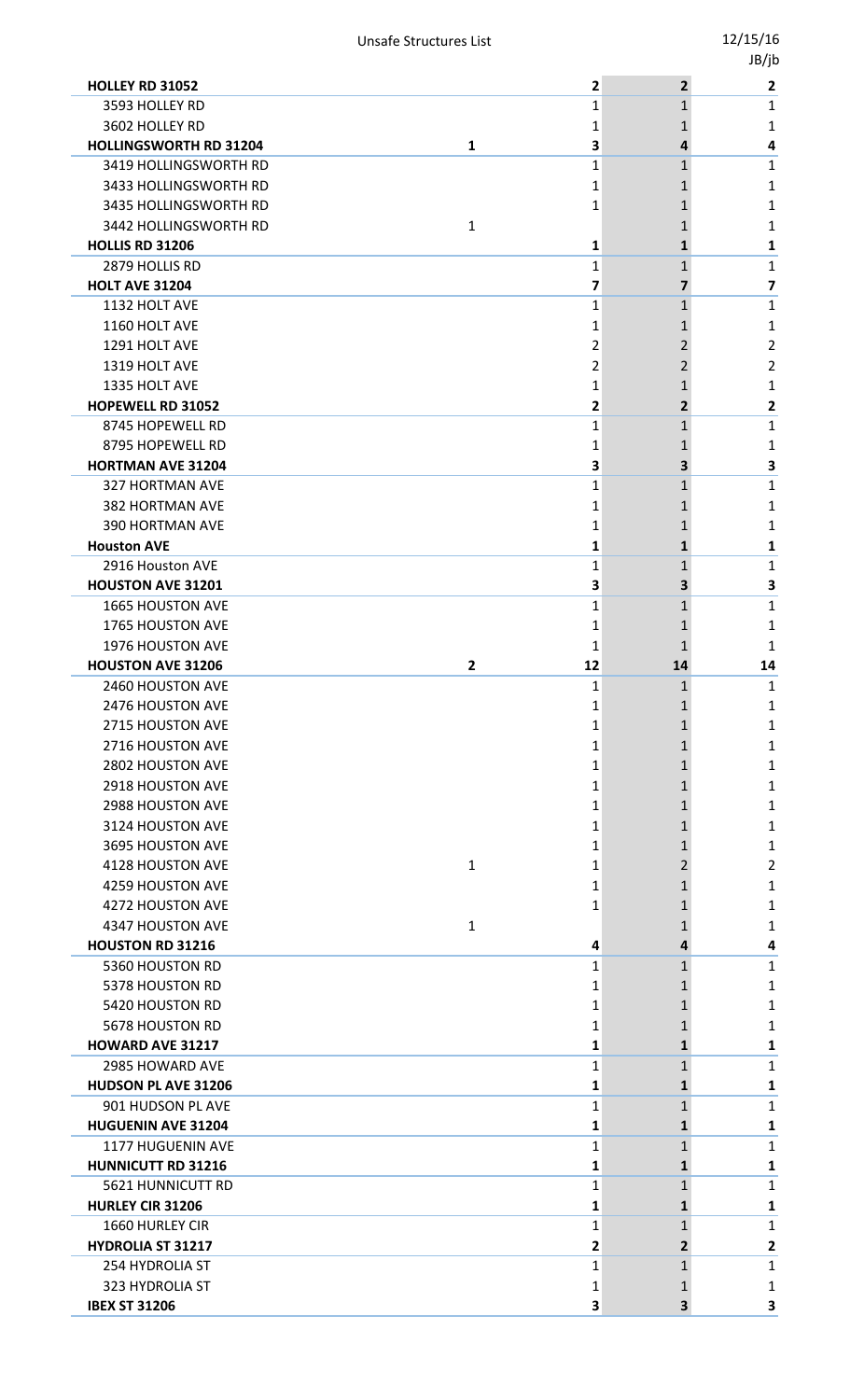|                                         |   |              |                              | JB/jb                   |
|-----------------------------------------|---|--------------|------------------------------|-------------------------|
| <b>HOLLEY RD 31052</b>                  |   | 2            | $\overline{2}$               | $\overline{2}$          |
| 3593 HOLLEY RD                          |   | 1            | 1                            | $\mathbf{1}$            |
| 3602 HOLLEY RD                          |   | 1            | 1                            | 1                       |
| <b>HOLLINGSWORTH RD 31204</b>           | 1 | 3            | 4                            | 4                       |
| 3419 HOLLINGSWORTH RD                   |   | 1            | $\mathbf{1}$                 | 1                       |
| 3433 HOLLINGSWORTH RD                   |   | 1            | 1                            | 1                       |
| 3435 HOLLINGSWORTH RD                   |   | $\mathbf{1}$ | 1                            | $\mathbf{1}$            |
| 3442 HOLLINGSWORTH RD                   | 1 |              | 1                            | 1                       |
| <b>HOLLIS RD 31206</b>                  |   | 1            | 1                            | 1                       |
| 2879 HOLLIS RD                          |   | 1            | $\mathbf{1}$                 | 1                       |
| <b>HOLT AVE 31204</b>                   |   | 7            | 7                            | $\overline{\mathbf{z}}$ |
| 1132 HOLT AVE                           |   | $\mathbf{1}$ | 1                            | $\mathbf{1}$            |
| 1160 HOLT AVE                           |   | 1            | 1                            | 1                       |
| 1291 HOLT AVE                           |   | 2            | 2                            | $\overline{2}$          |
| 1319 HOLT AVE                           |   | 2            | 2                            | $\overline{2}$          |
| 1335 HOLT AVE                           |   | 1            | 1                            | 1                       |
| HOPEWELL RD 31052                       |   | 2            | $\overline{2}$               | 2                       |
| 8745 HOPEWELL RD                        |   | 1            | $\mathbf{1}$                 | 1                       |
| 8795 HOPEWELL RD                        |   | 1            | 1                            | 1                       |
| <b>HORTMAN AVE 31204</b>                |   | 3            | 3                            | 3                       |
| 327 HORTMAN AVE                         |   | 1            | 1                            | 1                       |
| 382 HORTMAN AVE                         |   | 1            | 1                            | 1                       |
| <b>390 HORTMAN AVE</b>                  |   | 1            | 1                            | 1                       |
| <b>Houston AVE</b>                      |   | 1            | 1                            | 1                       |
| 2916 Houston AVE                        |   | 1            | $\mathbf{1}$                 | $\mathbf{1}$            |
| <b>HOUSTON AVE 31201</b>                |   | 3            | 3                            | $\overline{\mathbf{3}}$ |
| 1665 HOUSTON AVE                        |   | 1            | 1                            | $\mathbf 1$             |
| 1765 HOUSTON AVE                        |   | 1            | 1                            | 1                       |
| 1976 HOUSTON AVE                        |   | 1            | 1                            | 1                       |
| <b>HOUSTON AVE 31206</b>                | 2 | 12           | 14                           | 14                      |
| 2460 HOUSTON AVE                        |   | 1            | 1                            | 1                       |
| 2476 HOUSTON AVE                        |   | 1            | 1                            | 1                       |
| 2715 HOUSTON AVE                        |   | 1            | 1                            | 1                       |
| 2716 HOUSTON AVE                        |   | 1            | 1                            | 1                       |
| 2802 HOUSTON AVE                        |   | 1            | 1                            | 1                       |
| 2918 HOUSTON AVE                        |   | 1            | 1                            | 1                       |
| 2988 HOUSTON AVE                        |   | 1            |                              | $\mathbf{1}$            |
| 3124 HOUSTON AVE                        |   |              | 1                            |                         |
|                                         |   | 1            | 1                            | 1                       |
| 3695 HOUSTON AVE                        |   | 1            | 1                            | 1                       |
| 4128 HOUSTON AVE                        | 1 | 1            | 2                            | $\overline{2}$          |
| 4259 HOUSTON AVE                        |   | 1            | 1                            | 1                       |
| 4272 HOUSTON AVE                        |   | 1            | 1                            | $\mathbf{1}$            |
| 4347 HOUSTON AVE                        | 1 |              | 1                            | 1                       |
| <b>HOUSTON RD 31216</b>                 |   | 4            | 4                            | 4                       |
| 5360 HOUSTON RD                         |   | 1            | $\mathbf{1}$                 | 1                       |
| 5378 HOUSTON RD                         |   | 1            | 1                            | 1                       |
| 5420 HOUSTON RD                         |   | 1            | 1                            | $\mathbf{1}$            |
| 5678 HOUSTON RD                         |   | 1            | 1                            | 1                       |
| HOWARD AVE 31217                        |   | 1            | 1                            | 1                       |
| 2985 HOWARD AVE                         |   | 1            | $\mathbf{1}$                 | 1                       |
| HUDSON PL AVE 31206                     |   | 1            | 1                            | 1                       |
| 901 HUDSON PL AVE                       |   | 1            | 1                            | $\mathbf{1}$            |
| <b>HUGUENIN AVE 31204</b>               |   | 1            | 1                            | 1                       |
| 1177 HUGUENIN AVE                       |   | 1            | 1                            | 1                       |
| <b>HUNNICUTT RD 31216</b>               |   | 1            | $\mathbf{1}$                 | 1                       |
| 5621 HUNNICUTT RD                       |   | 1            | 1                            | $\mathbf{1}$            |
| <b>HURLEY CIR 31206</b>                 |   | 1            | 1                            | 1                       |
| 1660 HURLEY CIR                         |   | 1            | 1                            | 1                       |
|                                         |   |              |                              |                         |
| <b>HYDROLIA ST 31217</b>                |   | $\mathbf{2}$ | $\overline{2}$               | $\mathbf{2}$            |
| 254 HYDROLIA ST                         |   | 1            | $\mathbf{1}$                 | 1                       |
| 323 HYDROLIA ST<br><b>IBEX ST 31206</b> |   | 1<br>3       | 1<br>$\overline{\mathbf{3}}$ | 1<br>$\mathbf{3}$       |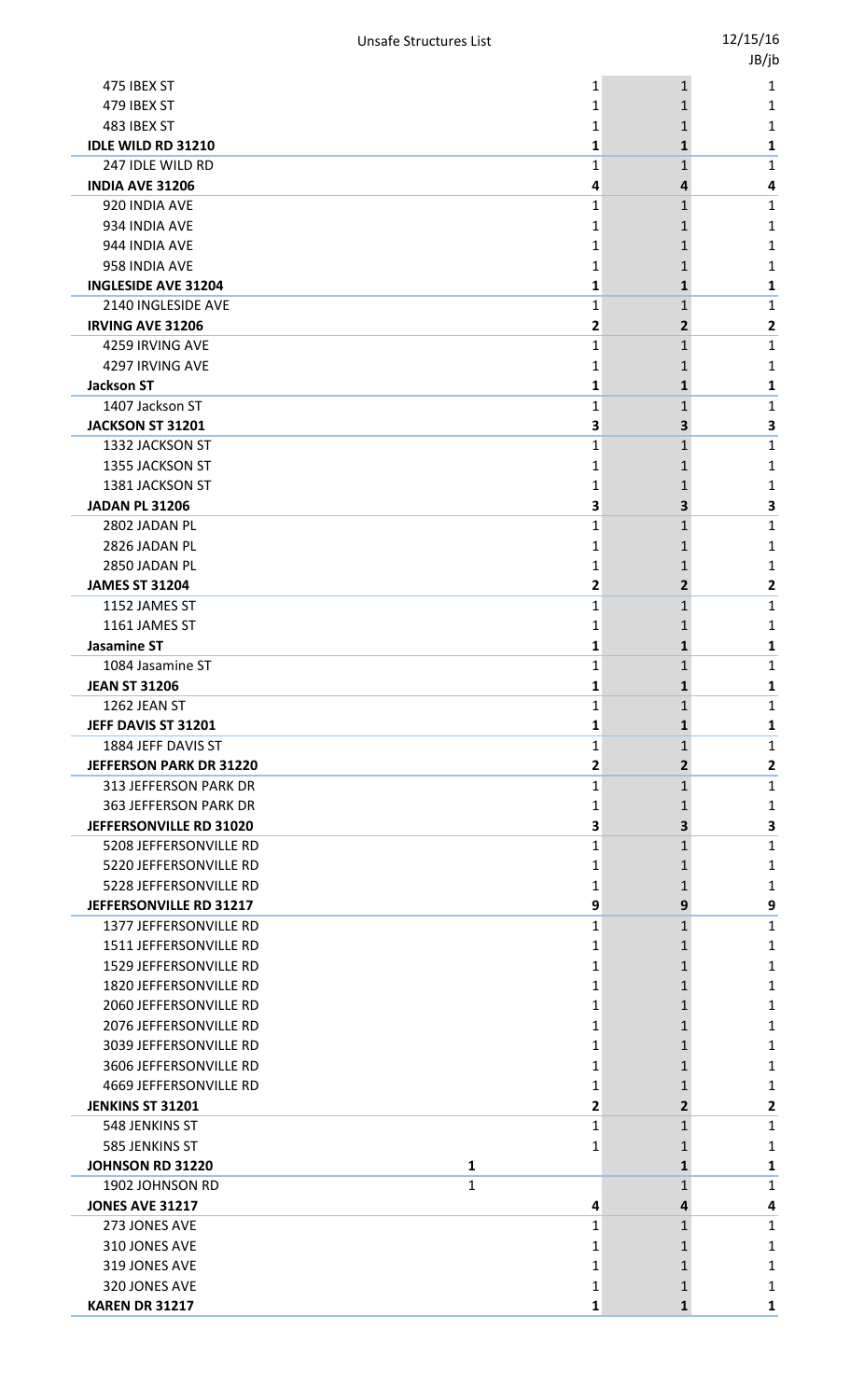|                                            |                   |                | טן נטנ       |
|--------------------------------------------|-------------------|----------------|--------------|
| 475 IBEX ST                                | 1                 | $\mathbf{1}$   | 1            |
| 479 IBEX ST                                | 1                 |                | 1            |
| 483 IBEX ST                                | 1                 | 1              | 1            |
| <b>IDLE WILD RD 31210</b>                  | 1                 | 1              | 1            |
| 247 IDLE WILD RD                           | 1                 | 1              | 1            |
| <b>INDIA AVE 31206</b>                     | 4                 | 4              | 4            |
| 920 INDIA AVE                              | 1                 | 1              | 1            |
| 934 INDIA AVE                              | 1                 | 1              | 1            |
| 944 INDIA AVE                              | 1                 | 1              | 1            |
| 958 INDIA AVE                              | 1                 |                | 1            |
| <b>INGLESIDE AVE 31204</b>                 | 1                 | 1              | 1            |
| 2140 INGLESIDE AVE                         | 1                 | 1              | 1            |
| <b>IRVING AVE 31206</b>                    | 2                 | 2              | 2            |
| 4259 IRVING AVE                            | 1                 | $\mathbf{1}$   | 1            |
| 4297 IRVING AVE                            | 1                 |                | 1            |
| <b>Jackson ST</b>                          | 1                 | 1              | 1            |
| 1407 Jackson ST                            | 1                 | 1              | 1            |
| JACKSON ST 31201                           | 3                 | 3              | 3            |
| 1332 JACKSON ST                            | 1                 | 1              | 1            |
| 1355 JACKSON ST                            | 1                 |                | 1            |
| 1381 JACKSON ST                            | 1                 | 1              | 1            |
| <b>JADAN PL 31206</b><br>2802 JADAN PL     | 3                 | 3.             | 3            |
| 2826 JADAN PL                              | 1                 | 1              | 1            |
| 2850 JADAN PL                              | 1                 | 1              | 1            |
| <b>JAMES ST 31204</b>                      | 1<br>2            | 1<br>2         | 1<br>2       |
| 1152 JAMES ST                              | 1                 | 1              | 1            |
| 1161 JAMES ST                              | 1                 | 1              | 1            |
| <b>Jasamine ST</b>                         | 1                 | 1              | 1            |
| 1084 Jasamine ST                           | 1                 | 1              | 1            |
| <b>JEAN ST 31206</b>                       | Ŧ                 | Ŧ,             | 1            |
| 1262 JEAN ST                               | 1                 | 1              | 1            |
| JEFF DAVIS ST 31201                        | 1                 | 1              | 1            |
| 1884 JEFF DAVIS ST                         | 1                 | $\mathbf{1}$   | 1            |
| <b>JEFFERSON PARK DR 31220</b>             | 2                 | $\overline{2}$ | $\mathbf{2}$ |
| 313 JEFFERSON PARK DR                      | 1                 | $\mathbf{1}$   | 1            |
| 363 JEFFERSON PARK DR                      | 1                 | 1              | 1            |
| JEFFERSONVILLE RD 31020                    | 3                 | 3              | 3            |
| 5208 JEFFERSONVILLE RD                     | 1                 | $\mathbf{1}$   | 1            |
| 5220 JEFFERSONVILLE RD                     | 1                 | 1              | 1            |
| 5228 JEFFERSONVILLE RD                     | 1                 | 1              | 1            |
| JEFFERSONVILLE RD 31217                    | 9                 | 9              | 9            |
| 1377 JEFFERSONVILLE RD                     | 1                 | $\mathbf{1}$   | 1            |
| 1511 JEFFERSONVILLE RD                     | 1                 | 1              | 1            |
| 1529 JEFFERSONVILLE RD                     | 1                 | 1              | 1            |
| 1820 JEFFERSONVILLE RD                     | 1                 | 1              | 1            |
| 2060 JEFFERSONVILLE RD                     | 1                 | 1              | 1            |
| 2076 JEFFERSONVILLE RD                     | 1                 | 1              | 1            |
| 3039 JEFFERSONVILLE RD                     | 1                 | 1              | 1            |
| 3606 JEFFERSONVILLE RD                     | 1                 | 1              | 1            |
| 4669 JEFFERSONVILLE RD                     | 1                 | 1              | 1            |
| <b>JENKINS ST 31201</b>                    | 2                 | $\overline{2}$ | 2            |
| 548 JENKINS ST                             | 1                 | $\mathbf{1}$   | 1            |
| 585 JENKINS ST                             | 1                 | 1              | 1            |
| <b>JOHNSON RD 31220</b><br>1902 JOHNSON RD | 1<br>$\mathbf{1}$ | 1<br>1         | 1            |
| <b>JONES AVE 31217</b>                     | 4                 | 4              | 1<br>4       |
| 273 JONES AVE                              | 1                 | $\mathbf{1}$   | 1            |
| 310 JONES AVE                              | 1                 | 1              | 1            |
| 319 JONES AVE                              | 1                 | 1              | 1            |
| 320 JONES AVE                              | 1                 |                | 1            |
| <b>KAREN DR 31217</b>                      | 1                 | 1              | 1            |
|                                            |                   |                |              |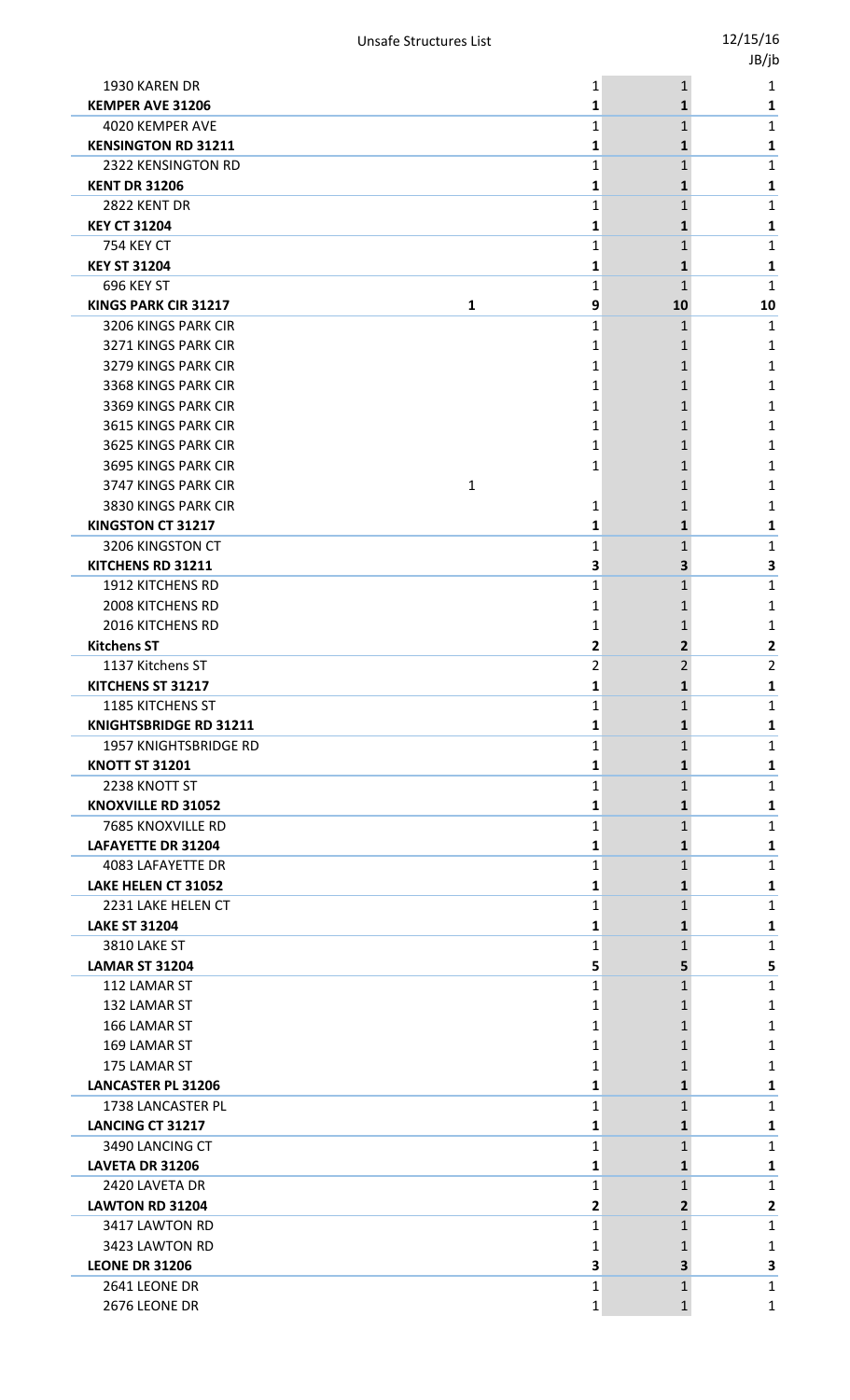|                                                 |                   |                | JB/jb        |
|-------------------------------------------------|-------------------|----------------|--------------|
| 1930 KAREN DR                                   | 1                 | $\mathbf{1}$   | 1            |
| <b>KEMPER AVE 31206</b>                         | 1                 | 1              | 1            |
| 4020 KEMPER AVE                                 | $\mathbf{1}$      | $\mathbf{1}$   | 1            |
| <b>KENSINGTON RD 31211</b>                      | 1                 | 1              | 1            |
| 2322 KENSINGTON RD                              | $\mathbf{1}$      | 1              | $\mathbf{1}$ |
| <b>KENT DR 31206</b>                            | 1                 | $\mathbf{1}$   | 1            |
| 2822 KENT DR                                    | 1                 | 1              | 1            |
| <b>KEY CT 31204</b>                             | 1                 | 1              | 1            |
| <b>754 KEY CT</b>                               | 1                 | 1              | 1            |
| <b>KEY ST 31204</b>                             | 1                 | 1              | 1            |
| 696 KEY ST                                      | 1                 | $\mathbf{1}$   | 1            |
| <b>KINGS PARK CIR 31217</b><br>$\mathbf{1}$     | 9                 | 10             | 10           |
| 3206 KINGS PARK CIR                             | $\mathbf{1}$      | 1              | 1            |
| 3271 KINGS PARK CIR                             | 1                 | 1              | 1            |
| 3279 KINGS PARK CIR                             | 1                 | 1              | 1            |
| 3368 KINGS PARK CIR                             | 1                 | 1              | 1            |
| 3369 KINGS PARK CIR                             | 1                 | 1              | 1            |
| 3615 KINGS PARK CIR                             | 1                 | 1              | 1            |
| 3625 KINGS PARK CIR<br>3695 KINGS PARK CIR      | 1                 | 1              | 1            |
| 3747 KINGS PARK CIR<br>$\mathbf{1}$             | 1                 | 1              | 1            |
|                                                 |                   | 1              | 1            |
| 3830 KINGS PARK CIR<br><b>KINGSTON CT 31217</b> | 1<br>1            | 1<br>1         | 1<br>1       |
| 3206 KINGSTON CT                                | 1                 | 1              | 1            |
| KITCHENS RD 31211                               | 3                 | 3              | 3            |
| <b>1912 KITCHENS RD</b>                         | 1                 | $\mathbf{1}$   | 1            |
| 2008 KITCHENS RD                                | 1                 | 1              | 1            |
| <b>2016 KITCHENS RD</b>                         | 1                 | 1              | 1            |
| <b>Kitchens ST</b>                              | 2                 | $\mathbf{2}$   | $\mathbf{2}$ |
| 1137 Kitchens ST                                | $\overline{2}$    | $\overline{2}$ | 2            |
| KITCHENS ST 31217                               | 1                 | $\mathbf{1}$   | 1            |
| 1185 KITCHENS ST                                | 1                 | 1              | 1            |
| <b>KNIGHTSBRIDGE RD 31211</b>                   | 1                 | 1              | 1            |
| 1957 KNIGHTSBRIDGE RD                           | 1                 | 1              | 1            |
| <b>KNOTT ST 31201</b>                           | 1                 | $\mathbf{1}$   | 1            |
| 2238 KNOTT ST                                   | 1                 | $\mathbf{1}$   | 1            |
| <b>KNOXVILLE RD 31052</b>                       | 1                 | 1              | 1            |
| 7685 KNOXVILLE RD                               | $\mathbf{1}$      | $\mathbf{1}$   | $\mathbf{1}$ |
| <b>LAFAYETTE DR 31204</b>                       | 1                 | 1              | 1            |
| 4083 LAFAYETTE DR                               | 1                 | $\mathbf{1}$   | 1            |
| LAKE HELEN CT 31052                             | 1                 | 1              | 1            |
| 2231 LAKE HELEN CT                              | 1                 | 1              | $\mathbf{1}$ |
| <b>LAKE ST 31204</b>                            | 1                 | 1              | 1            |
| 3810 LAKE ST                                    | 1                 | 1              | 1            |
| <b>LAMAR ST 31204</b>                           | 5                 | 5              | 5            |
| 112 LAMAR ST                                    | 1                 | $\mathbf{1}$   | 1            |
| 132 LAMAR ST                                    | 1                 | 1              | 1            |
| 166 LAMAR ST                                    | 1                 | 1              | 1            |
| 169 LAMAR ST                                    | 1                 | 1              | 1            |
| 175 LAMAR ST                                    | 1                 | 1              | 1            |
| <b>LANCASTER PL 31206</b>                       | 1                 | 1              | 1            |
| 1738 LANCASTER PL                               | 1                 | 1              | $\mathbf{1}$ |
| <b>LANCING CT 31217</b>                         | 1                 | 1              | 1            |
| 3490 LANCING CT                                 | 1                 | 1              | 1            |
| LAVETA DR 31206                                 | 1                 | $\mathbf{1}$   | 1            |
| 2420 LAVETA DR                                  | 1                 | $\mathbf{1}$   | $\mathbf{1}$ |
| <b>LAWTON RD 31204</b>                          | 2                 | $\mathbf{2}$   | $\mathbf{2}$ |
| 3417 LAWTON RD                                  | $\mathbf{1}$      | $\mathbf{1}$   | 1            |
| 3423 LAWTON RD                                  | 1                 | 1              | 1            |
| <b>LEONE DR 31206</b><br>2641 LEONE DR          | 3                 | 3              | 3            |
| 2676 LEONE DR                                   | 1<br>$\mathbf{1}$ | $\mathbf{1}$   | 1            |
|                                                 |                   | $\mathbf 1$    | $\mathbf{1}$ |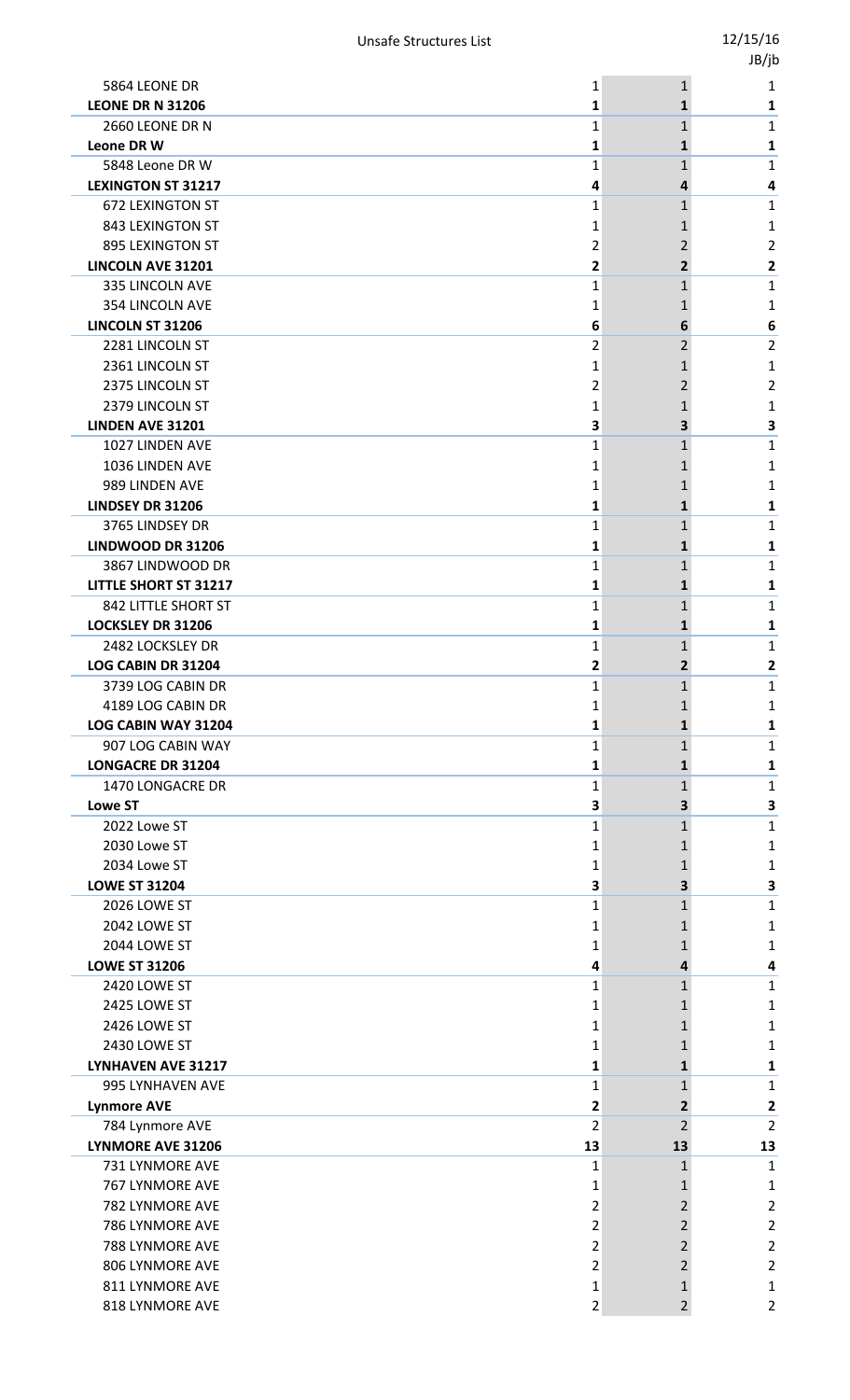|              |                                                                                                                                                               | יני י                                                                                                                                                                                                                                                                  |
|--------------|---------------------------------------------------------------------------------------------------------------------------------------------------------------|------------------------------------------------------------------------------------------------------------------------------------------------------------------------------------------------------------------------------------------------------------------------|
| 1            |                                                                                                                                                               | 1                                                                                                                                                                                                                                                                      |
| 1            | 1                                                                                                                                                             | 1                                                                                                                                                                                                                                                                      |
| $\mathbf{1}$ |                                                                                                                                                               | 1                                                                                                                                                                                                                                                                      |
| 1            | 1                                                                                                                                                             | 1                                                                                                                                                                                                                                                                      |
|              |                                                                                                                                                               | 1                                                                                                                                                                                                                                                                      |
|              |                                                                                                                                                               | 4                                                                                                                                                                                                                                                                      |
|              |                                                                                                                                                               | 1                                                                                                                                                                                                                                                                      |
|              |                                                                                                                                                               | 1                                                                                                                                                                                                                                                                      |
|              |                                                                                                                                                               | 2<br>2                                                                                                                                                                                                                                                                 |
|              |                                                                                                                                                               | 1                                                                                                                                                                                                                                                                      |
|              |                                                                                                                                                               | 1                                                                                                                                                                                                                                                                      |
|              |                                                                                                                                                               | 6                                                                                                                                                                                                                                                                      |
|              |                                                                                                                                                               | 2                                                                                                                                                                                                                                                                      |
|              |                                                                                                                                                               | 1                                                                                                                                                                                                                                                                      |
|              |                                                                                                                                                               | 2                                                                                                                                                                                                                                                                      |
|              |                                                                                                                                                               | 1                                                                                                                                                                                                                                                                      |
|              |                                                                                                                                                               | З                                                                                                                                                                                                                                                                      |
| 1            | 1                                                                                                                                                             | 1                                                                                                                                                                                                                                                                      |
| 1            | 1                                                                                                                                                             | 1                                                                                                                                                                                                                                                                      |
| 1            | 1                                                                                                                                                             | 1                                                                                                                                                                                                                                                                      |
| 1            | 1                                                                                                                                                             | 1                                                                                                                                                                                                                                                                      |
| 1            | 1                                                                                                                                                             | 1                                                                                                                                                                                                                                                                      |
| 1            | 1                                                                                                                                                             | 1                                                                                                                                                                                                                                                                      |
| 1            | 1                                                                                                                                                             | 1                                                                                                                                                                                                                                                                      |
| 1            |                                                                                                                                                               | 1                                                                                                                                                                                                                                                                      |
| 1            | 1                                                                                                                                                             | 1                                                                                                                                                                                                                                                                      |
| 1            |                                                                                                                                                               | 1                                                                                                                                                                                                                                                                      |
| 1            | 1                                                                                                                                                             | 1                                                                                                                                                                                                                                                                      |
| 2            | 2                                                                                                                                                             | 2                                                                                                                                                                                                                                                                      |
| 1            | $\mathbf 1$                                                                                                                                                   | 1                                                                                                                                                                                                                                                                      |
| 1            | 1                                                                                                                                                             | 1                                                                                                                                                                                                                                                                      |
| 1            | 1                                                                                                                                                             | 1                                                                                                                                                                                                                                                                      |
| 1            |                                                                                                                                                               | 1                                                                                                                                                                                                                                                                      |
| 1            |                                                                                                                                                               | 1                                                                                                                                                                                                                                                                      |
| 1            | $\mathbf{1}$                                                                                                                                                  | 1                                                                                                                                                                                                                                                                      |
|              | 3                                                                                                                                                             | 3                                                                                                                                                                                                                                                                      |
|              |                                                                                                                                                               | 1                                                                                                                                                                                                                                                                      |
|              | 1                                                                                                                                                             | 1                                                                                                                                                                                                                                                                      |
|              |                                                                                                                                                               | 1                                                                                                                                                                                                                                                                      |
|              |                                                                                                                                                               | 3                                                                                                                                                                                                                                                                      |
|              |                                                                                                                                                               | 1                                                                                                                                                                                                                                                                      |
|              |                                                                                                                                                               | 1                                                                                                                                                                                                                                                                      |
|              |                                                                                                                                                               | 1                                                                                                                                                                                                                                                                      |
|              |                                                                                                                                                               | 4<br>1                                                                                                                                                                                                                                                                 |
|              |                                                                                                                                                               |                                                                                                                                                                                                                                                                        |
|              |                                                                                                                                                               | 1<br>1                                                                                                                                                                                                                                                                 |
|              |                                                                                                                                                               | 1                                                                                                                                                                                                                                                                      |
|              |                                                                                                                                                               | 1                                                                                                                                                                                                                                                                      |
|              |                                                                                                                                                               | 1                                                                                                                                                                                                                                                                      |
|              |                                                                                                                                                               | 2                                                                                                                                                                                                                                                                      |
|              |                                                                                                                                                               | 2                                                                                                                                                                                                                                                                      |
|              |                                                                                                                                                               | 13                                                                                                                                                                                                                                                                     |
| 1            | 1                                                                                                                                                             | 1                                                                                                                                                                                                                                                                      |
| 1            | 1                                                                                                                                                             | 1                                                                                                                                                                                                                                                                      |
| 2            | 2                                                                                                                                                             | 2                                                                                                                                                                                                                                                                      |
| 2            |                                                                                                                                                               | 2                                                                                                                                                                                                                                                                      |
| 2            | 2                                                                                                                                                             | 2                                                                                                                                                                                                                                                                      |
| 2            | 2                                                                                                                                                             | 2                                                                                                                                                                                                                                                                      |
| 1            | 1                                                                                                                                                             | 1                                                                                                                                                                                                                                                                      |
| 2            | 2                                                                                                                                                             | 2                                                                                                                                                                                                                                                                      |
|              | 1<br>4<br>1<br>1<br>2<br>2<br>1<br>1<br>6<br>2<br>1<br>2<br>1<br>3<br>З<br>1<br>1<br>1<br>3<br>1<br>1<br>1<br>4<br>1<br>1<br>1<br>1<br>1<br>1<br>2<br>2<br>13 | $\mathbf{1}$<br>$\mathbf{1}$<br>1<br>4<br>$\mathbf{1}$<br>1<br>2<br>2<br>$\mathbf{1}$<br>1<br>6<br>2<br>1<br>2<br>1<br>3<br>$\mathbf{1}$<br>1<br>$\mathbf{1}$<br>1<br>$\mathbf{1}$<br>1<br>3<br>1<br>1<br>4<br>1<br>1<br>1<br>1<br>1<br>2<br>$\overline{2}$<br>13<br>2 |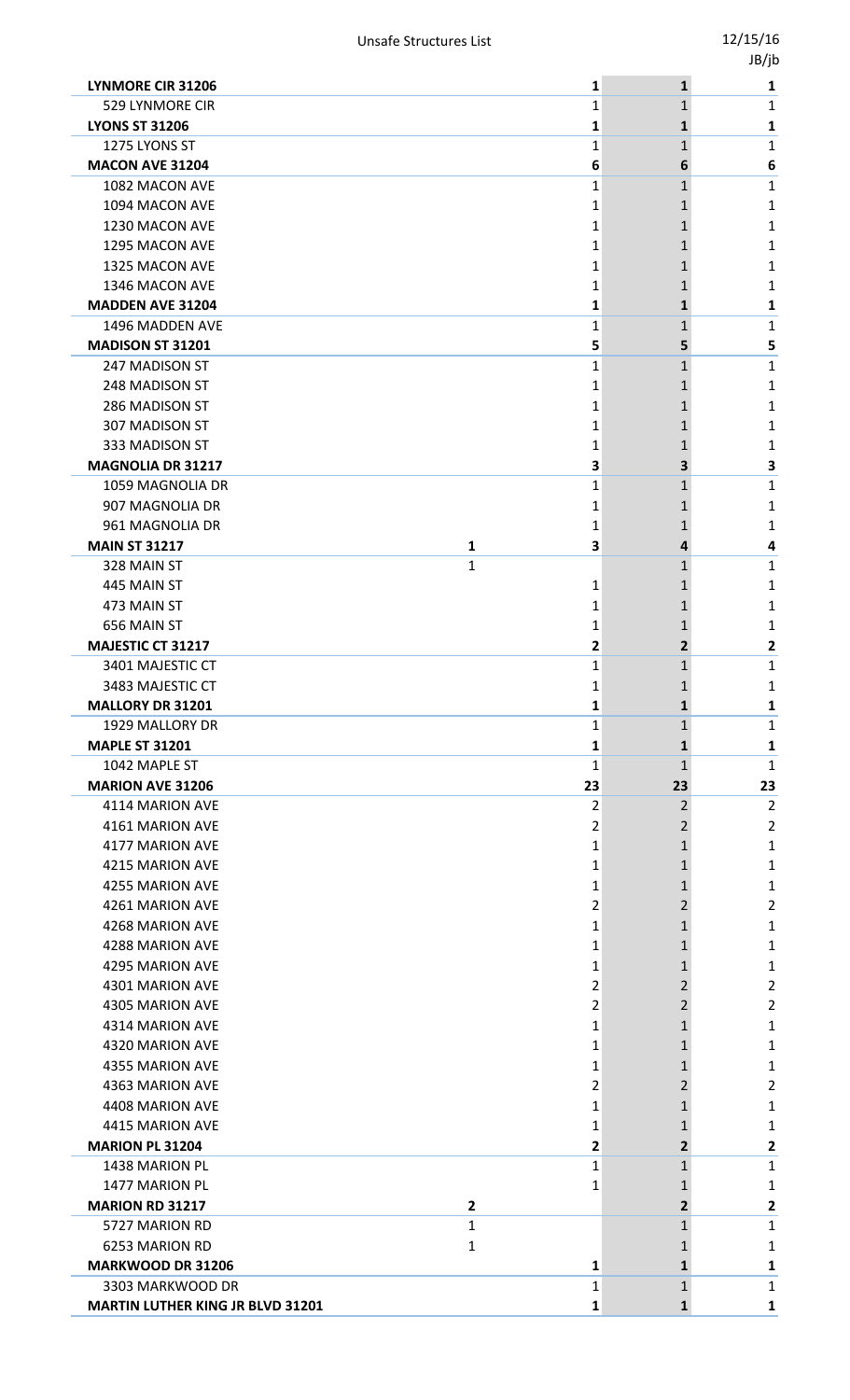|                                         |                |    |                | -,,                     |
|-----------------------------------------|----------------|----|----------------|-------------------------|
| <b>LYNMORE CIR 31206</b>                |                | 1  | $\mathbf{1}$   | 1                       |
| 529 LYNMORE CIR                         |                | 1  | $\mathbf{1}$   | 1                       |
| <b>LYONS ST 31206</b>                   |                | 1  | 1              | 1                       |
| 1275 LYONS ST                           |                | 1  | $\mathbf{1}$   | 1                       |
| <b>MACON AVE 31204</b>                  |                | 6  | 6              | 6                       |
| 1082 MACON AVE                          |                | 1  | $\mathbf{1}$   | 1                       |
| 1094 MACON AVE                          |                | 1  | 1              | 1                       |
| 1230 MACON AVE                          |                | 1  | 1              | 1                       |
| 1295 MACON AVE                          |                | 1  | 1              | 1                       |
| 1325 MACON AVE                          |                | 1  | 1              | 1                       |
| 1346 MACON AVE                          |                | 1  |                | 1                       |
| <b>MADDEN AVE 31204</b>                 |                | 1  | 1              | 1                       |
| 1496 MADDEN AVE                         |                | 1  | 1              | 1                       |
| MADISON ST 31201                        |                | 5  | 5              | 5                       |
| 247 MADISON ST                          |                | 1  | 1              | 1                       |
| 248 MADISON ST                          |                | 1  | 1              |                         |
|                                         |                |    |                | 1                       |
| 286 MADISON ST                          |                | 1  |                | 1                       |
| 307 MADISON ST                          |                | 1  | 1              | 1                       |
| 333 MADISON ST                          |                | 1  | 1              | 1                       |
| <b>MAGNOLIA DR 31217</b>                |                | З  | 3              | 3                       |
| 1059 MAGNOLIA DR                        |                | 1  | $\mathbf{1}$   | 1                       |
| 907 MAGNOLIA DR                         |                | 1  | 1              | 1                       |
| 961 MAGNOLIA DR                         |                | 1  | 1              | 1                       |
| <b>MAIN ST 31217</b>                    | 1              | 3  | 4              | 4                       |
| 328 MAIN ST                             | $\mathbf{1}$   |    | 1              | 1                       |
| 445 MAIN ST                             |                | 1  |                | 1                       |
| 473 MAIN ST                             |                | 1  | 1              | 1                       |
| 656 MAIN ST                             |                | 1  | 1              | 1                       |
| <b>MAJESTIC CT 31217</b>                |                | 2  | $\overline{2}$ | 2                       |
| 3401 MAJESTIC CT                        |                | 1  | 1              | 1                       |
| 3483 MAJESTIC CT                        |                | 1  |                | 1                       |
| <b>MALLORY DR 31201</b>                 |                | 1  | $\mathbf{1}$   | 1                       |
| 1929 MALLORY DR                         |                | 1  | 1              | 1                       |
| <b>MAPLE ST 31201</b>                   |                | 1  | $\mathbf{1}$   | 1                       |
| 1042 MAPLE ST                           |                | 1  | $\mathbf{1}$   | 1                       |
| <b>MARION AVE 31206</b>                 |                | 23 | 23             | 23                      |
| 4114 MARION AVE                         |                | 2  | $\overline{2}$ | $\overline{2}$          |
| 4161 MARION AVE                         |                | 2  | 2              | $\overline{2}$          |
| 4177 MARION AVE                         |                | 1  | 1              | 1                       |
| 4215 MARION AVE                         |                | 1  | 1              | 1                       |
| 4255 MARION AVE                         |                | 1  | 1              | 1                       |
| 4261 MARION AVE                         |                | 2  | 2              | 2                       |
| 4268 MARION AVE                         |                | 1  | 1              | 1                       |
| 4288 MARION AVE                         |                | 1  | 1              | 1                       |
| 4295 MARION AVE                         |                | 1  | 1              | 1                       |
| 4301 MARION AVE                         |                | 2  | 2              | 2                       |
| 4305 MARION AVE                         |                | 2  | $\overline{2}$ | 2                       |
| 4314 MARION AVE                         |                | 1  | 1              | 1                       |
| 4320 MARION AVE                         |                | 1  | 1              | 1                       |
| 4355 MARION AVE                         |                | 1  | 1              | 1                       |
| 4363 MARION AVE                         |                | 2  | 2              | 2                       |
| 4408 MARION AVE                         |                | 1  | 1              | 1                       |
| 4415 MARION AVE                         |                | 1  | 1              | 1                       |
| <b>MARION PL 31204</b>                  |                | 2  | $\overline{2}$ | 2                       |
| 1438 MARION PL                          |                | 1  | $\mathbf{1}$   | 1                       |
| 1477 MARION PL                          |                | 1  | 1              | 1                       |
| <b>MARION RD 31217</b>                  | $\overline{2}$ |    | 2              | $\overline{\mathbf{c}}$ |
| 5727 MARION RD                          | 1              |    | 1              | 1                       |
| 6253 MARION RD                          | $\mathbf{1}$   |    | 1              | 1                       |
| MARKWOOD DR 31206                       |                | 1  | 1              | 1                       |
| 3303 MARKWOOD DR                        |                | 1  | $\mathbf{1}$   | $\mathbf 1$             |
| <b>MARTIN LUTHER KING JR BLVD 31201</b> |                | 1  | $\mathbf{1}$   | 1                       |
|                                         |                |    |                |                         |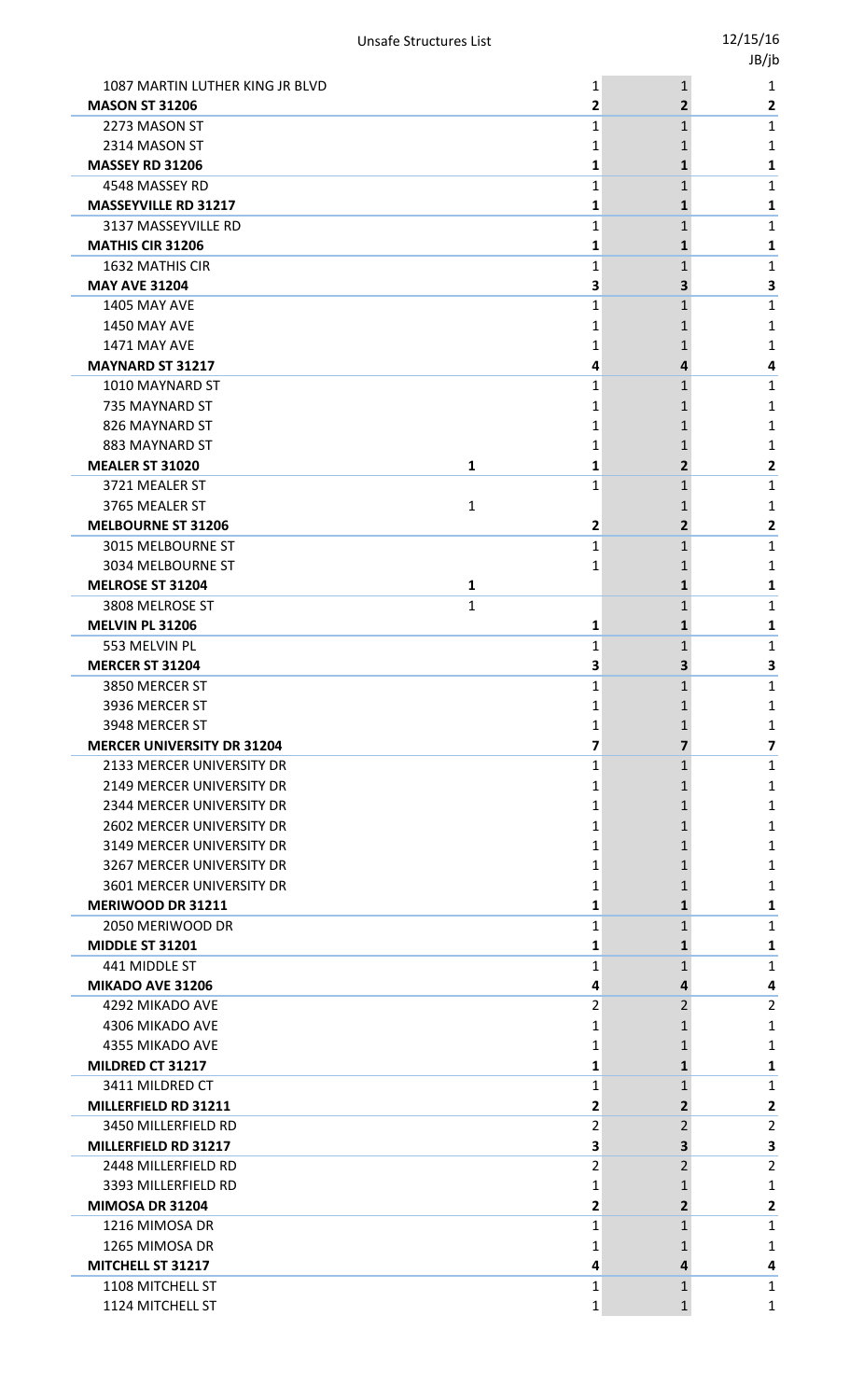|                                                        |                |                   | -,,            |
|--------------------------------------------------------|----------------|-------------------|----------------|
| 1087 MARTIN LUTHER KING JR BLVD                        | 1              | $\mathbf{1}$      | 1              |
| <b>MASON ST 31206</b>                                  | $\overline{2}$ | 2                 | 2              |
| 2273 MASON ST                                          | 1              | $\mathbf 1$       | 1              |
| 2314 MASON ST                                          | 1              | 1                 | 1              |
| <b>MASSEY RD 31206</b>                                 | 1              | 1                 | 1              |
| 4548 MASSEY RD                                         | 1              | $\mathbf 1$       | 1              |
| <b>MASSEYVILLE RD 31217</b>                            | 1              | 1                 | 1              |
| 3137 MASSEYVILLE RD                                    | 1              | 1                 | 1              |
| <b>MATHIS CIR 31206</b>                                | 1              | 1                 | 1              |
| <b>1632 MATHIS CIR</b>                                 | 1              | 1                 | 1              |
| <b>MAY AVE 31204</b>                                   | 3              | 3                 | 3              |
| <b>1405 MAY AVE</b>                                    | 1              | $\mathbf 1$       | 1              |
| <b>1450 MAY AVE</b>                                    | 1              | 1                 | 1              |
| <b>1471 MAY AVE</b>                                    | 1              | 1                 | 1              |
| <b>MAYNARD ST 31217</b>                                | 4              | 4                 | 4              |
| 1010 MAYNARD ST                                        | 1              | $\mathbf 1$       | 1              |
| 735 MAYNARD ST                                         | 1              | 1                 | 1              |
| 826 MAYNARD ST                                         | 1              | 1                 | 1              |
| 883 MAYNARD ST                                         | 1              | 1                 | 1              |
| <b>MEALER ST 31020</b>                                 | 1<br>1         | 2                 | 2              |
| 3721 MEALER ST                                         | 1              | $\mathbf 1$       | 1              |
| 3765 MEALER ST                                         | $\mathbf{1}$   | 1                 | 1              |
| <b>MELBOURNE ST 31206</b>                              | 2              | 2                 | 2              |
| 3015 MELBOURNE ST                                      | 1              | $\mathbf 1$       | 1              |
| 3034 MELBOURNE ST                                      | 1              | 1                 | 1              |
| <b>MELROSE ST 31204</b>                                | 1              | $\mathbf 1$       | 1              |
| 3808 MELROSE ST                                        | $\mathbf{1}$   | 1                 | 1              |
| <b>MELVIN PL 31206</b>                                 | 1              | 1                 | 1              |
| 553 MELVIN PL                                          | 1              | 1                 | 1              |
| <b>MERCER ST 31204</b>                                 | 3              | 3                 | 3              |
| 3850 MERCER ST                                         | 1              | 1                 | 1              |
| 3936 MERCER ST                                         | 1              | 1                 | 1              |
| 3948 MERCER ST<br><b>MERCER UNIVERSITY DR 31204</b>    | 1              | 1                 | 1              |
|                                                        | 7              | 7                 | 7              |
| 2133 MERCER UNIVERSITY DR<br>2149 MERCER UNIVERSITY DR | 1<br>1         | $\mathbf{1}$<br>1 | 1<br>1         |
| 2344 MERCER UNIVERSITY DR                              | 1              | 1                 | 1              |
| <b>2602 MERCER UNIVERSITY DR</b>                       | 1              | 1                 | 1              |
| 3149 MERCER UNIVERSITY DR                              | 1              | 1                 | 1              |
| 3267 MERCER UNIVERSITY DR                              | 1              | 1                 | 1              |
| 3601 MERCER UNIVERSITY DR                              | 1              | 1                 | 1              |
| <b>MERIWOOD DR 31211</b>                               | 1              | 1                 | 1              |
| 2050 MERIWOOD DR                                       | 1              | 1                 | 1              |
| <b>MIDDLE ST 31201</b>                                 | 1              | 1                 | 1              |
| 441 MIDDLE ST                                          | 1              | 1                 | 1              |
| MIKADO AVE 31206                                       | 4              | 4                 | 4              |
| 4292 MIKADO AVE                                        | 2              | 2                 | $\overline{2}$ |
| 4306 MIKADO AVE                                        | 1              | 1                 | 1              |
| 4355 MIKADO AVE                                        | 1              | 1                 | 1              |
| MILDRED CT 31217                                       | 1              | 1                 | 1              |
| 3411 MILDRED CT                                        | 1              | $\mathbf 1$       | 1              |
| MILLERFIELD RD 31211                                   | 2              | 2                 | 2              |
| 3450 MILLERFIELD RD                                    | 2              | 2                 | $\overline{2}$ |
| MILLERFIELD RD 31217                                   | 3              | 3                 | 3              |
| 2448 MILLERFIELD RD                                    | 2              | 2                 | 2              |
| 3393 MILLERFIELD RD                                    | 1              | 1                 | 1              |
| MIMOSA DR 31204                                        | 2              | 2                 | 2              |
| 1216 MIMOSA DR                                         | 1              | 1                 | 1              |
| 1265 MIMOSA DR                                         | 1              | 1                 | 1              |
| MITCHELL ST 31217                                      | 4              | 4                 | 4              |
| 1108 MITCHELL ST                                       | 1              | 1                 | 1              |
| 1124 MITCHELL ST                                       | 1              | $\mathbf{1}$      | 1              |
|                                                        |                |                   |                |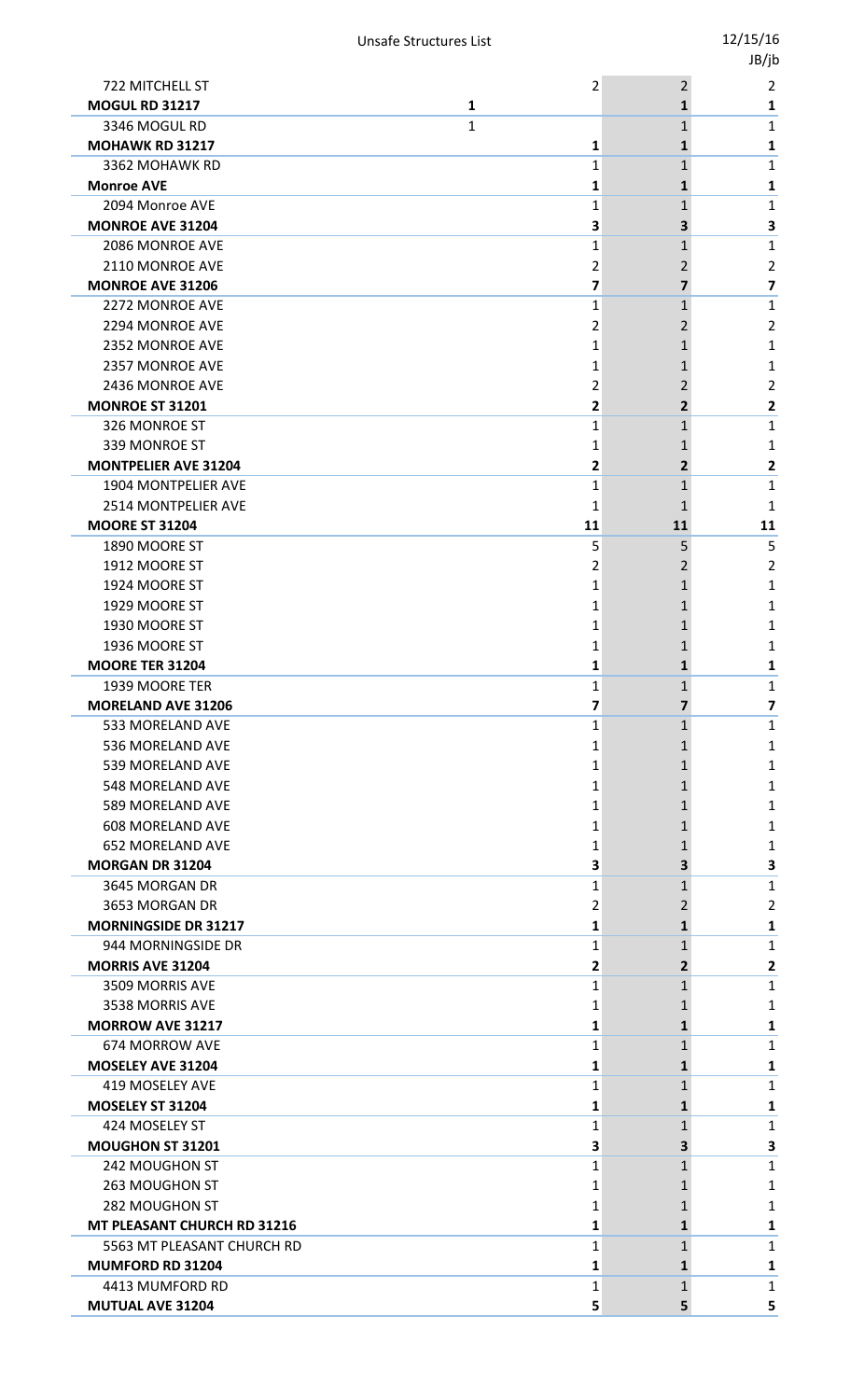|                                           |                   |                | JB/jb                   |
|-------------------------------------------|-------------------|----------------|-------------------------|
| 722 MITCHELL ST                           | 2                 | $\overline{2}$ | $\overline{2}$          |
| <b>MOGUL RD 31217</b>                     | $\mathbf{1}$      | $\mathbf{1}$   | 1                       |
| 3346 MOGUL RD                             | 1                 | $\mathbf{1}$   | 1                       |
| <b>MOHAWK RD 31217</b>                    | 1                 | 1              | 1                       |
| 3362 MOHAWK RD                            | 1                 | $\mathbf{1}$   | 1                       |
| <b>Monroe AVE</b>                         | 1                 | 1              | 1                       |
| 2094 Monroe AVE                           | $\mathbf{1}$      | 1              | $\mathbf{1}$            |
| <b>MONROE AVE 31204</b>                   | 3                 | 3              | 3                       |
| 2086 MONROE AVE                           | $\mathbf{1}$      | 1              | $\mathbf{1}$            |
| 2110 MONROE AVE                           | 2                 | 2              | $\overline{2}$          |
| <b>MONROE AVE 31206</b>                   | 7                 | 7              | $\overline{\mathbf{z}}$ |
| 2272 MONROE AVE                           | $\mathbf{1}$      | $\mathbf{1}$   | $\mathbf{1}$            |
| 2294 MONROE AVE                           | 2                 | 2              | 2                       |
| 2352 MONROE AVE                           | 1                 | 1              | 1                       |
| 2357 MONROE AVE                           | 1                 | 1              | 1                       |
| 2436 MONROE AVE                           | $\overline{2}$    | 2              | $\overline{2}$          |
| <b>MONROE ST 31201</b>                    | 2                 | $\overline{2}$ | 2                       |
| 326 MONROE ST                             | 1                 | $\mathbf{1}$   | 1                       |
| 339 MONROE ST                             | 1                 | 1              | 1                       |
| <b>MONTPELIER AVE 31204</b>               | 2                 | $\mathbf{2}$   | 2                       |
| 1904 MONTPELIER AVE                       | $\mathbf{1}$      | 1              | $\mathbf{1}$            |
| 2514 MONTPELIER AVE                       | $\mathbf{1}$      | 1              | 1                       |
| <b>MOORE ST 31204</b>                     | 11                | 11             | 11                      |
| 1890 MOORE ST                             | 5                 | 5              | 5                       |
| 1912 MOORE ST                             | 2                 | 2              | 2                       |
| 1924 MOORE ST                             | 1                 | 1              | 1                       |
| 1929 MOORE ST                             | 1                 | 1              | 1                       |
| 1930 MOORE ST                             | 1                 | 1              | 1                       |
| 1936 MOORE ST                             | 1                 | 1              | 1                       |
| <b>MOORE TER 31204</b>                    | 1                 | $\mathbf{1}$   | 1                       |
| 1939 MOORE TER                            | 1                 | 1              | $\mathbf{1}$            |
| <b>MORELAND AVE 31206</b>                 | 7                 | 7              | $\overline{\mathbf{z}}$ |
| 533 MORELAND AVE                          | 1                 | $\mathbf{1}$   | $\mathbf{1}$            |
| 536 MORELAND AVE                          | 1                 | 1              | 1                       |
| 539 MORELAND AVE                          | 1                 | 1              | 1                       |
| 548 MORELAND AVE                          | 1                 | 1              | 1                       |
| 589 MORELAND AVE                          | 1                 | 1              | 1                       |
| <b>608 MORELAND AVE</b>                   | 1                 | 1              | 1                       |
| <b>652 MORELAND AVE</b>                   | 1                 | 1              | 1                       |
| <b>MORGAN DR 31204</b>                    | 3                 | 3              | 3                       |
| 3645 MORGAN DR                            | 1                 | 1              | 1                       |
| 3653 MORGAN DR                            | 2                 | 2              | $\overline{2}$          |
| <b>MORNINGSIDE DR 31217</b>               | 1                 | 1              | 1                       |
| 944 MORNINGSIDE DR                        | $\mathbf{1}$      | 1              | $\mathbf{1}$            |
| <b>MORRIS AVE 31204</b>                   | 2                 | $\mathbf{2}$   | $\overline{\mathbf{2}}$ |
| 3509 MORRIS AVE                           | 1                 | 1              | $\mathbf{1}$            |
| 3538 MORRIS AVE                           | 1                 | 1              | 1                       |
| <b>MORROW AVE 31217</b><br>674 MORROW AVE | 1<br>$\mathbf{1}$ | 1              | 1<br>$\mathbf{1}$       |
|                                           |                   | 1              |                         |
| <b>MOSELEY AVE 31204</b>                  | 1                 | 1              | 1                       |
| 419 MOSELEY AVE<br>MOSELEY ST 31204       | 1                 | 1              | $\mathbf{1}$            |
|                                           | 1                 | 1              | 1                       |
| 424 MOSELEY ST<br>MOUGHON ST 31201        | 1                 | 1<br>3         | 1                       |
| 242 MOUGHON ST                            | 3<br>1            | $\mathbf{1}$   | 3<br>1                  |
|                                           |                   |                |                         |
| 263 MOUGHON ST                            | 1                 | 1              | 1                       |
| 282 MOUGHON ST                            | 1                 | 1              | 1                       |
| MT PLEASANT CHURCH RD 31216               | 1                 | 1              | 1                       |
| 5563 MT PLEASANT CHURCH RD                | 1                 | 1              | 1                       |
| MUMFORD RD 31204                          | 1                 | $\mathbf{1}$   | 1                       |
| 4413 MUMFORD RD                           | $\mathbf{1}$      | $\mathbf{1}$   | 1                       |
| MUTUAL AVE 31204                          | 5                 | 5              | 5                       |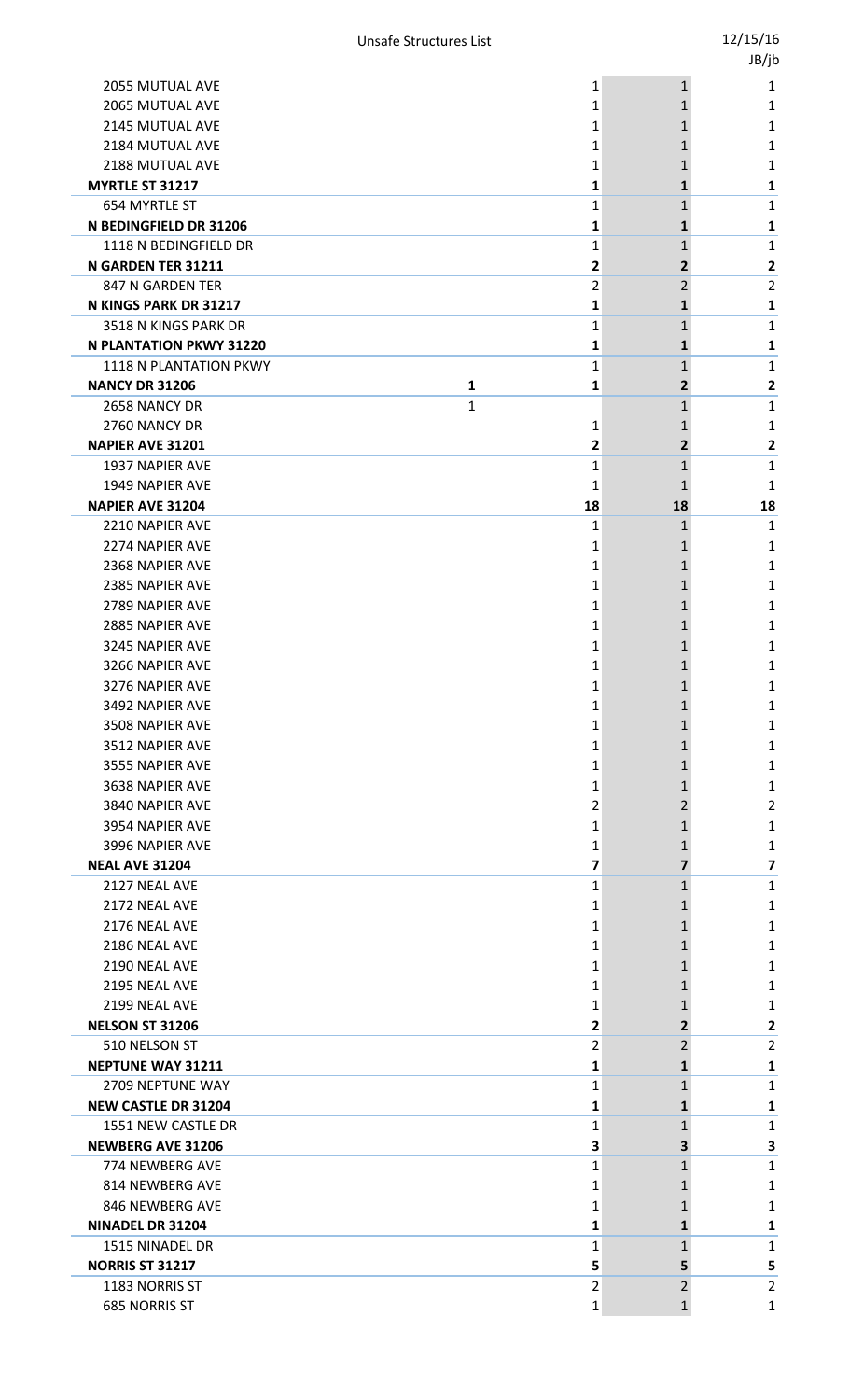|                                           |                   |                | טן נטנ         |
|-------------------------------------------|-------------------|----------------|----------------|
| <b>2055 MUTUAL AVE</b>                    | 1                 | $\mathbf{1}$   | 1              |
| 2065 MUTUAL AVE                           | 1                 | 1              | 1              |
| 2145 MUTUAL AVE                           | 1                 | 1              | 1              |
| 2184 MUTUAL AVE                           | 1                 | 1              | 1              |
| 2188 MUTUAL AVE                           | 1                 |                | 1              |
| MYRTLE ST 31217                           | 1                 | 1              | 1              |
| 654 MYRTLE ST                             | 1                 | 1              | 1              |
| N BEDINGFIELD DR 31206                    | 1                 | 1              | 1              |
| 1118 N BEDINGFIELD DR                     | 1                 | 1              | 1              |
| N GARDEN TER 31211                        | 2                 | $\overline{2}$ | 2              |
| 847 N GARDEN TER                          | 2                 | $\overline{2}$ | $\overline{2}$ |
| N KINGS PARK DR 31217                     | 1                 | 1              | 1              |
| 3518 N KINGS PARK DR                      | 1                 | $\mathbf{1}$   | 1              |
| <b>N PLANTATION PKWY 31220</b>            | 1                 | 1              | 1              |
| 1118 N PLANTATION PKWY                    | 1                 | 1              | 1              |
| <b>NANCY DR 31206</b>                     | $\mathbf{1}$<br>1 | $\mathbf{2}$   | 2              |
| 2658 NANCY DR                             | 1                 | 1              | 1              |
| 2760 NANCY DR<br><b>NAPIER AVE 31201</b>  | 1<br>2            | 1<br>2         | 1<br>2         |
| <b>1937 NAPIER AVE</b>                    | 1                 | 1              | 1              |
| 1949 NAPIER AVE                           | 1                 | 1              | 1              |
| <b>NAPIER AVE 31204</b>                   | 18                | 18             | 18             |
| 2210 NAPIER AVE                           | 1                 | $\mathbf{1}$   | 1              |
| 2274 NAPIER AVE                           | 1                 | 1              | 1              |
| 2368 NAPIER AVE                           | 1                 | 1              | 1              |
| 2385 NAPIER AVE                           | 1                 | 1              | 1              |
| 2789 NAPIER AVE                           | 1                 | 1              | 1              |
| 2885 NAPIER AVE                           | 1                 | 1              | 1              |
| 3245 NAPIER AVE                           | 1                 | 1              | 1              |
| 3266 NAPIER AVE                           | 1                 |                | 1              |
| 3276 NAPIER AVE                           | 1                 | 1              | 1              |
| 3492 NAPIER AVE                           | 1                 | 1              | 1              |
| 3508 NAPIER AVE                           | 1                 | 1              | 1              |
| 3512 NAPIER AVE                           | 1                 | 1              | 1              |
| 3555 NAPIER AVE                           | 1                 | 1              | 1              |
| 3638 NAPIER AVE                           | 1                 | 1              | 1              |
| 3840 NAPIER AVE                           | 2                 | 2              | 2              |
| 3954 NAPIER AVE                           | 1                 | 1              | 1              |
| 3996 NAPIER AVE<br><b>NEAL AVE 31204</b>  | 1<br>7            | 1<br>7         | 1              |
| 2127 NEAL AVE                             | 1                 | 1              | 7<br>1         |
| 2172 NEAL AVE                             | 1                 | 1              | 1              |
| 2176 NEAL AVE                             | 1                 | 1              | 1              |
| 2186 NEAL AVE                             | 1                 | 1              | 1              |
| 2190 NEAL AVE                             | 1                 |                | 1              |
| 2195 NEAL AVE                             | 1                 | 1              | 1              |
| 2199 NEAL AVE                             | 1                 | 1              | 1              |
| <b>NELSON ST 31206</b>                    | 2                 | 2              | 2              |
| 510 NELSON ST                             | 2                 | 2              | 2              |
| <b>NEPTUNE WAY 31211</b>                  | 1                 | 1              | 1              |
| 2709 NEPTUNE WAY                          | 1                 | 1              | 1              |
| <b>NEW CASTLE DR 31204</b>                | 1                 | 1              | 1              |
| 1551 NEW CASTLE DR                        | 1                 | $\mathbf{1}$   | 1              |
| <b>NEWBERG AVE 31206</b>                  | 3                 | З              | 3              |
| 774 NEWBERG AVE                           | 1                 | 1              | 1              |
| 814 NEWBERG AVE                           | 1                 | 1              | 1              |
| 846 NEWBERG AVE                           | 1                 | 1              | 1              |
| <b>NINADEL DR 31204</b>                   | 1                 | 1              | 1              |
| 1515 NINADEL DR<br><b>NORRIS ST 31217</b> | 1<br>5            | 1<br>5         | 1              |
| 1183 NORRIS ST                            | 2                 | 2              | 5<br>2         |
| <b>685 NORRIS ST</b>                      | 1                 | 1              | 1              |
|                                           |                   |                |                |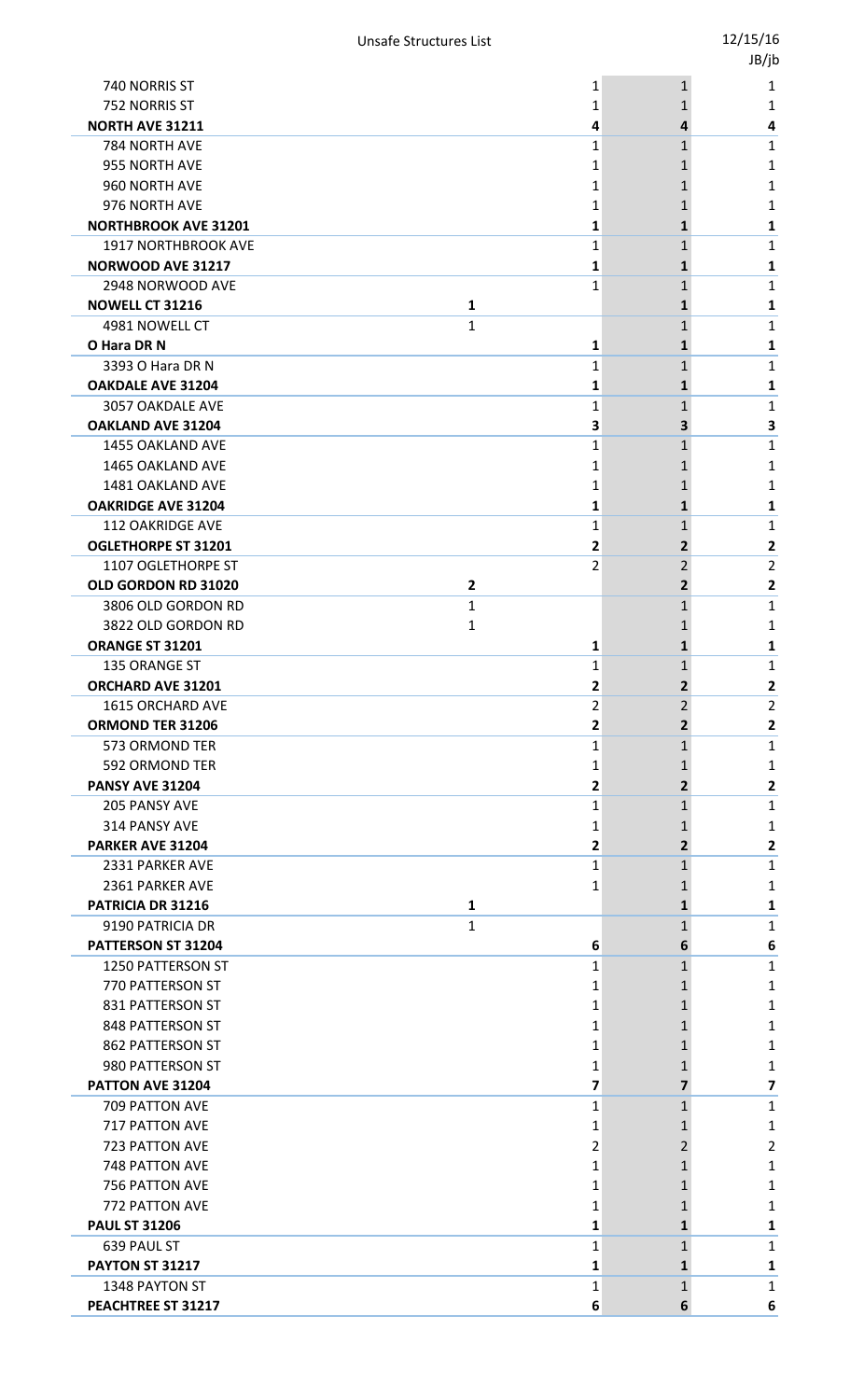|                                |              |                |                | JB/jb                   |
|--------------------------------|--------------|----------------|----------------|-------------------------|
| 740 NORRIS ST                  |              | 1              | $\mathbf{1}$   | 1                       |
| 752 NORRIS ST                  |              | 1              | 1              | 1                       |
| <b>NORTH AVE 31211</b>         |              | 4              | 4              | 4                       |
| 784 NORTH AVE                  |              | 1              | 1              | 1                       |
| 955 NORTH AVE                  |              | 1              | 1              | 1                       |
| 960 NORTH AVE                  |              | 1              |                | 1                       |
| 976 NORTH AVE                  |              | 1              | 1              | 1                       |
| <b>NORTHBROOK AVE 31201</b>    |              | 1              | 1              | 1                       |
| 1917 NORTHBROOK AVE            |              | 1              | 1              | 1                       |
| <b>NORWOOD AVE 31217</b>       |              | 1              | 1              | 1                       |
| 2948 NORWOOD AVE               |              | 1              | 1              | $\mathbf{1}$            |
| <b>NOWELL CT 31216</b>         | $\mathbf{1}$ |                | 1              | 1                       |
| 4981 NOWELL CT                 | $\mathbf{1}$ |                | 1              | 1                       |
| O Hara DR N                    |              | 1              | 1              | 1                       |
| 3393 O Hara DR N               |              | $\mathbf{1}$   | 1              | $\mathbf{1}$            |
| <b>OAKDALE AVE 31204</b>       |              | 1              | 1              | 1                       |
| 3057 OAKDALE AVE               |              | 1              | $\mathbf{1}$   | 1                       |
| OAKLAND AVE 31204              |              | 3              | 3.             | 3                       |
| 1455 OAKLAND AVE               |              | 1              | 1              | 1                       |
| 1465 OAKLAND AVE               |              | 1              | 1              | 1                       |
| 1481 OAKLAND AVE               |              | 1              |                | 1                       |
| <b>OAKRIDGE AVE 31204</b>      |              | 1              | 1              | 1                       |
| 112 OAKRIDGE AVE               |              | 1              | $\mathbf{1}$   | 1                       |
| <b>OGLETHORPE ST 31201</b>     |              | 2              | 2              | 2                       |
| 1107 OGLETHORPE ST             |              | $\overline{2}$ | 2              | $\overline{2}$          |
| OLD GORDON RD 31020            | $\mathbf{2}$ |                | 2              | $\overline{\mathbf{c}}$ |
| 3806 OLD GORDON RD             | 1            |                | $\mathbf{1}$   | 1                       |
| 3822 OLD GORDON RD             | 1            |                | 1              | 1                       |
| ORANGE ST 31201                |              | 1              | 1              | 1                       |
| 135 ORANGE ST                  |              | 1              | $\mathbf{1}$   | 1                       |
| <b>ORCHARD AVE 31201</b>       |              | 2              | $\overline{2}$ | $\overline{\mathbf{2}}$ |
| <b>1615 ORCHARD AVE</b>        |              | $\overline{2}$ | 2              | $\overline{2}$          |
| ORMOND TER 31206               |              | 2              | 2              | $\mathbf{2}$            |
| 573 ORMOND TER                 |              | 1              | 1              | 1                       |
| 592 ORMOND TER                 |              | 1              | 1              | $\mathbf{1}$            |
| <b>PANSY AVE 31204</b>         |              | 2              | 2              | 2                       |
| 205 PANSY AVE<br>314 PANSY AVE |              | 1              | $\mathbf{1}$   | 1                       |
| PARKER AVE 31204               |              | 1<br>2         | 1<br>2         | $\mathbf 1$<br>2        |
| 2331 PARKER AVE                |              | 1              | 1              | 1                       |
| 2361 PARKER AVE                |              | 1              |                | 1                       |
| PATRICIA DR 31216              | 1            |                | 1              | 1                       |
| 9190 PATRICIA DR               | $\mathbf{1}$ |                | $\mathbf{1}$   | 1                       |
| PATTERSON ST 31204             |              | 6              | 6              | 6                       |
| 1250 PATTERSON ST              |              | 1              | 1              | 1                       |
| 770 PATTERSON ST               |              | 1              | 1              | 1                       |
| 831 PATTERSON ST               |              | 1              | 1              | 1                       |
| 848 PATTERSON ST               |              | 1              | 1              | 1                       |
| 862 PATTERSON ST               |              | 1              | 1              | 1                       |
| 980 PATTERSON ST               |              | 1              | 1              | 1                       |
| PATTON AVE 31204               |              | 7              | 7              | 7                       |
| 709 PATTON AVE                 |              | 1              | $\mathbf{1}$   | 1                       |
| 717 PATTON AVE                 |              | 1              | 1              | 1                       |
| 723 PATTON AVE                 |              | 2              | 2              | 2                       |
| <b>748 PATTON AVE</b>          |              | 1              | 1              | 1                       |
| 756 PATTON AVE                 |              | 1              |                | 1                       |
| 772 PATTON AVE                 |              | 1              | 1              | 1                       |
| <b>PAUL ST 31206</b>           |              | 1              | 1              | 1                       |
| 639 PAUL ST                    |              | 1              | $\mathbf{1}$   | 1                       |
| PAYTON ST 31217                |              | 1              | 1              | 1                       |
| 1348 PAYTON ST                 |              | 1              | $\mathbf{1}$   | 1                       |
| PEACHTREE ST 31217             |              | 6              | 6              | 6                       |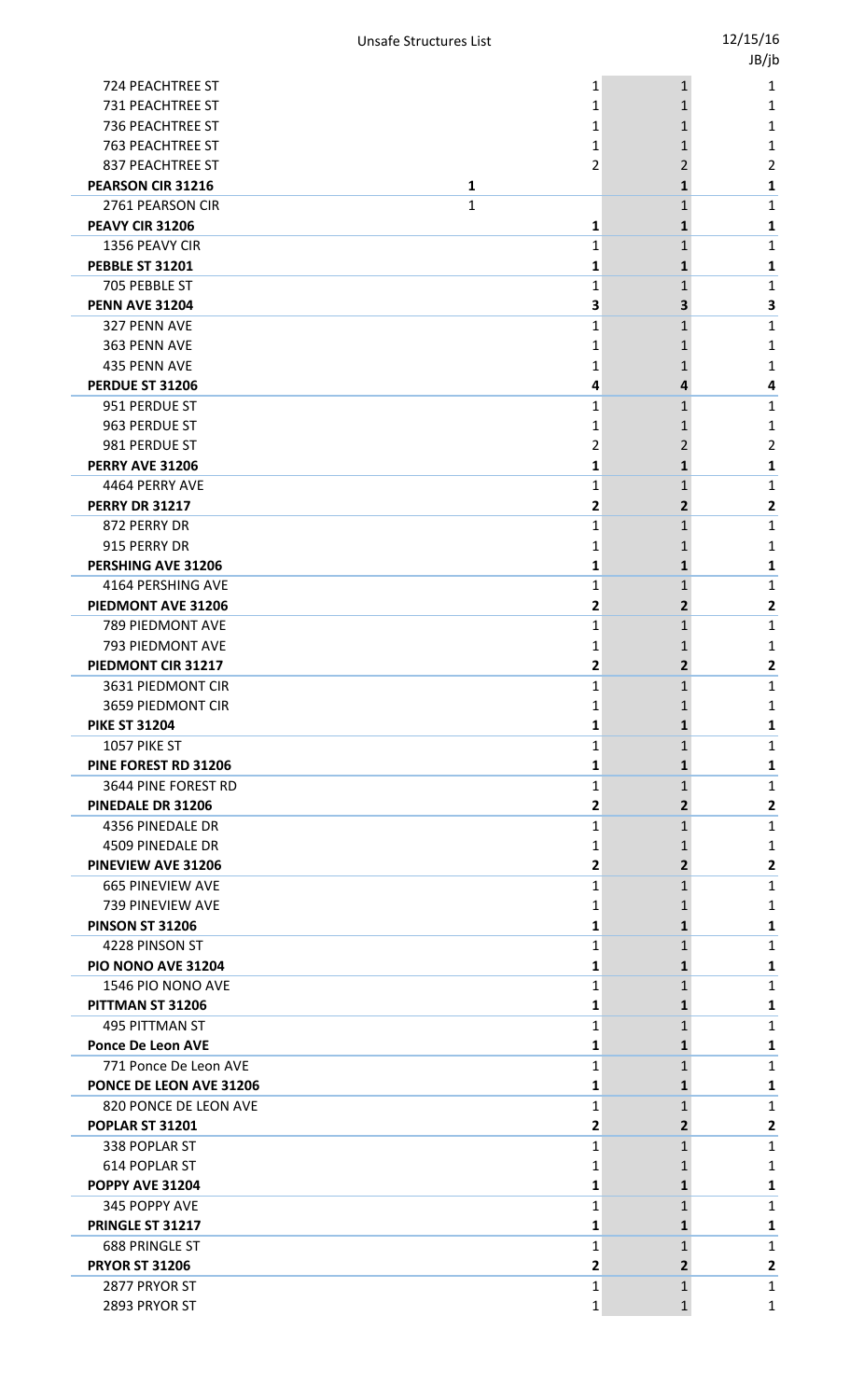|                          |              |                | JB/jb                                     |
|--------------------------|--------------|----------------|-------------------------------------------|
| <b>724 PEACHTREE ST</b>  |              | 1              | $\mathbf{1}$<br>1                         |
| 731 PEACHTREE ST         |              | 1              | 1<br>1                                    |
| 736 PEACHTREE ST         |              | 1              | 1<br>1                                    |
| <b>763 PEACHTREE ST</b>  |              | 1              | 1<br>1                                    |
| 837 PEACHTREE ST         |              | 2              | 2<br>2                                    |
| PEARSON CIR 31216        | 1            |                | 1<br>1                                    |
| 2761 PEARSON CIR         | $\mathbf{1}$ |                | $\mathbf{1}$<br>1                         |
| PEAVY CIR 31206          |              | 1              | 1<br>1                                    |
| 1356 PEAVY CIR           |              | $\mathbf{1}$   | $\mathbf{1}$<br>1                         |
| <b>PEBBLE ST 31201</b>   |              | 1              | 1<br>1                                    |
| 705 PEBBLE ST            |              | 1              | 1<br>1                                    |
| <b>PENN AVE 31204</b>    |              | 3              | 3<br>3                                    |
| 327 PENN AVE             |              | 1              | $\mathbf{1}$<br>1                         |
| 363 PENN AVE             |              | 1              | 1<br>1                                    |
| 435 PENN AVE             |              | 1              | $\mathbf{1}$<br>1                         |
| <b>PERDUE ST 31206</b>   |              | 4              | 4<br>4                                    |
| 951 PERDUE ST            |              | 1              | 1<br>1                                    |
| 963 PERDUE ST            |              | 1              | 1<br>1                                    |
| 981 PERDUE ST            |              | 2              | $\overline{2}$<br>2                       |
| PERRY AVE 31206          |              | 1              | $\mathbf{1}$<br>1                         |
| 4464 PERRY AVE           |              | 1              | 1<br>1                                    |
| <b>PERRY DR 31217</b>    |              | 2              | $\mathbf{2}$<br>2                         |
| 872 PERRY DR             |              | 1              | $\mathbf{1}$<br>1                         |
| 915 PERRY DR             |              | 1              | 1<br>1                                    |
| PERSHING AVE 31206       |              | 1              | $\mathbf{1}$<br>1                         |
| 4164 PERSHING AVE        |              | 1              | 1<br>1                                    |
| PIEDMONT AVE 31206       |              | 2              | $\mathbf{2}$<br>2                         |
| 789 PIEDMONT AVE         |              | 1              | 1<br>1                                    |
| 793 PIEDMONT AVE         |              | 1              | 1<br>1                                    |
| PIEDMONT CIR 31217       |              | $\overline{2}$ | $\overline{2}$<br>2                       |
| 3631 PIEDMONT CIR        |              | 1              | 1<br>$\mathbf{1}$                         |
| 3659 PIEDMONT CIR        |              | 1              | 1<br>1                                    |
| <b>PIKE ST 31204</b>     |              | 1              | 1<br>1                                    |
| 1057 PIKE ST             |              | 1              | $\mathbf{1}$<br>1                         |
| PINE FOREST RD 31206     |              | 1              | 1<br>1                                    |
| 3644 PINE FOREST RD      |              | 1              | 1<br>$\mathbf{1}$                         |
| PINEDALE DR 31206        |              | 2              | $\mathbf{2}$<br>$\overline{2}$            |
| 4356 PINEDALE DR         |              | 1              | 1<br>1                                    |
| 4509 PINEDALE DR         |              | 1              | 1<br>1                                    |
| PINEVIEW AVE 31206       |              | 2              | $\mathbf{2}$<br>$\overline{2}$            |
| <b>665 PINEVIEW AVE</b>  |              | 1              | 1<br>$\mathbf{1}$                         |
| 739 PINEVIEW AVE         |              | 1              | 1<br>1                                    |
| <b>PINSON ST 31206</b>   |              | 1              | 1<br>1                                    |
| 4228 PINSON ST           |              | 1              | $\mathbf{1}$<br>1                         |
| PIO NONO AVE 31204       |              | 1              | 1<br>1                                    |
| 1546 PIO NONO AVE        |              | 1              | 1<br>$\mathbf{1}$                         |
| PITTMAN ST 31206         |              | 1              | 1<br>1                                    |
| 495 PITTMAN ST           |              | 1              | 1<br>1                                    |
| <b>Ponce De Leon AVE</b> |              | 1              | 1<br>1                                    |
| 771 Ponce De Leon AVE    |              | 1              | $\mathbf{1}$<br>1                         |
| PONCE DE LEON AVE 31206  |              | 1              | 1<br>1                                    |
| 820 PONCE DE LEON AVE    |              | $\mathbf{1}$   | $\mathbf{1}$<br>1                         |
| <b>POPLAR ST 31201</b>   |              | 2              | $\overline{2}$<br>$\mathbf{2}$            |
| 338 POPLAR ST            |              | 1              | 1<br>1                                    |
| 614 POPLAR ST            |              | 1              | 1<br>1                                    |
| POPPY AVE 31204          |              | 1              | 1<br>1                                    |
| 345 POPPY AVE            |              | 1              | $\mathbf{1}$<br>1                         |
| PRINGLE ST 31217         |              | 1              | 1<br>1                                    |
| <b>688 PRINGLE ST</b>    |              | 1              | 1<br>1                                    |
| <b>PRYOR ST 31206</b>    |              | 2              | $\overline{2}$<br>$\overline{\mathbf{2}}$ |
| 2877 PRYOR ST            |              | $\mathbf{1}$   | $\mathbf{1}$<br>1                         |
| 2893 PRYOR ST            |              | $\mathbf{1}$   | $\mathbf{1}$<br>$\mathbf{1}$              |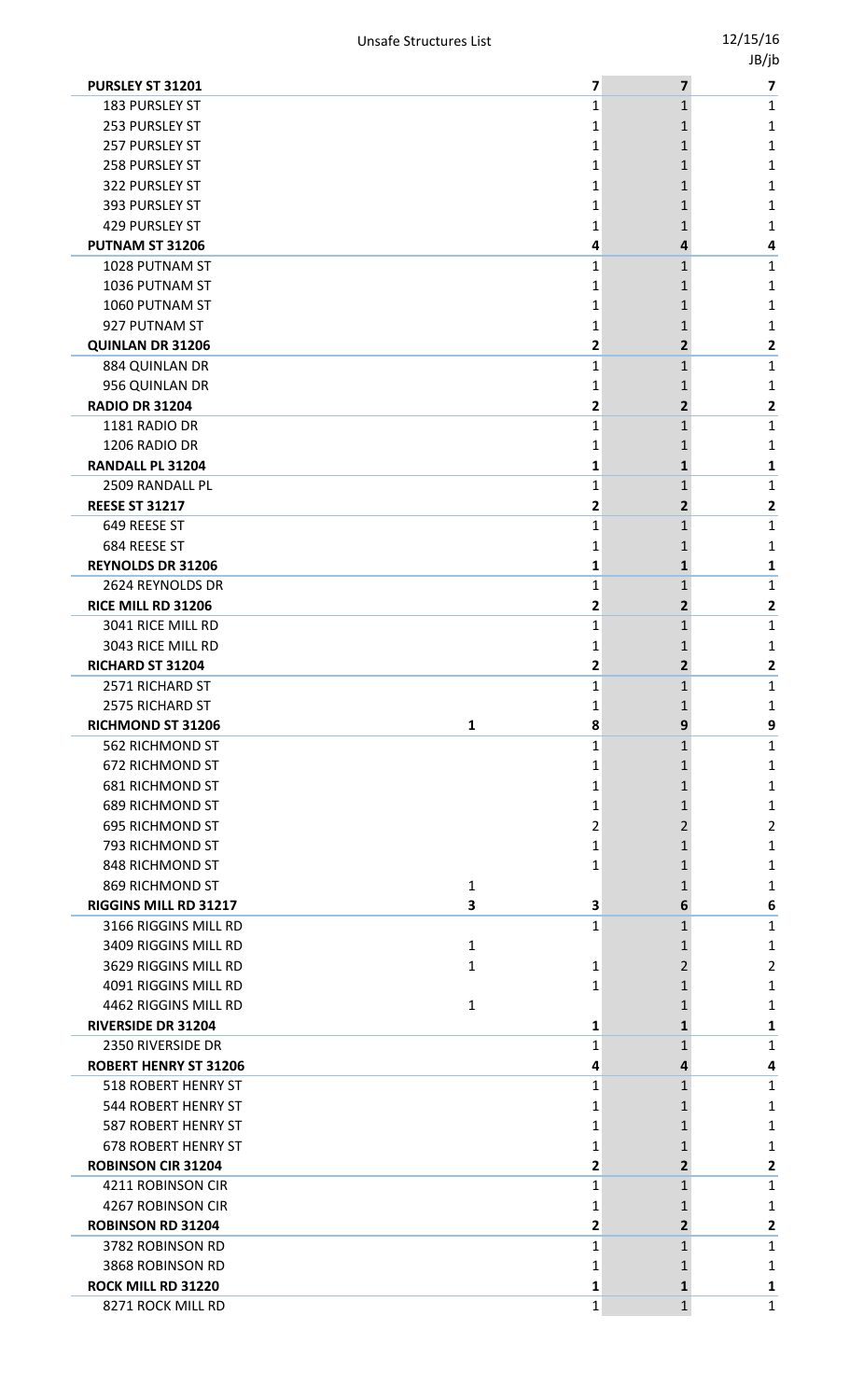|                                         |              |   |                | . . |
|-----------------------------------------|--------------|---|----------------|-----|
| PURSLEY ST 31201                        |              | 7 | $\overline{7}$ | 7   |
| 183 PURSLEY ST                          |              | 1 | $\mathbf{1}$   | 1   |
| 253 PURSLEY ST                          |              | 1 | 1              | 1   |
| 257 PURSLEY ST                          |              | 1 | 1              | 1   |
| 258 PURSLEY ST                          |              | 1 |                | 1   |
| 322 PURSLEY ST                          |              | 1 |                | 1   |
| 393 PURSLEY ST                          |              | 1 | 1              | 1   |
| 429 PURSLEY ST                          |              | 1 | 1              | 1   |
| PUTNAM ST 31206                         |              | 4 | 4              | 4   |
| 1028 PUTNAM ST                          |              | 1 | 1              | 1   |
| 1036 PUTNAM ST                          |              | 1 |                | 1   |
| 1060 PUTNAM ST                          |              | 1 | 1              | 1   |
| 927 PUTNAM ST                           |              | 1 |                | 1   |
| <b>QUINLAN DR 31206</b>                 |              | 2 | 2              | 2   |
| 884 QUINLAN DR                          |              | 1 | $\mathbf{1}$   | 1   |
| 956 QUINLAN DR                          |              | 1 |                | 1   |
| <b>RADIO DR 31204</b>                   |              | 2 | 2              | 2   |
| 1181 RADIO DR                           |              | 1 | 1              | 1   |
| 1206 RADIO DR                           |              | 1 |                | 1   |
| <b>RANDALL PL 31204</b>                 |              | 1 | 1              | 1   |
| 2509 RANDALL PL                         |              | 1 | 1              | 1   |
| <b>REESE ST 31217</b>                   |              | 2 | 2              | 2   |
| 649 REESE ST                            |              | 1 | 1              | 1   |
| 684 REESE ST                            |              | 1 |                | 1   |
| <b>REYNOLDS DR 31206</b>                |              | 1 | 1              | 1   |
| 2624 REYNOLDS DR                        |              | 1 | 1              | 1   |
| RICE MILL RD 31206                      |              | 2 | $\mathbf{2}$   | 2   |
| 3041 RICE MILL RD                       |              | 1 | 1              | 1   |
| 3043 RICE MILL RD                       |              | 1 |                | 1   |
| RICHARD ST 31204                        |              | 2 | 2              | 2   |
| 2571 RICHARD ST                         |              | 1 | 1              | 1   |
|                                         |              |   |                |     |
| 2575 RICHARD ST                         |              | 1 | 1              | 1   |
| RICHMOND ST 31206                       | $\mathbf{1}$ | 8 | 9              | 9   |
| 562 RICHMOND ST                         |              | 1 | 1              | 1   |
| 672 RICHMOND ST                         |              | 1 |                | 1   |
| <b>681 RICHMOND ST</b>                  |              | 1 | 1              | 1   |
| <b>689 RICHMOND ST</b>                  |              | 1 | 1              | 1   |
| <b>695 RICHMOND ST</b>                  |              | 2 | 2              | 2   |
| 793 RICHMOND ST                         |              | 1 |                | 1   |
| 848 RICHMOND ST                         |              | 1 |                | 1   |
| 869 RICHMOND ST                         | 1            |   |                | 1   |
| RIGGINS MILL RD 31217                   | 3            | 3 | 6              | 6   |
| 3166 RIGGINS MILL RD                    |              | 1 | 1              | 1   |
| 3409 RIGGINS MILL RD                    | $\mathbf{1}$ |   |                | 1   |
| 3629 RIGGINS MILL RD                    | 1            | 1 | 2              | 2   |
| 4091 RIGGINS MILL RD                    |              | 1 |                | 1   |
| 4462 RIGGINS MILL RD                    | $\mathbf{1}$ |   |                | 1   |
| <b>RIVERSIDE DR 31204</b>               |              | 1 | 1              | 1   |
| 2350 RIVERSIDE DR                       |              | 1 | 1              | 1   |
| <b>ROBERT HENRY ST 31206</b>            |              | 4 | 4              | 4   |
| 518 ROBERT HENRY ST                     |              | 1 | 1              | 1   |
| 544 ROBERT HENRY ST                     |              | 1 |                | 1   |
| 587 ROBERT HENRY ST                     |              | 1 | 1              | 1   |
| <b>678 ROBERT HENRY ST</b>              |              | 1 |                | 1   |
| <b>ROBINSON CIR 31204</b>               |              | 2 | 2              | 2   |
| 4211 ROBINSON CIR                       |              | 1 | 1              | 1   |
| 4267 ROBINSON CIR                       |              | 1 |                | 1   |
| <b>ROBINSON RD 31204</b>                |              | 2 | 2              | 2   |
| 3782 ROBINSON RD                        |              | 1 | 1              | 1   |
| 3868 ROBINSON RD                        |              | 1 |                | 1   |
| ROCK MILL RD 31220<br>8271 ROCK MILL RD |              | 1 | 1              | 1   |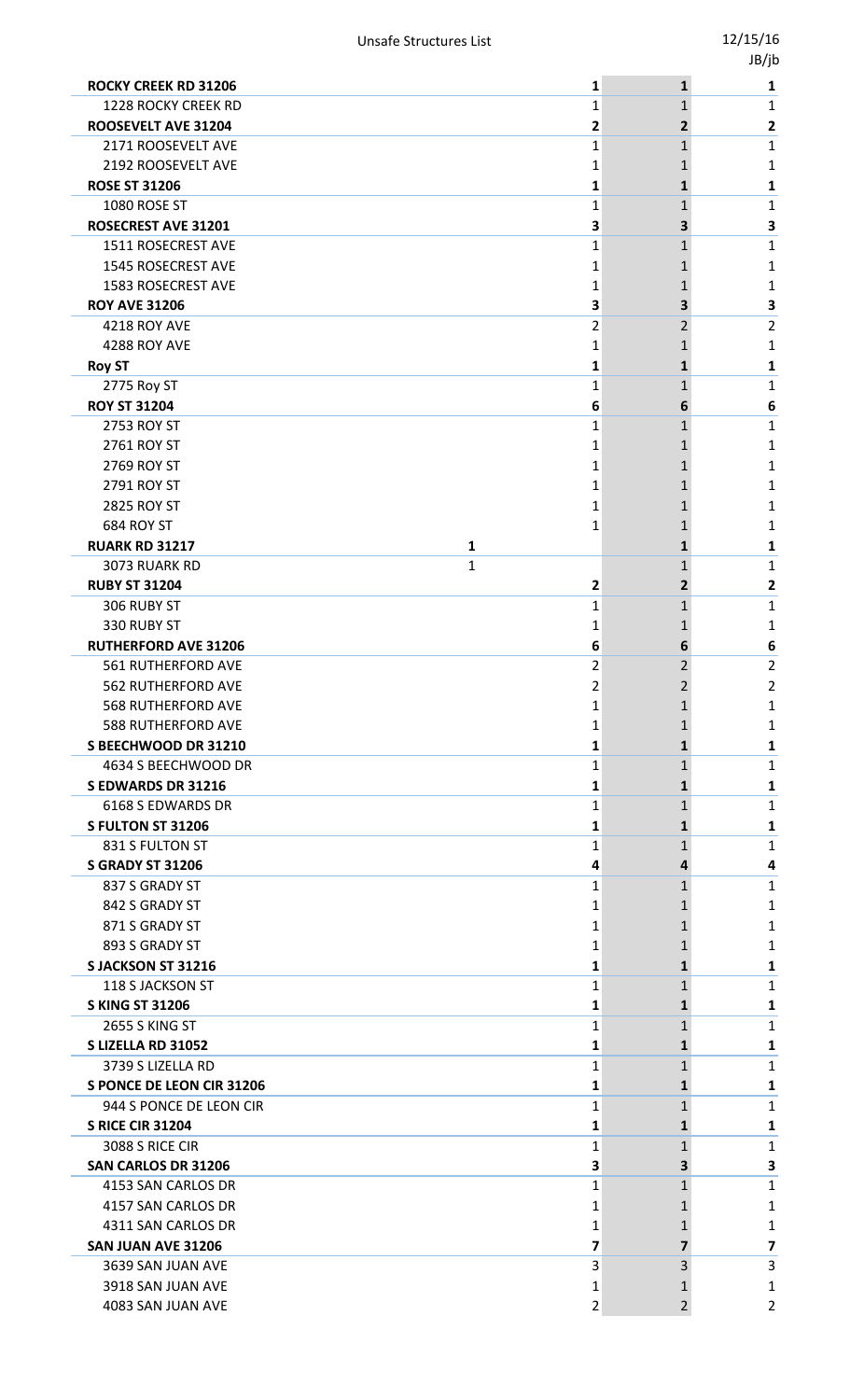| <b>ROCKY CREEK RD 31206</b>                     | 1                   | $\mathbf{1}$                  | 1      |
|-------------------------------------------------|---------------------|-------------------------------|--------|
| <b>1228 ROCKY CREEK RD</b>                      | 1                   | $\mathbf{1}$                  | 1      |
| ROOSEVELT AVE 31204                             | 2                   | 2                             | 2      |
| 2171 ROOSEVELT AVE                              | 1                   | $\mathbf{1}$                  | 1      |
| 2192 ROOSEVELT AVE                              | 1                   |                               | 1      |
| <b>ROSE ST 31206</b>                            | 1                   | 1                             | 1      |
| 1080 ROSE ST                                    | 1                   | 1                             | 1      |
| ROSECREST AVE 31201                             | 3                   | 3                             | 3      |
| 1511 ROSECREST AVE                              | 1                   | 1                             | 1      |
| 1545 ROSECREST AVE                              | 1                   |                               | 1      |
| 1583 ROSECREST AVE                              | 1                   |                               | 1      |
| <b>ROY AVE 31206</b>                            | 3                   | 3                             | 3      |
| 4218 ROY AVE                                    | 2                   | 2                             | 2      |
| 4288 ROY AVE                                    | 1                   | 1                             | 1      |
| <b>Roy ST</b>                                   | 1                   | 1                             | 1      |
| 2775 Roy ST                                     | 1                   | $\mathbf{1}$                  | 1      |
| <b>ROY ST 31204</b>                             | 6                   | 6                             | 6      |
| 2753 ROY ST                                     | 1                   | 1                             | 1      |
| 2761 ROY ST                                     | 1                   | 1                             | 1      |
| 2769 ROY ST                                     | 1                   | 1                             | 1      |
| 2791 ROY ST                                     | 1                   |                               | 1      |
| 2825 ROY ST                                     | 1                   |                               | 1      |
| 684 ROY ST                                      | 1                   |                               | 1      |
| <b>RUARK RD 31217</b><br>1                      |                     | 1                             | 1      |
| $\mathbf{1}$<br>3073 RUARK RD                   |                     | 1                             | 1      |
| <b>RUBY ST 31204</b>                            | 2                   | 2                             | 2      |
| 306 RUBY ST                                     | 1                   | 1                             | 1      |
| 330 RUBY ST                                     | 1                   |                               | 1      |
| <b>RUTHERFORD AVE 31206</b>                     | 6                   | 6                             | 6      |
| 561 RUTHERFORD AVE                              | 2<br>$\mathfrak{p}$ | 2<br>$\overline{\phantom{a}}$ | 2<br>2 |
| 562 RUTHERFORD AVE                              |                     |                               |        |
| 568 RUTHERFORD AVE<br><b>588 RUTHERFORD AVE</b> | 1                   | 1                             | 1      |
| S BEECHWOOD DR 31210                            | 1<br>1              | 1                             | 1<br>1 |
| 4634 S BEECHWOOD DR                             | 1                   | 1                             | 1      |
| <b>SEDWARDS DR 31216</b>                        | 1                   | 1                             | 1      |
| 6168 S EDWARDS DR                               | 1                   | 1                             | 1      |
| S FULTON ST 31206                               | 1                   | 1                             | 1      |
| 831 S FULTON ST                                 | 1                   | $\mathbf{1}$                  | 1      |
| <b>S GRADY ST 31206</b>                         | 4                   | 4                             | 4      |
| 837 S GRADY ST                                  | 1                   | $\mathbf{1}$                  | 1      |
| 842 S GRADY ST                                  | 1                   |                               | 1      |
| 871 S GRADY ST                                  | 1                   |                               | 1      |
| 893 S GRADY ST                                  | 1                   |                               | 1      |
| S JACKSON ST 31216                              | 1                   | 1                             | 1      |
| 118 S JACKSON ST                                | 1                   | 1                             | 1      |
| <b>S KING ST 31206</b>                          | 1                   | 1                             | 1      |
| <b>2655 S KING ST</b>                           | 1                   | 1                             | 1      |
| S LIZELLA RD 31052                              | 1                   | 1                             | 1      |
| 3739 S LIZELLA RD                               | 1                   | 1                             | 1      |
| <b>S PONCE DE LEON CIR 31206</b>                | 1                   | 1                             | 1      |
| 944 S PONCE DE LEON CIR                         | 1                   | 1                             | 1      |
| <b>S RICE CIR 31204</b>                         | 1                   | 1                             | 1      |
| 3088 S RICE CIR                                 | 1                   | 1                             | 1      |
| <b>SAN CARLOS DR 31206</b>                      | 3                   | 3.                            | 3      |
| 4153 SAN CARLOS DR                              | 1                   | 1                             | 1      |
| 4157 SAN CARLOS DR                              | 1                   | 1                             | 1      |
| 4311 SAN CARLOS DR                              | 1                   | 1                             | 1      |
| SAN JUAN AVE 31206                              | 7                   | 7                             | 7      |
| 3639 SAN JUAN AVE                               | 3                   | 3                             | 3      |
| 3918 SAN JUAN AVE                               | 1                   |                               | 1      |
| 4083 SAN JUAN AVE                               | 2                   | 2                             | 2      |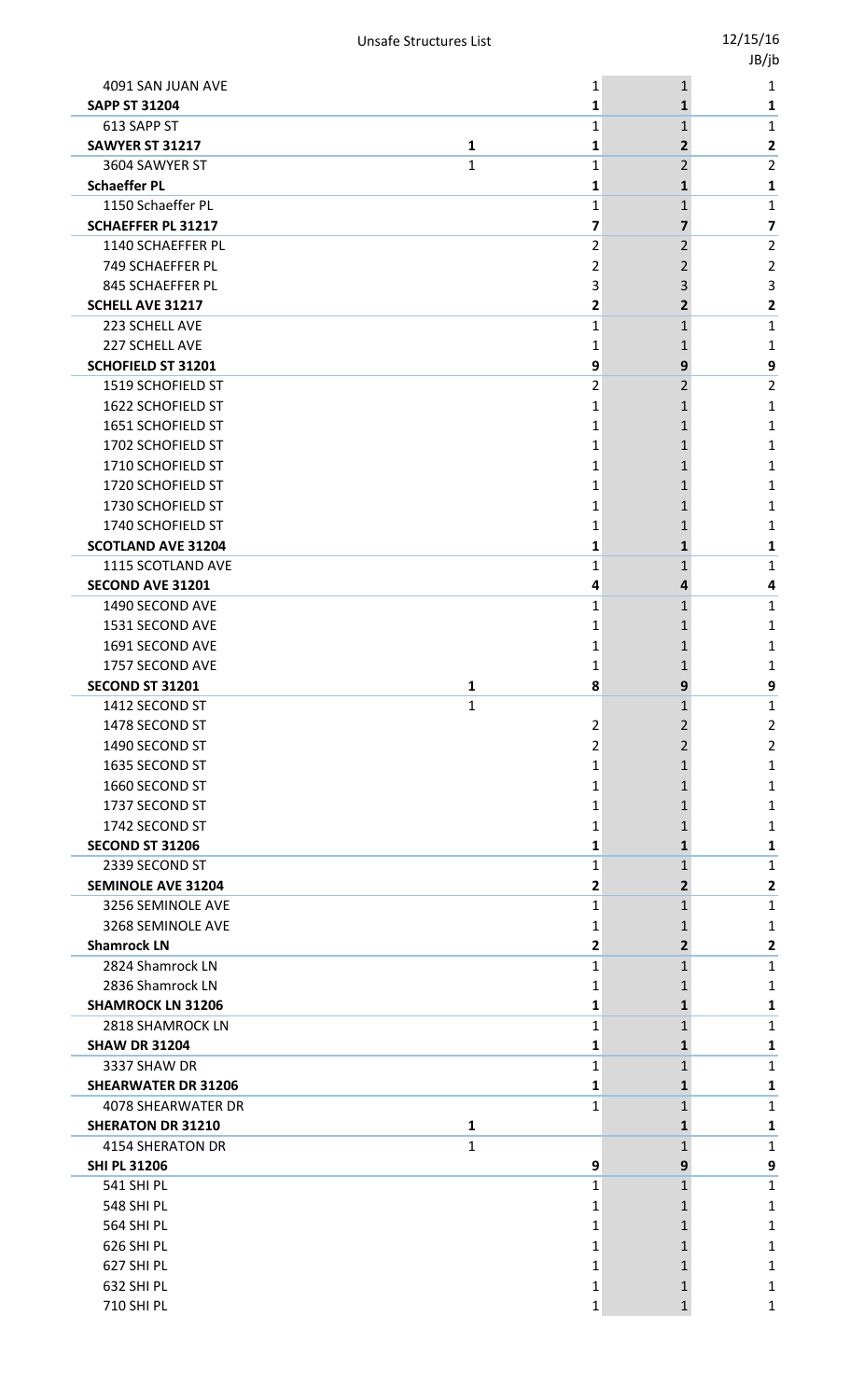|                            |              |                |                | JB/jb                   |
|----------------------------|--------------|----------------|----------------|-------------------------|
| 4091 SAN JUAN AVE          |              | 1              | $\mathbf{1}$   | 1                       |
| <b>SAPP ST 31204</b>       |              | 1              | $\mathbf{1}$   | 1                       |
| 613 SAPP ST                |              | $\mathbf{1}$   | $\mathbf{1}$   | $\mathbf{1}$            |
| SAWYER ST 31217            | $\mathbf{1}$ | 1              | $\overline{2}$ | $\mathbf{2}$            |
| 3604 SAWYER ST             | 1            | $\mathbf{1}$   | $\overline{2}$ | $\overline{2}$          |
| <b>Schaeffer PL</b>        |              | 1              | 1              | 1                       |
| 1150 Schaeffer PL          |              | $\mathbf{1}$   | $\mathbf{1}$   | $\mathbf{1}$            |
| <b>SCHAEFFER PL 31217</b>  |              | 7              | 7              | $\overline{\mathbf{z}}$ |
| 1140 SCHAEFFER PL          |              | $\overline{2}$ | $\overline{2}$ | $\overline{2}$          |
| 749 SCHAEFFER PL           |              | 2              | $\overline{2}$ | $\overline{2}$          |
| 845 SCHAEFFER PL           |              | 3              | 3              | $\overline{3}$          |
| <b>SCHELL AVE 31217</b>    |              | 2              | $\overline{2}$ | $\overline{\mathbf{2}}$ |
| 223 SCHELL AVE             |              | 1              | $\mathbf{1}$   | 1                       |
| 227 SCHELL AVE             |              | 1              | 1              | 1                       |
| <b>SCHOFIELD ST 31201</b>  |              | 9              | 9              | 9                       |
| 1519 SCHOFIELD ST          |              | $\overline{2}$ | $\overline{2}$ | $\overline{2}$          |
| 1622 SCHOFIELD ST          |              | $\mathbf{1}$   | 1              | $\mathbf{1}$            |
| 1651 SCHOFIELD ST          |              | 1              | 1              | 1                       |
| 1702 SCHOFIELD ST          |              | 1              | 1              | $\mathbf{1}$            |
| 1710 SCHOFIELD ST          |              | 1              | $\mathbf{1}$   | 1                       |
| 1720 SCHOFIELD ST          |              | 1              | 1              | 1                       |
| 1730 SCHOFIELD ST          |              | 1              | 1              | $\mathbf{1}$            |
| 1740 SCHOFIELD ST          |              | 1              | 1              | 1                       |
| <b>SCOTLAND AVE 31204</b>  |              | 1              | 1              | 1                       |
| 1115 SCOTLAND AVE          |              | 1              | $\mathbf{1}$   | 1                       |
| <b>SECOND AVE 31201</b>    |              | 4              | 4              | 4                       |
| 1490 SECOND AVE            |              | 1              | 1              | $\mathbf{1}$            |
| 1531 SECOND AVE            |              | 1              | 1              | 1                       |
| 1691 SECOND AVE            |              | 1              | 1              | 1                       |
| 1757 SECOND AVE            |              | 1              | $\mathbf{1}$   | 1                       |
| <b>SECOND ST 31201</b>     | 1            | 8              | 9              | 9                       |
| 1412 SECOND ST             | $\mathbf{1}$ |                | 1              | $\mathbf{1}$            |
| 1478 SECOND ST             |              | 2              | $\overline{2}$ | $\overline{2}$          |
| 1490 SECOND ST             |              | 2              | 2              | $\overline{2}$          |
| 1635 SECOND ST             |              | 1              | $\mathbf{1}$   | 1                       |
| 1660 SECOND ST             |              | 1              | 1              | 1                       |
| 1737 SECOND ST             |              | 1              | 1              | $\mathbf{1}$            |
| 1742 SECOND ST             |              | 1              | 1              | 1                       |
| <b>SECOND ST 31206</b>     |              | 1              | 1              | 1                       |
| 2339 SECOND ST             |              | 1              | $\mathbf{1}$   | $\mathbf{1}$            |
| <b>SEMINOLE AVE 31204</b>  |              | 2              | $\overline{2}$ | $\mathbf{2}$            |
| 3256 SEMINOLE AVE          |              | $\mathbf{1}$   | $\mathbf{1}$   | $\mathbf 1$             |
| 3268 SEMINOLE AVE          |              | 1              | 1              | 1                       |
| <b>Shamrock LN</b>         |              | 2              | $\overline{2}$ | 2                       |
| 2824 Shamrock LN           |              | 1              | $\mathbf{1}$   | $\mathbf{1}$            |
| 2836 Shamrock LN           |              | 1              | 1              | 1                       |
| <b>SHAMROCK LN 31206</b>   |              | 1              | $\mathbf{1}$   | 1                       |
| 2818 SHAMROCK LN           |              | 1              | $\mathbf{1}$   | 1                       |
| <b>SHAW DR 31204</b>       |              | 1              | 1              | 1                       |
| 3337 SHAW DR               |              | $\mathbf{1}$   | $\mathbf{1}$   | $\mathbf{1}$            |
| <b>SHEARWATER DR 31206</b> |              | 1              | 1              | 1                       |
| <b>4078 SHEARWATER DR</b>  |              | $\mathbf{1}$   | 1              | $\mathbf{1}$            |
| <b>SHERATON DR 31210</b>   | 1            |                | 1              | 1                       |
| <b>4154 SHERATON DR</b>    | 1            |                | 1              | $\mathbf{1}$            |
| <b>SHI PL 31206</b>        |              | 9              | 9              | 9                       |
| <b>541 SHI PL</b>          |              | 1              | 1              | $\mathbf{1}$            |
| 548 SHIPL                  |              | 1              | 1              | 1                       |
| <b>564 SHI PL</b>          |              | 1              | 1              | 1                       |
| 626 SHI PL                 |              | 1              | 1              | 1                       |
| 627 SHI PL                 |              | 1              | 1              | 1                       |
| 632 SHI PL                 |              | 1              | 1              | 1                       |
| 710 SHI PL                 |              | $\mathbf{1}$   | $\mathbf{1}$   | $\mathbf{1}$            |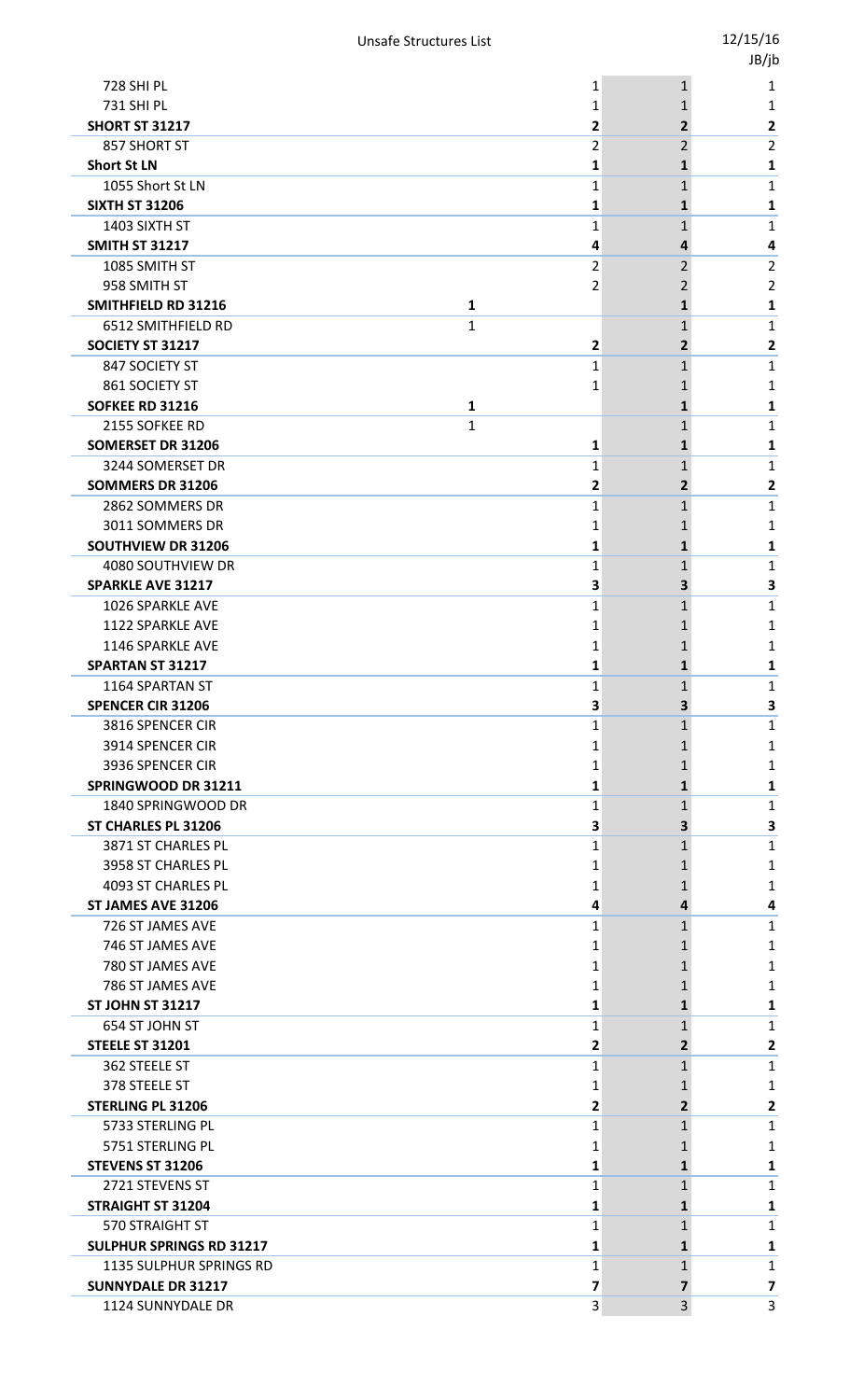|                                           |                |                   | 1P\]r          |
|-------------------------------------------|----------------|-------------------|----------------|
| <b>728 SHI PL</b>                         | 1              | $\mathbf{1}$      | 1              |
| 731 SHI PL                                | 1              | 1                 | 1              |
| <b>SHORT ST 31217</b>                     | 2              | 2                 | 2              |
| 857 SHORT ST                              | 2              | 2                 | $\overline{2}$ |
| <b>Short St LN</b>                        | 1              | 1                 | 1              |
| 1055 Short St LN<br><b>SIXTH ST 31206</b> | 1              | 1                 | 1              |
| 1403 SIXTH ST                             | 1<br>1         | 1<br>$\mathbf 1$  | 1<br>1         |
| <b>SMITH ST 31217</b>                     | 4              | 4                 | 4              |
| 1085 SMITH ST                             | 2              | 2                 | $\overline{2}$ |
| 958 SMITH ST                              | 2              | 2                 | 2              |
| SMITHFIELD RD 31216<br>1                  |                | 1                 | 1              |
| $\mathbf{1}$<br>6512 SMITHFIELD RD        |                | $\mathbf 1$       | 1              |
| SOCIETY ST 31217                          | $\overline{2}$ | 2                 | 2              |
| 847 SOCIETY ST                            | 1              | $\mathbf{1}$      | 1              |
| 861 SOCIETY ST                            | 1              | 1                 | 1              |
| <b>SOFKEE RD 31216</b><br>1               |                | 1                 | 1              |
| $\mathbf{1}$<br>2155 SOFKEE RD            |                | $\mathbf 1$       | 1              |
| <b>SOMERSET DR 31206</b>                  | 1              | 1                 | 1              |
| 3244 SOMERSET DR                          | 1              | 1                 | 1              |
| <b>SOMMERS DR 31206</b>                   | 2              | 2                 | 2              |
| 2862 SOMMERS DR                           | 1              | 1                 | 1              |
| 3011 SOMMERS DR                           | 1              | 1                 | 1              |
| SOUTHVIEW DR 31206                        | 1              | 1                 | 1              |
| 4080 SOUTHVIEW DR                         | 1              | 1                 | 1              |
| <b>SPARKLE AVE 31217</b>                  | 3              | 3                 | 3              |
| 1026 SPARKLE AVE                          | 1              | $\mathbf 1$       | 1              |
| <b>1122 SPARKLE AVE</b>                   | 1              | 1                 | 1              |
| 1146 SPARKLE AVE                          | 1              | 1                 | 1              |
| <b>SPARTAN ST 31217</b>                   | 1              | 1                 | 1              |
| 1164 SPARTAN ST                           | T              | T.                |                |
| <b>SPENCER CIR 31206</b>                  | 3              | 3                 | 3              |
| 3816 SPENCER CIR                          | 1              | $\mathbf{1}$      | 1              |
| 3914 SPENCER CIR                          | 1              | 1                 | 1              |
| 3936 SPENCER CIR                          | 1              | 1                 | 1              |
| SPRINGWOOD DR 31211                       | 1              | 1                 | 1              |
| 1840 SPRINGWOOD DR                        | 1              | 1                 | 1              |
| ST CHARLES PL 31206                       | 3              | 3                 | 3              |
| 3871 ST CHARLES PL                        | 1              | $\mathbf 1$       | 1              |
| 3958 ST CHARLES PL                        | 1              | 1                 | 1              |
| 4093 ST CHARLES PL                        | 1              | 1                 | 1              |
| ST JAMES AVE 31206                        | 4              | 4                 | 4              |
| 726 ST JAMES AVE<br>746 ST JAMES AVE      | 1<br>1         | $\mathbf{1}$<br>1 | 1<br>1         |
| 780 ST JAMES AVE                          | 1              | 1                 | 1              |
| 786 ST JAMES AVE                          | 1              | 1                 | 1              |
| <b>ST JOHN ST 31217</b>                   | 1              | 1                 | 1              |
| 654 ST JOHN ST                            | 1              | $\mathbf{1}$      | 1              |
| <b>STEELE ST 31201</b>                    | 2              | 2                 | 2              |
| 362 STEELE ST                             | 1              | $\mathbf 1$       | 1              |
| 378 STEELE ST                             | 1              | 1                 | 1              |
| <b>STERLING PL 31206</b>                  | 2              | 2                 | 2              |
| 5733 STERLING PL                          | 1              | $\mathbf{1}$      | 1              |
| 5751 STERLING PL                          | 1              | 1                 | 1              |
| <b>STEVENS ST 31206</b>                   | 1              | 1                 | 1              |
| 2721 STEVENS ST                           | 1              | 1                 | 1              |
| <b>STRAIGHT ST 31204</b>                  | 1              | 1                 | 1              |
| 570 STRAIGHT ST                           | 1              | $\mathbf 1$       | 1              |
| <b>SULPHUR SPRINGS RD 31217</b>           | 1              | 1                 | 1              |
| 1135 SULPHUR SPRINGS RD                   | 1              | $\mathbf 1$       | 1              |
| <b>SUNNYDALE DR 31217</b>                 | 7              | 7                 | 7              |
| 1124 SUNNYDALE DR                         | <b>J</b>       | <b>Q</b>          | ς              |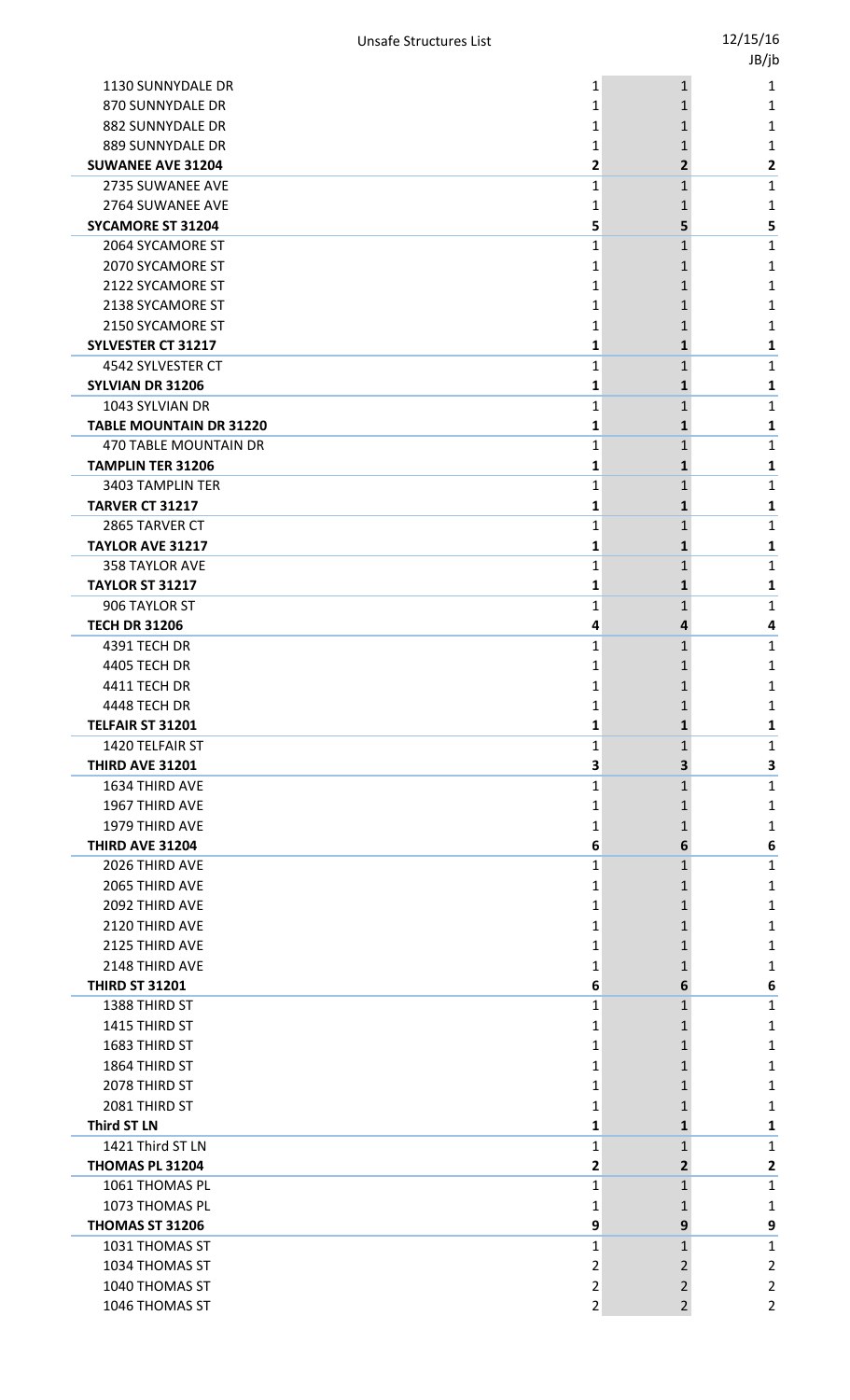|                                        |                   |                                | JB/jb                        |
|----------------------------------------|-------------------|--------------------------------|------------------------------|
| 1130 SUNNYDALE DR                      | 1                 | $\mathbf{1}$                   | 1                            |
| 870 SUNNYDALE DR                       | 1                 | 1                              | 1                            |
| 882 SUNNYDALE DR                       | 1                 | 1                              | 1                            |
| 889 SUNNYDALE DR                       | 1                 | 1                              | 1                            |
| <b>SUWANEE AVE 31204</b>               | 2                 | 2                              | $\mathbf{2}$                 |
| 2735 SUWANEE AVE                       | 1                 | $\mathbf{1}$                   | 1                            |
| 2764 SUWANEE AVE                       | 1                 | 1                              | 1                            |
| <b>SYCAMORE ST 31204</b>               | 5                 | 5                              | 5                            |
| 2064 SYCAMORE ST                       | 1                 | 1                              | 1                            |
| 2070 SYCAMORE ST                       | 1                 | 1                              | 1                            |
| 2122 SYCAMORE ST                       | 1                 | 1                              | 1                            |
| 2138 SYCAMORE ST                       | 1                 | 1                              | 1                            |
| 2150 SYCAMORE ST                       | 1                 | 1                              | 1                            |
| <b>SYLVESTER CT 31217</b>              | 1                 | 1                              | 1                            |
| 4542 SYLVESTER CT                      | 1                 | 1                              | 1                            |
| SYLVIAN DR 31206                       | 1                 | 1                              | 1                            |
| 1043 SYLVIAN DR                        | 1                 | $\mathbf{1}$                   | $\mathbf{1}$                 |
| <b>TABLE MOUNTAIN DR 31220</b>         | 1                 | 1                              | 1                            |
| 470 TABLE MOUNTAIN DR                  | 1                 | 1                              | $\mathbf{1}$                 |
| <b>TAMPLIN TER 31206</b>               | 1                 | 1                              | 1                            |
| 3403 TAMPLIN TER                       | 1                 | 1                              | $\mathbf{1}$                 |
| <b>TARVER CT 31217</b>                 | 1<br>$\mathbf{1}$ | $\mathbf{1}$                   | 1                            |
| 2865 TARVER CT<br>TAYLOR AVE 31217     | 1                 | 1<br>$\mathbf{1}$              | 1                            |
| 358 TAYLOR AVE                         | 1                 |                                | 1<br>1                       |
| <b>TAYLOR ST 31217</b>                 | 1                 | 1<br>$\mathbf{1}$              | 1                            |
| 906 TAYLOR ST                          | 1                 | $\mathbf{1}$                   | $\mathbf{1}$                 |
| <b>TECH DR 31206</b>                   | 4                 | 4                              | 4                            |
| 4391 TECH DR                           | 1                 | 1                              | 1                            |
| 4405 TECH DR                           | 1                 | 1                              | 1                            |
| 4411 TECH DR                           | 1                 | 1                              | $\mathbf{1}$                 |
| 4448 TECH DR                           | 1                 | 1                              | 1                            |
| TELFAIR ST 31201                       | 1                 | 1                              | 1                            |
| 1420 TELFAIR ST                        | 1                 | $\mathbf{1}$                   | $\mathbf{1}$                 |
| <b>THIRD AVE 31201</b>                 | 3                 | 3                              | 3                            |
| 1634 THIRD AVE                         | 1                 | $\mathbf{1}$                   | $\mathbf{1}$                 |
| 1967 THIRD AVE                         | 1                 | 1                              | 1                            |
| 1979 THIRD AVE                         | 1                 | 1                              | 1                            |
| <b>THIRD AVE 31204</b>                 | 6                 | 6                              | 6                            |
| 2026 THIRD AVE                         | 1                 | 1                              | 1                            |
| 2065 THIRD AVE                         | 1                 | 1                              | 1                            |
| 2092 THIRD AVE                         | 1                 | 1                              | 1                            |
| 2120 THIRD AVE                         | 1                 | 1                              | 1                            |
| 2125 THIRD AVE                         | 1                 | 1                              | 1                            |
| 2148 THIRD AVE                         | 1                 | 1                              | 1                            |
| <b>THIRD ST 31201</b>                  | 6                 | 6                              | 6                            |
| 1388 THIRD ST                          | 1                 | $\mathbf{1}$                   | $\mathbf 1$                  |
| 1415 THIRD ST                          | 1                 | 1                              | 1                            |
| 1683 THIRD ST                          | 1                 | 1                              | 1                            |
| 1864 THIRD ST                          | 1                 | 1                              | 1                            |
| 2078 THIRD ST                          | 1                 | 1                              | 1                            |
| 2081 THIRD ST                          | 1                 | 1                              | 1                            |
| <b>Third ST LN</b><br>1421 Third ST LN | 1                 | $\mathbf{1}$                   | 1                            |
| THOMAS PL 31204                        | 1<br>2            | $\mathbf{1}$<br>$\overline{2}$ | $\mathbf{1}$<br>$\mathbf{2}$ |
| 1061 THOMAS PL                         | 1                 | 1                              | $\mathbf{1}$                 |
| 1073 THOMAS PL                         | 1                 | 1                              | $\mathbf{1}$                 |
| THOMAS ST 31206                        | 9                 | 9                              | 9                            |
| 1031 THOMAS ST                         | 1                 | 1                              | $\mathbf{1}$                 |
| 1034 THOMAS ST                         | 2                 | 2                              | $\overline{2}$               |
| 1040 THOMAS ST                         | 2                 | $\overline{2}$                 | $\overline{2}$               |
| 1046 THOMAS ST                         | $\mathbf 2$       | $\overline{2}$                 | $\overline{2}$               |
|                                        |                   |                                |                              |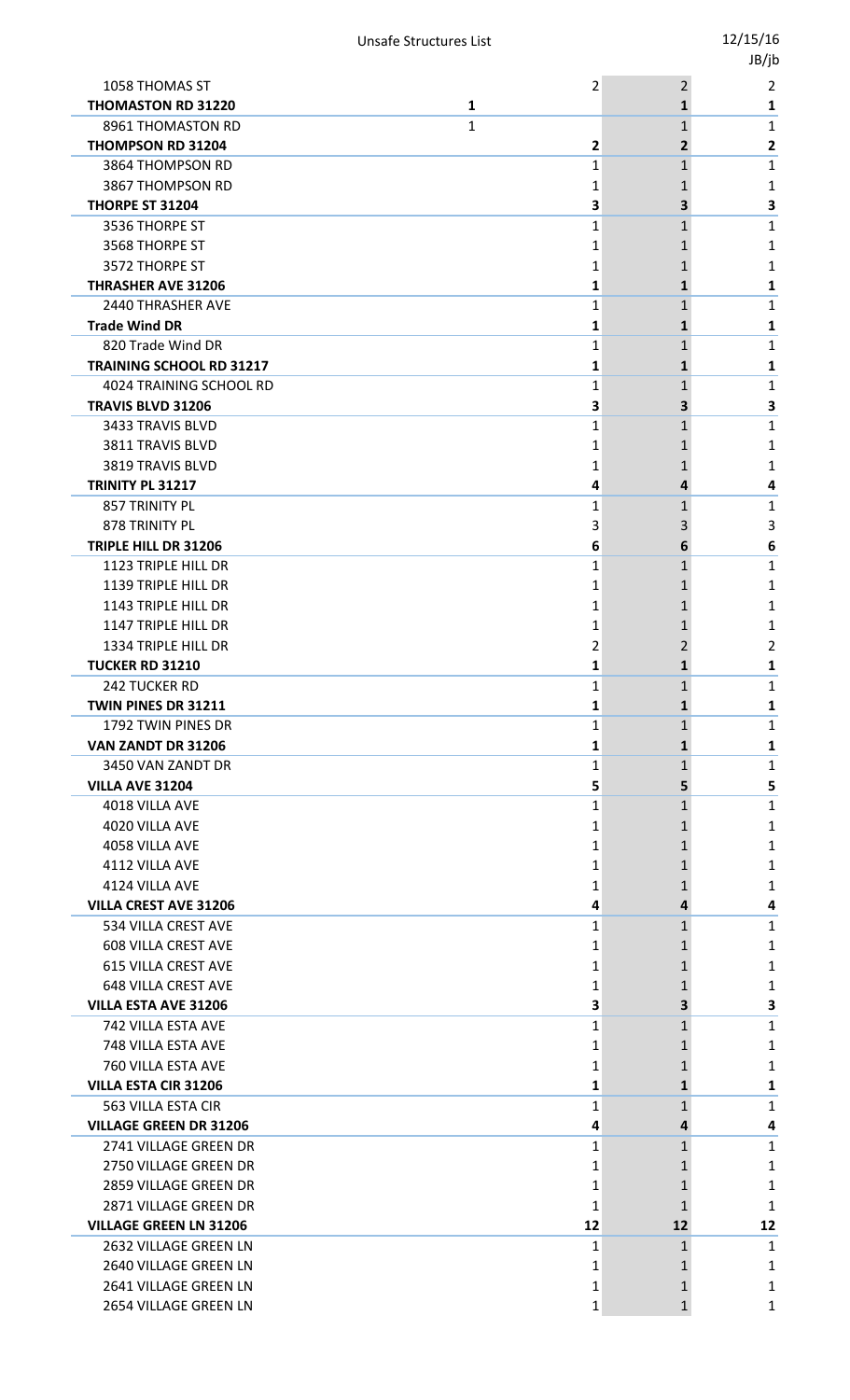|                                 |                |              | , , . |
|---------------------------------|----------------|--------------|-------|
| 1058 THOMAS ST                  | $\overline{2}$ | 2            | 2     |
| <b>THOMASTON RD 31220</b><br>1  |                | 1            | 1     |
| 8961 THOMASTON RD<br>1          |                | $\mathbf{1}$ | 1     |
| <b>THOMPSON RD 31204</b>        | 2              | 2            | 2     |
| 3864 THOMPSON RD                | 1              | 1            | 1     |
| 3867 THOMPSON RD                | 1              | 1            | 1     |
| <b>THORPE ST 31204</b>          | 3              | 3            | З     |
| 3536 THORPE ST                  | 1              | $\mathbf 1$  | 1     |
| 3568 THORPE ST                  | 1              | 1            | 1     |
| 3572 THORPE ST                  | 1              | 1            | 1     |
| <b>THRASHER AVE 31206</b>       | 1              | 1            | 1     |
| <b>2440 THRASHER AVE</b>        | 1              | 1            | 1     |
| <b>Trade Wind DR</b>            | 1              | 1            | 1     |
| 820 Trade Wind DR               | 1              | 1            | 1     |
| <b>TRAINING SCHOOL RD 31217</b> | 1              | 1            | 1     |
| 4024 TRAINING SCHOOL RD         | 1              | 1            | 1     |
| <b>TRAVIS BLVD 31206</b>        | 3              | 3            | З     |
| 3433 TRAVIS BLVD                | 1              | $\mathbf 1$  | 1     |
| 3811 TRAVIS BLVD                | 1              | 1            | 1     |
| 3819 TRAVIS BLVD                | 1              | 1            | 1     |
| TRINITY PL 31217                | 4              | 4            | 4     |
| 857 TRINITY PL                  | 1              | 1            | 1     |
| 878 TRINITY PL                  | 3              | 3            | 3     |
| TRIPLE HILL DR 31206            | 6              | 6            | 6     |
| 1123 TRIPLE HILL DR             | 1              | 1            | 1     |
| 1139 TRIPLE HILL DR             | 1              | 1            | 1     |
| 1143 TRIPLE HILL DR             | 1              | 1            | 1     |
| 1147 TRIPLE HILL DR             | 1              |              | 1     |
| 1334 TRIPLE HILL DR             | 2              | 2            | 2     |
| <b>TUCKER RD 31210</b>          | 1              | 1            | 1     |
| 242 TUCKER RD                   | 1              | 1            | 1     |
| <b>TWIN PINES DR 31211</b>      | 1              | 1            | 1     |
| 1792 TWIN PINES DR              | 1              | 1            | 1     |
| VAN ZANDT DR 31206              | 1              | $\mathbf{1}$ | 1     |
| 3450 VAN ZANDT DR               | 1              | $\mathbf 1$  | 1     |
| <b>VILLA AVE 31204</b>          | 5              | 5            | 5     |
| 4018 VILLA AVE                  | 1              | $\mathbf 1$  | 1     |
| 4020 VILLA AVE                  | 1              | 1            | 1     |
| 4058 VILLA AVE                  | 1              | 1            | 1     |
| 4112 VILLA AVE                  | 1              | 1            | 1     |
| 4124 VILLA AVE                  | 1              | 1            | 1     |
| <b>VILLA CREST AVE 31206</b>    | 4              | 4            | 4     |
| 534 VILLA CREST AVE             | 1              | $\mathbf{1}$ | 1     |
| <b>608 VILLA CREST AVE</b>      | 1              | 1            | 1     |
| <b>615 VILLA CREST AVE</b>      | 1              | 1            | 1     |
| <b>648 VILLA CREST AVE</b>      | 1              | 1            | 1     |
| <b>VILLA ESTA AVE 31206</b>     | 3              | 3            | 3     |
| 742 VILLA ESTA AVE              | 1              | $\mathbf 1$  | 1     |
| 748 VILLA ESTA AVE              | 1              | 1            | 1     |
| 760 VILLA ESTA AVE              | 1              | 1            | 1     |
| <b>VILLA ESTA CIR 31206</b>     | 1              | 1            | 1     |
| 563 VILLA ESTA CIR              | 1              | 1            | 1     |
| <b>VILLAGE GREEN DR 31206</b>   | 4              | 4            | 4     |
| 2741 VILLAGE GREEN DR           | 1              | 1            | 1     |
| 2750 VILLAGE GREEN DR           | 1              | 1            | 1     |
| 2859 VILLAGE GREEN DR           | 1              | 1            | 1     |
| 2871 VILLAGE GREEN DR           | 1              | 1            | 1     |
| <b>VILLAGE GREEN LN 31206</b>   | 12             | 12           | 12    |
| 2632 VILLAGE GREEN LN           | 1              | $\mathbf{1}$ | 1     |
| 2640 VILLAGE GREEN LN           | 1              | 1            | 1     |
| 2641 VILLAGE GREEN LN           | 1              | 1            | 1     |
| 2654 VILLAGE GREEN LN           | 1              | 1            | 1     |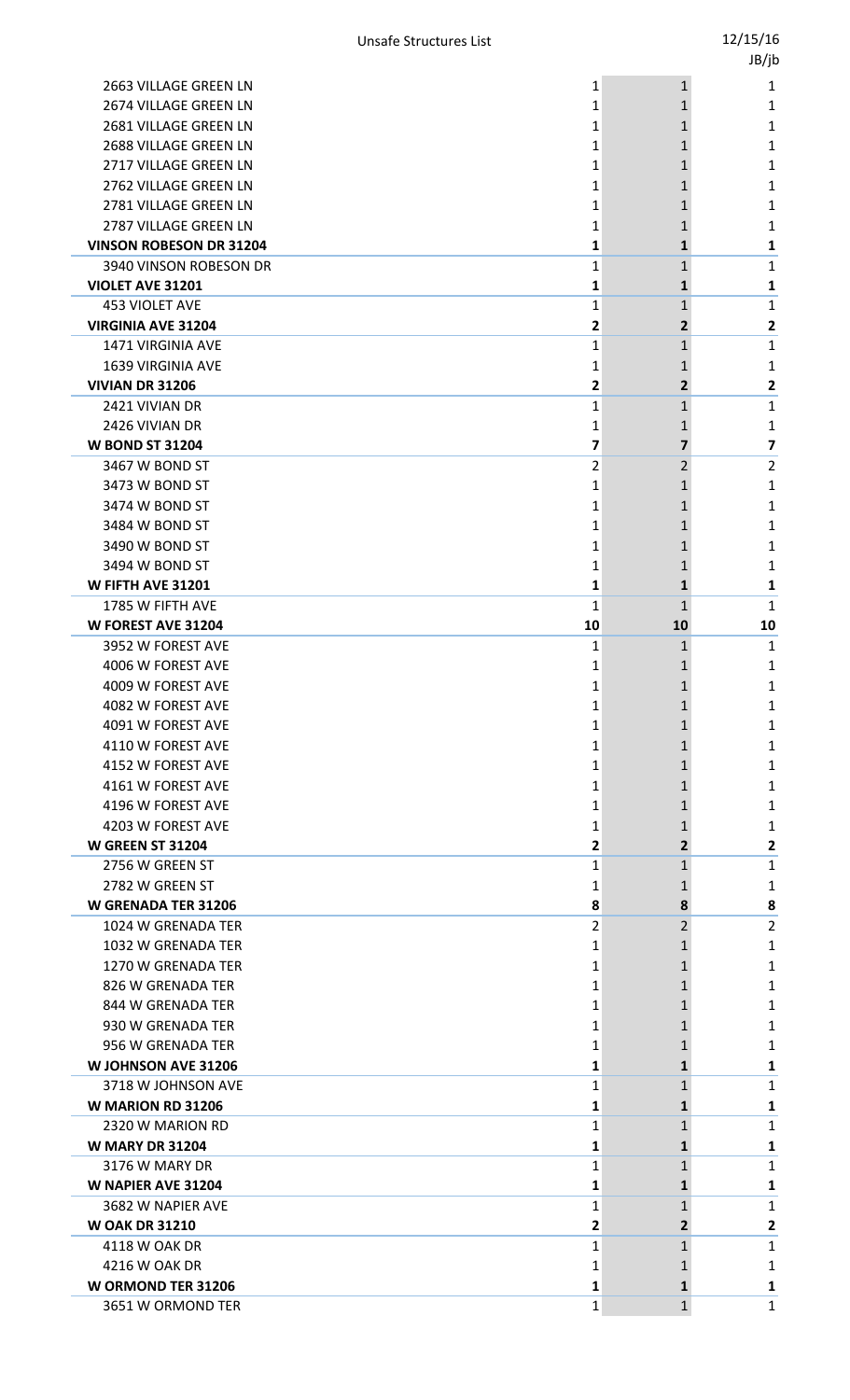|                                |    |                | JB/jb          |
|--------------------------------|----|----------------|----------------|
| 2663 VILLAGE GREEN LN          | 1  | $\mathbf{1}$   | 1              |
| 2674 VILLAGE GREEN LN          | 1  | 1              | 1              |
| 2681 VILLAGE GREEN LN          | 1  | 1              | 1              |
| 2688 VILLAGE GREEN LN          | 1  | 1              | 1              |
| 2717 VILLAGE GREEN LN          | 1  | 1              | 1              |
| 2762 VILLAGE GREEN LN          | 1  | 1              | 1              |
| 2781 VILLAGE GREEN LN          | 1  | 1              | 1              |
| 2787 VILLAGE GREEN LN          | 1  | 1              | 1              |
| <b>VINSON ROBESON DR 31204</b> | 1  | 1              | 1              |
| 3940 VINSON ROBESON DR         | 1  | 1              | $\mathbf{1}$   |
| VIOLET AVE 31201               | 1  | $\mathbf{1}$   | 1              |
| <b>453 VIOLET AVE</b>          | 1  | 1              | 1              |
| <b>VIRGINIA AVE 31204</b>      | 2  | $\overline{2}$ | 2              |
| 1471 VIRGINIA AVE              | 1  | 1              | $\mathbf{1}$   |
| <b>1639 VIRGINIA AVE</b>       | 1  | 1              | 1              |
| <b>VIVIAN DR 31206</b>         | 2  | $\overline{2}$ | $\mathbf{2}$   |
| 2421 VIVIAN DR                 | 1  | 1              | 1              |
| 2426 VIVIAN DR                 | 1  | 1              | 1              |
| <b>W BOND ST 31204</b>         | 7  | 7              | 7              |
| 3467 W BOND ST                 | 2  | $\overline{2}$ | $\overline{2}$ |
| 3473 W BOND ST                 | 1  | 1              | 1              |
| 3474 W BOND ST                 | 1  | 1              | 1              |
| 3484 W BOND ST                 | 1  | 1              | 1              |
| 3490 W BOND ST                 | 1  | 1              | 1              |
| 3494 W BOND ST                 | 1  | 1              | 1              |
| W FIFTH AVE 31201              | 1  | $\mathbf{1}$   | 1              |
| 1785 W FIFTH AVE               | 1  | $\mathbf{1}$   | 1              |
| <b>W FOREST AVE 31204</b>      | 10 | 10             | 10             |
| 3952 W FOREST AVE              | 1  | 1              | $\mathbf{1}$   |
| 4006 W FOREST AVE              | 1  | 1              | 1              |
| 4009 W FOREST AVE              | 1  | 1              | 1              |
| 4082 W FOREST AVE              | 1  | 1              | 1              |
| 4091 W FOREST AVE              | 1  | 1              | 1              |
| 4110 W FOREST AVE              | 1  | 1              | 1              |
| 4152 W FOREST AVE              | 1  | 1              | 1              |
| 4161 W FOREST AVE              | 1  | 1              | 1              |
| 4196 W FOREST AVE              | 1  | 1              | 1              |
| 4203 W FOREST AVE              | 1  | 1              | 1              |
| <b>W GREEN ST 31204</b>        | 2  | 2              | $\mathbf{2}$   |
| 2756 W GREEN ST                | 1  | 1              | 1              |
| 2782 W GREEN ST                | 1  | 1              | 1              |
| <b>W GRENADA TER 31206</b>     | 8  | 8              | 8              |
| 1024 W GRENADA TER             | 2  | 2              | $\overline{2}$ |
| 1032 W GRENADA TER             | 1  | 1              | 1              |
| 1270 W GRENADA TER             | 1  | 1              | 1              |
| 826 W GRENADA TER              | 1  | 1              | 1              |
| 844 W GRENADA TER              | 1  | 1              | 1              |
| 930 W GRENADA TER              | 1  | 1              | 1              |
| 956 W GRENADA TER              | 1  | 1              | 1              |
| <b>W JOHNSON AVE 31206</b>     | 1  | 1              | 1              |
| 3718 W JOHNSON AVE             | 1  | 1              | 1              |
| <b>W MARION RD 31206</b>       | 1  | 1              | 1              |
| 2320 W MARION RD               | 1  | $\mathbf{1}$   | $\mathbf{1}$   |
| <b>W MARY DR 31204</b>         | 1  | 1              | 1              |
| 3176 W MARY DR                 | 1  | 1              | 1              |
| <b>W NAPIER AVE 31204</b>      | 1  | 1              | 1              |
| 3682 W NAPIER AVE              | 1  | 1              | $\mathbf{1}$   |
| <b>W OAK DR 31210</b>          | 2  | $\mathbf{2}$   | $\mathbf{2}$   |
| 4118 W OAK DR                  | 1  | 1              | 1              |
| 4216 W OAK DR                  | 1  | 1              | 1              |
| <b>W ORMOND TER 31206</b>      | 1  | $\mathbf{1}$   | 1              |
| 3651 W ORMOND TER              | 1  | $\mathbf{1}$   | $\mathbf{1}$   |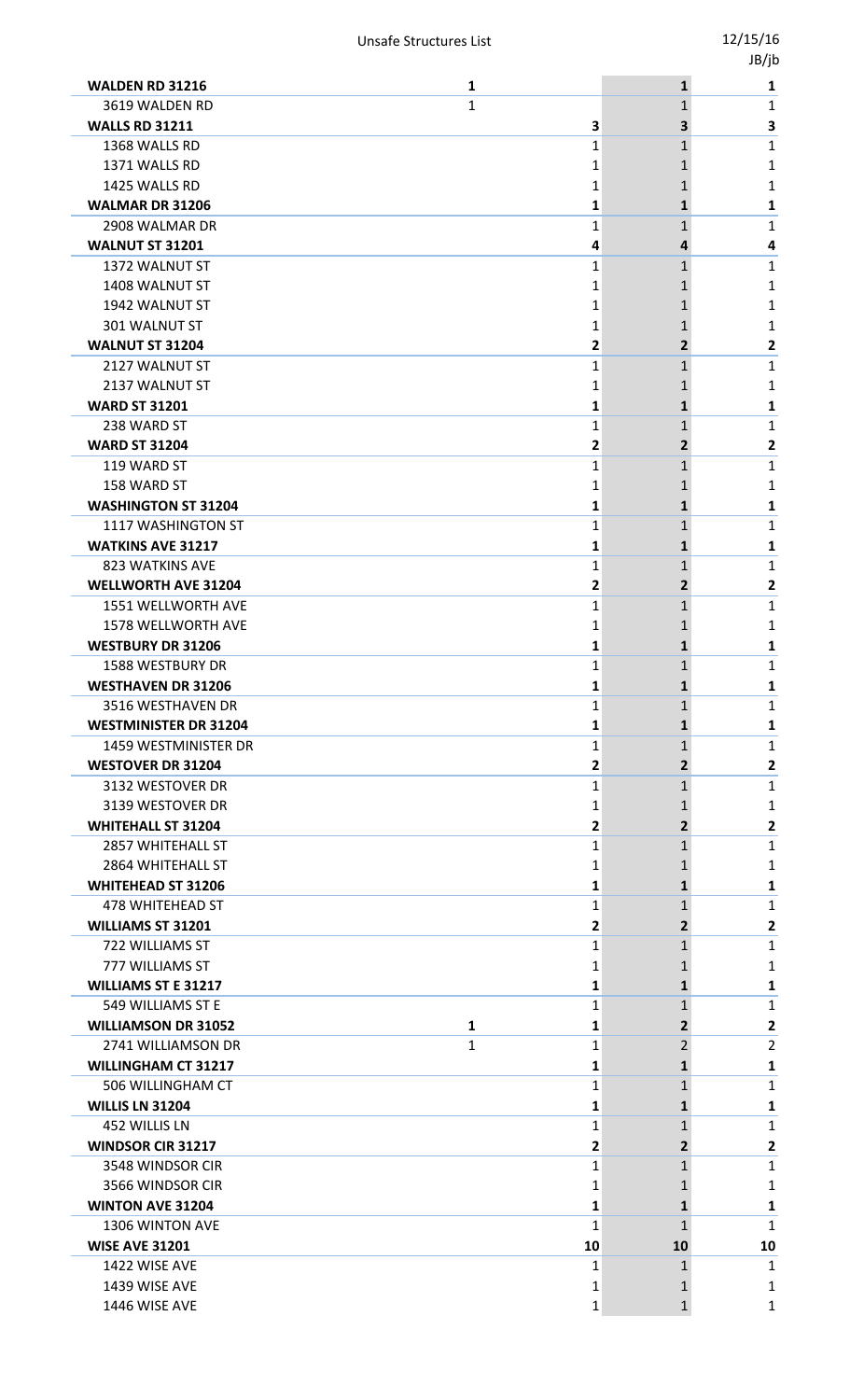|                                                |                   |                              | -,,.           |
|------------------------------------------------|-------------------|------------------------------|----------------|
| <b>WALDEN RD 31216</b>                         | 1                 | $\mathbf{1}$                 | 1              |
| 3619 WALDEN RD                                 | 1                 | $\mathbf{1}$                 | 1              |
| <b>WALLS RD 31211</b>                          | 3                 | 3                            | 3              |
| 1368 WALLS RD                                  | 1                 | $\mathbf{1}$                 | 1              |
| 1371 WALLS RD                                  | 1                 | 1                            | 1              |
| 1425 WALLS RD                                  | 1                 |                              | 1              |
| <b>WALMAR DR 31206</b>                         | 1                 | 1                            | 1              |
| 2908 WALMAR DR                                 | 1                 | 1                            | 1              |
| <b>WALNUT ST 31201</b>                         | 4                 | 4                            | 4              |
| 1372 WALNUT ST                                 | 1                 | 1                            | 1              |
| 1408 WALNUT ST                                 | 1                 | 1                            | 1              |
| 1942 WALNUT ST                                 | 1                 | 1                            | 1              |
| 301 WALNUT ST                                  | 1                 | 1                            | 1              |
| <b>WALNUT ST 31204</b>                         | 2                 | $\overline{2}$               | 2              |
| 2127 WALNUT ST                                 | 1                 | 1                            | 1              |
| 2137 WALNUT ST                                 | 1                 |                              | 1              |
| <b>WARD ST 31201</b>                           | 1                 | 1                            | 1              |
| 238 WARD ST                                    | 1                 | 1                            | 1              |
| <b>WARD ST 31204</b>                           | 2                 | $\overline{2}$               | 2              |
| 119 WARD ST                                    | 1                 | 1                            | 1              |
| 158 WARD ST                                    | 1                 |                              | 1              |
| <b>WASHINGTON ST 31204</b>                     | 1                 | 1                            | 1              |
| 1117 WASHINGTON ST                             | 1                 | 1                            | 1              |
| <b>WATKINS AVE 31217</b>                       | 1                 | 1                            | 1              |
| 823 WATKINS AVE                                | 1                 | 1                            | 1              |
| <b>WELLWORTH AVE 31204</b>                     | 2                 | $\overline{2}$               | 2              |
| 1551 WELLWORTH AVE                             | 1                 | $\mathbf{1}$                 | 1              |
| 1578 WELLWORTH AVE                             | 1                 | 1                            | 1              |
| <b>WESTBURY DR 31206</b>                       | 1                 | $\mathbf{1}$                 | 1              |
| <b>1588 WESTBURY DR</b>                        | 1                 | 1                            | 1              |
| <b>WESTHAVEN DR 31206</b>                      | 1                 |                              | 1              |
| 3516 WESTHAVEN DR                              | 1                 | $\mathbf{1}$                 | 1              |
| <b>WESTMINISTER DR 31204</b>                   | 1                 | 1                            | 1              |
| <b>1459 WESTMINISTER DR</b>                    | 1                 | $\mathbf{1}$                 | 1              |
| <b>WESTOVER DR 31204</b>                       | 2                 | 2                            | 2              |
| 3132 WESTOVER DR                               | 1                 | $\mathbf{1}$                 | 1              |
| 3139 WESTOVER DR                               | 1                 | 1                            | 1              |
| <b>WHITEHALL ST 31204</b>                      | 2                 | $\mathbf{2}$<br>$\mathbf{1}$ | 2              |
| 2857 WHITEHALL ST                              | 1                 |                              | 1              |
| 2864 WHITEHALL ST<br><b>WHITEHEAD ST 31206</b> | 1<br>1            | 1                            | 1              |
| 478 WHITEHEAD ST                               | 1                 | 1<br>$\mathbf{1}$            | 1<br>1         |
| <b>WILLIAMS ST 31201</b>                       | 2                 | 2                            | $\mathbf{2}$   |
| 722 WILLIAMS ST                                | 1                 | $\mathbf{1}$                 | 1              |
| 777 WILLIAMS ST                                | 1                 | 1                            | 1              |
| <b>WILLIAMS ST E 31217</b>                     | 1                 | 1                            | 1              |
| 549 WILLIAMS ST E                              | 1                 | $\mathbf{1}$                 | 1              |
| <b>WILLIAMSON DR 31052</b>                     | $\mathbf{1}$<br>1 | $\overline{2}$               | 2              |
| 2741 WILLIAMSON DR                             | 1<br>1            | $\overline{2}$               | $\overline{2}$ |
| <b>WILLINGHAM CT 31217</b>                     | 1                 | 1                            | 1              |
| 506 WILLINGHAM CT                              | 1                 | $\mathbf{1}$                 | 1              |
| <b>WILLIS LN 31204</b>                         | 1                 | 1                            | 1              |
| 452 WILLIS LN                                  | 1                 | 1                            | 1              |
| <b>WINDSOR CIR 31217</b>                       | 2                 | $\overline{2}$               | 2              |
| 3548 WINDSOR CIR                               | 1                 | 1                            | 1              |
| 3566 WINDSOR CIR                               | 1                 |                              | 1              |
| <b>WINTON AVE 31204</b>                        | 1                 | 1                            | 1              |
| 1306 WINTON AVE                                | 1                 | 1                            | 1              |
| <b>WISE AVE 31201</b>                          | 10                | 10                           | 10             |
| 1422 WISE AVE                                  | 1                 | 1                            | 1              |
| 1439 WISE AVE                                  | 1                 |                              | 1              |
| 1446 WISE AVE                                  | 1                 | $\mathbf{1}$                 | 1              |